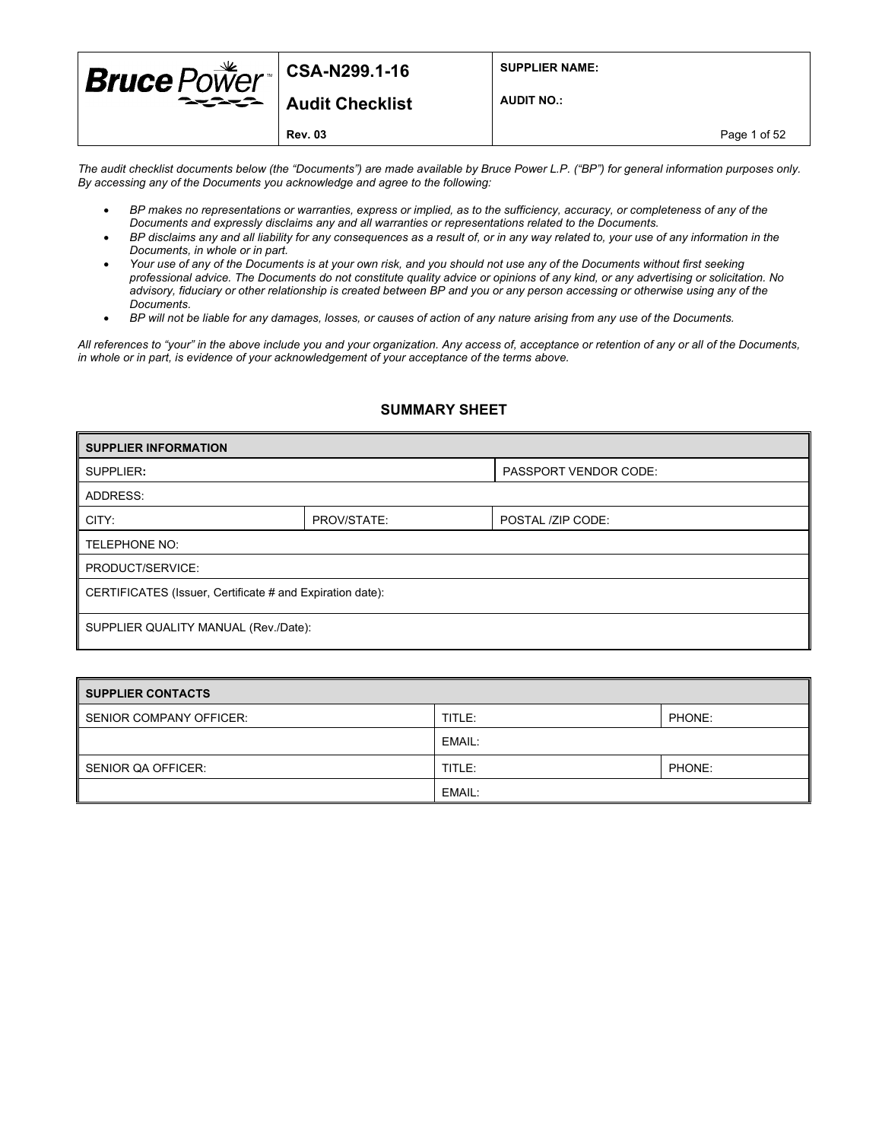| <b>Bruce</b> $PoWer$ <sup>   CSA-N299.1-16</sup> |                                                         | <b>SUPPLIER NAME:</b> |  |
|--------------------------------------------------|---------------------------------------------------------|-----------------------|--|
|                                                  | $\rightarrow \rightarrow \rightarrow$   Audit Checklist | <b>AUDIT NO.:</b>     |  |
|                                                  | <b>Rev. 03</b>                                          | Page 1 of 52          |  |

*The audit checklist documents below (the "Documents") are made available by Bruce Power L.P. ("BP") for general information purposes only. By accessing any of the Documents you acknowledge and agree to the following:* 

- *BP makes no representations or warranties, express or implied, as to the sufficiency, accuracy, or completeness of any of the Documents and expressly disclaims any and all warranties or representations related to the Documents.*
- *BP disclaims any and all liability for any consequences as a result of, or in any way related to, your use of any information in the Documents, in whole or in part.*
- *Your use of any of the Documents is at your own risk, and you should not use any of the Documents without first seeking professional advice. The Documents do not constitute quality advice or opinions of any kind, or any advertising or solicitation. No advisory, fiduciary or other relationship is created between BP and you or any person accessing or otherwise using any of the Documents.*
- *BP will not be liable for any damages, losses, or causes of action of any nature arising from any use of the Documents.*

*All references to "your" in the above include you and your organization. Any access of, acceptance or retention of any or all of the Documents, in whole or in part, is evidence of your acknowledgement of your acceptance of the terms above.*

#### **SUMMARY SHEET**

| <b>SUPPLIER INFORMATION</b>                               |             |                              |  |  |
|-----------------------------------------------------------|-------------|------------------------------|--|--|
| SUPPLIER:                                                 |             | <b>PASSPORT VENDOR CODE:</b> |  |  |
| ADDRESS:                                                  |             |                              |  |  |
| CITY:                                                     | PROV/STATE: | POSTAL /ZIP CODE:            |  |  |
| TELEPHONE NO:                                             |             |                              |  |  |
| PRODUCT/SERVICE:                                          |             |                              |  |  |
| CERTIFICATES (Issuer, Certificate # and Expiration date): |             |                              |  |  |
|                                                           |             |                              |  |  |
| SUPPLIER QUALITY MANUAL (Rev./Date):                      |             |                              |  |  |

| <b>SUPPLIER CONTACTS</b> |        |        |
|--------------------------|--------|--------|
| SENIOR COMPANY OFFICER:  | TITLE: | PHONE: |
|                          | EMAIL: |        |
| SENIOR QA OFFICER:       | TITLE: | PHONE: |
|                          | EMAIL: |        |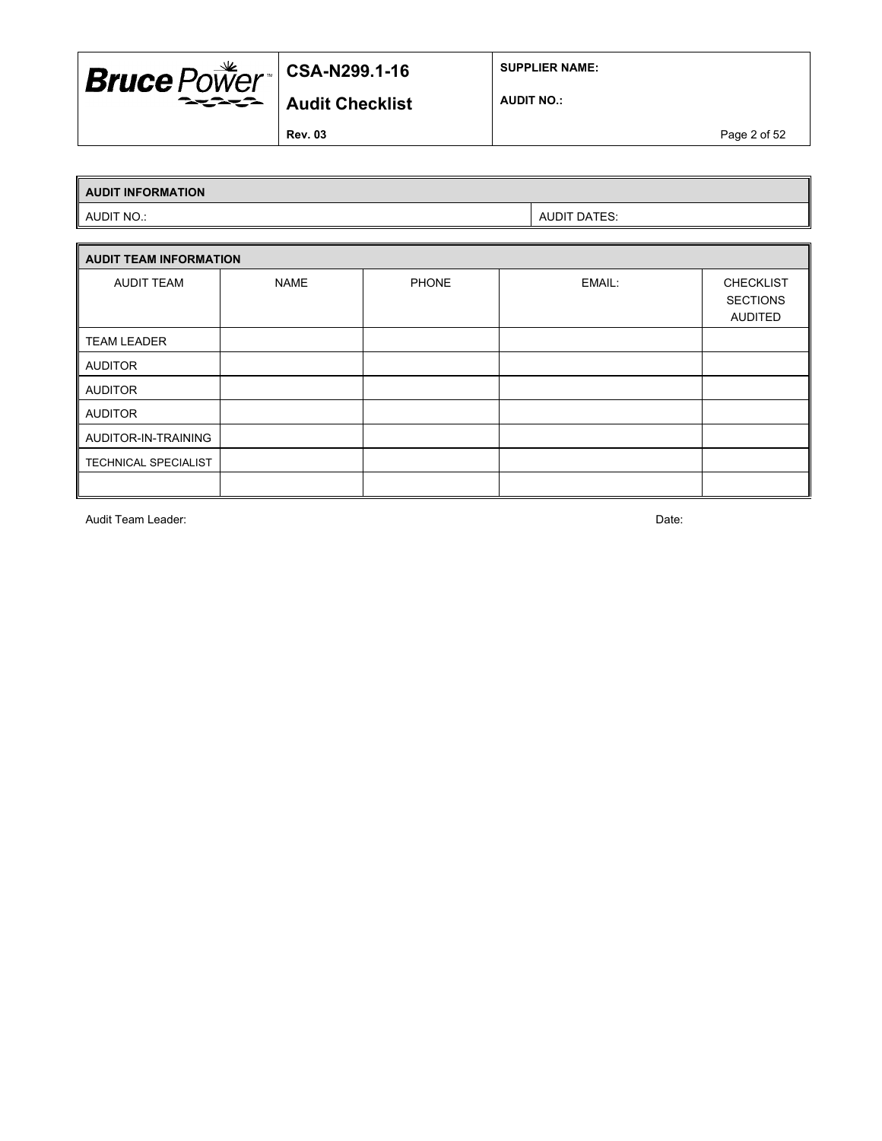

**SUPPLIER NAME:**

**AUDIT NO.:**

**Rev. 03** Page 2 of 52

## **AUDIT INFORMATION**

AUDIT NO.: AUDIT DATES:

|                      | <b>AUDIT TEAM INFORMATION</b> |              |        |                                                |  |  |  |
|----------------------|-------------------------------|--------------|--------|------------------------------------------------|--|--|--|
| <b>AUDIT TEAM</b>    | <b>NAME</b>                   | <b>PHONE</b> | EMAIL: | <b>CHECKLIST</b><br><b>SECTIONS</b><br>AUDITED |  |  |  |
| <b>TEAM LEADER</b>   |                               |              |        |                                                |  |  |  |
| <b>AUDITOR</b>       |                               |              |        |                                                |  |  |  |
| <b>AUDITOR</b>       |                               |              |        |                                                |  |  |  |
| <b>AUDITOR</b>       |                               |              |        |                                                |  |  |  |
| AUDITOR-IN-TRAINING  |                               |              |        |                                                |  |  |  |
| TECHNICAL SPECIALIST |                               |              |        |                                                |  |  |  |
|                      |                               |              |        |                                                |  |  |  |

Audit Team Leader: Date: Date: Date: Date: Date: Date: Date: Date: Date: Date: Date: Date: Date: Date: Date: Date: Date: Date: Date: Date: Date: Date: Date: Date: Date: Date: Date: Date: Date: Date: Date: Date: Date: Date: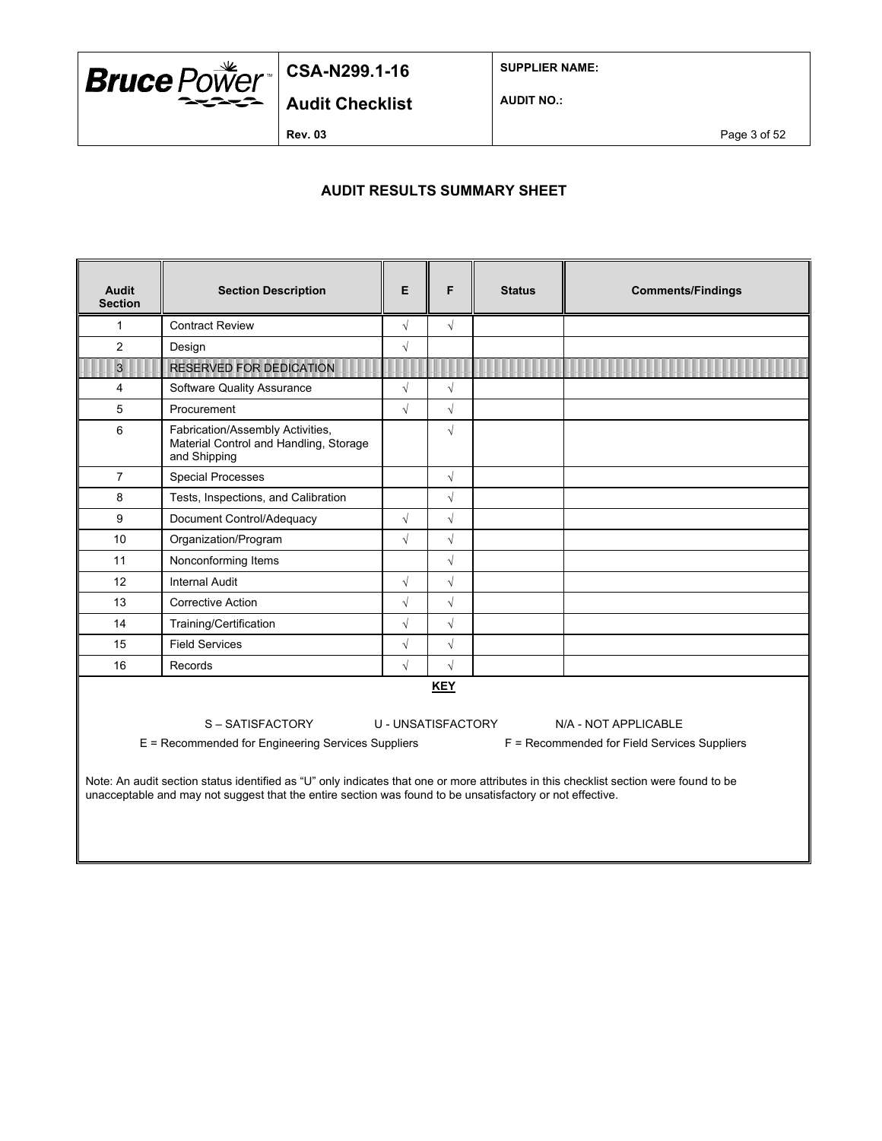

**SUPPLIER NAME:**

**Audit Checklist**

**AUDIT NO.:**

**Rev. 03** Page 3 of 52

### **AUDIT RESULTS SUMMARY SHEET**

| <b>Audit</b><br><b>Section</b>                                                                                                                                                                                                                                                                                                                                                                                                         | <b>Section Description</b>                                                                 | E          | F          | <b>Status</b> | <b>Comments/Findings</b> |
|----------------------------------------------------------------------------------------------------------------------------------------------------------------------------------------------------------------------------------------------------------------------------------------------------------------------------------------------------------------------------------------------------------------------------------------|--------------------------------------------------------------------------------------------|------------|------------|---------------|--------------------------|
| 1                                                                                                                                                                                                                                                                                                                                                                                                                                      | <b>Contract Review</b>                                                                     | $\sqrt{}$  | $\sqrt{}$  |               |                          |
| 2                                                                                                                                                                                                                                                                                                                                                                                                                                      | Design                                                                                     | $\sqrt{2}$ |            |               |                          |
| $\overline{3}$                                                                                                                                                                                                                                                                                                                                                                                                                         | <b>RESERVED FOR DEDICATION</b>                                                             |            |            |               |                          |
| $\overline{4}$                                                                                                                                                                                                                                                                                                                                                                                                                         | <b>Software Quality Assurance</b>                                                          | $\sqrt{}$  | $\sqrt{}$  |               |                          |
| 5                                                                                                                                                                                                                                                                                                                                                                                                                                      | Procurement                                                                                | $\sqrt{2}$ | $\sqrt{}$  |               |                          |
| 6                                                                                                                                                                                                                                                                                                                                                                                                                                      | Fabrication/Assembly Activities,<br>Material Control and Handling, Storage<br>and Shipping |            | $\sqrt{}$  |               |                          |
| $\overline{7}$                                                                                                                                                                                                                                                                                                                                                                                                                         | <b>Special Processes</b>                                                                   |            | $\sqrt{}$  |               |                          |
| 8                                                                                                                                                                                                                                                                                                                                                                                                                                      | Tests, Inspections, and Calibration                                                        |            | $\sqrt{}$  |               |                          |
| 9                                                                                                                                                                                                                                                                                                                                                                                                                                      | Document Control/Adequacy                                                                  | $\sqrt{}$  | $\sqrt{}$  |               |                          |
| 10                                                                                                                                                                                                                                                                                                                                                                                                                                     | Organization/Program                                                                       | $\sqrt{2}$ | $\sqrt{}$  |               |                          |
| 11                                                                                                                                                                                                                                                                                                                                                                                                                                     | Nonconforming Items                                                                        |            | $\sqrt{}$  |               |                          |
| 12                                                                                                                                                                                                                                                                                                                                                                                                                                     | Internal Audit                                                                             | $\sqrt{}$  | $\sqrt{}$  |               |                          |
| 13                                                                                                                                                                                                                                                                                                                                                                                                                                     | <b>Corrective Action</b>                                                                   | $\sqrt{}$  | $\sqrt{}$  |               |                          |
| 14                                                                                                                                                                                                                                                                                                                                                                                                                                     | Training/Certification                                                                     | $\sqrt{}$  | $\sqrt{}$  |               |                          |
| 15                                                                                                                                                                                                                                                                                                                                                                                                                                     | <b>Field Services</b>                                                                      | $\sqrt{}$  | $\sqrt{}$  |               |                          |
| 16                                                                                                                                                                                                                                                                                                                                                                                                                                     | Records                                                                                    | $\sqrt{2}$ | $\sqrt{2}$ |               |                          |
| <b>KEY</b><br>S-SATISFACTORY<br>U - UNSATISFACTORY<br>N/A - NOT APPLICABLE<br>E = Recommended for Engineering Services Suppliers<br>F = Recommended for Field Services Suppliers<br>Note: An audit section status identified as "U" only indicates that one or more attributes in this checklist section were found to be<br>unacceptable and may not suggest that the entire section was found to be unsatisfactory or not effective. |                                                                                            |            |            |               |                          |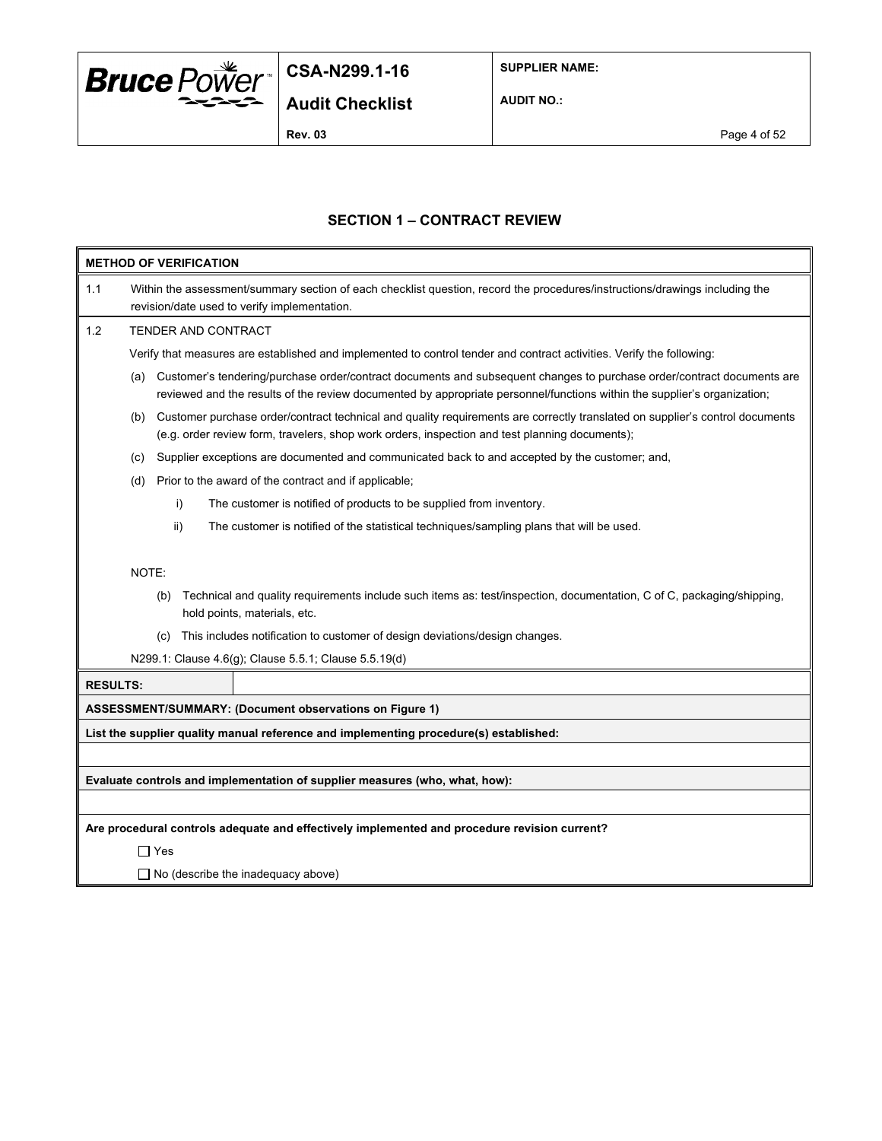

**SUPPLIER NAME:**

**AUDIT NO.:**

**Rev. 03** Page 4 of 52

#### **SECTION 1 – CONTRACT REVIEW**

|                 | <b>METHOD OF VERIFICATION</b>                                                                                                                                                                                                                             |  |  |  |  |  |
|-----------------|-----------------------------------------------------------------------------------------------------------------------------------------------------------------------------------------------------------------------------------------------------------|--|--|--|--|--|
| 1.1             | Within the assessment/summary section of each checklist question, record the procedures/instructions/drawings including the<br>revision/date used to verify implementation.                                                                               |  |  |  |  |  |
| 1.2             | TENDER AND CONTRACT                                                                                                                                                                                                                                       |  |  |  |  |  |
|                 | Verify that measures are established and implemented to control tender and contract activities. Verify the following:                                                                                                                                     |  |  |  |  |  |
|                 | Customer's tendering/purchase order/contract documents and subsequent changes to purchase order/contract documents are<br>(a)<br>reviewed and the results of the review documented by appropriate personnel/functions within the supplier's organization; |  |  |  |  |  |
|                 | Customer purchase order/contract technical and quality requirements are correctly translated on supplier's control documents<br>(b)<br>(e.g. order review form, travelers, shop work orders, inspection and test planning documents);                     |  |  |  |  |  |
|                 | Supplier exceptions are documented and communicated back to and accepted by the customer; and,<br>(c)                                                                                                                                                     |  |  |  |  |  |
|                 | Prior to the award of the contract and if applicable;<br>(d)                                                                                                                                                                                              |  |  |  |  |  |
|                 | i)<br>The customer is notified of products to be supplied from inventory.                                                                                                                                                                                 |  |  |  |  |  |
|                 | ii)<br>The customer is notified of the statistical techniques/sampling plans that will be used.                                                                                                                                                           |  |  |  |  |  |
|                 | NOTE:<br>Technical and quality requirements include such items as: test/inspection, documentation, C of C, packaging/shipping,<br>(b)<br>hold points, materials, etc.<br>This includes notification to customer of design deviations/design changes.      |  |  |  |  |  |
|                 | (C)<br>N299.1: Clause 4.6(g); Clause 5.5.1; Clause 5.5.19(d)                                                                                                                                                                                              |  |  |  |  |  |
| <b>RESULTS:</b> |                                                                                                                                                                                                                                                           |  |  |  |  |  |
|                 | ASSESSMENT/SUMMARY: (Document observations on Figure 1)                                                                                                                                                                                                   |  |  |  |  |  |
|                 | List the supplier quality manual reference and implementing procedure(s) established:                                                                                                                                                                     |  |  |  |  |  |
|                 |                                                                                                                                                                                                                                                           |  |  |  |  |  |
|                 | Evaluate controls and implementation of supplier measures (who, what, how):                                                                                                                                                                               |  |  |  |  |  |
|                 |                                                                                                                                                                                                                                                           |  |  |  |  |  |
|                 | Are procedural controls adequate and effectively implemented and procedure revision current?                                                                                                                                                              |  |  |  |  |  |
|                 | $\sqcap$ Yes                                                                                                                                                                                                                                              |  |  |  |  |  |
|                 | $\Box$ No (describe the inadequacy above)                                                                                                                                                                                                                 |  |  |  |  |  |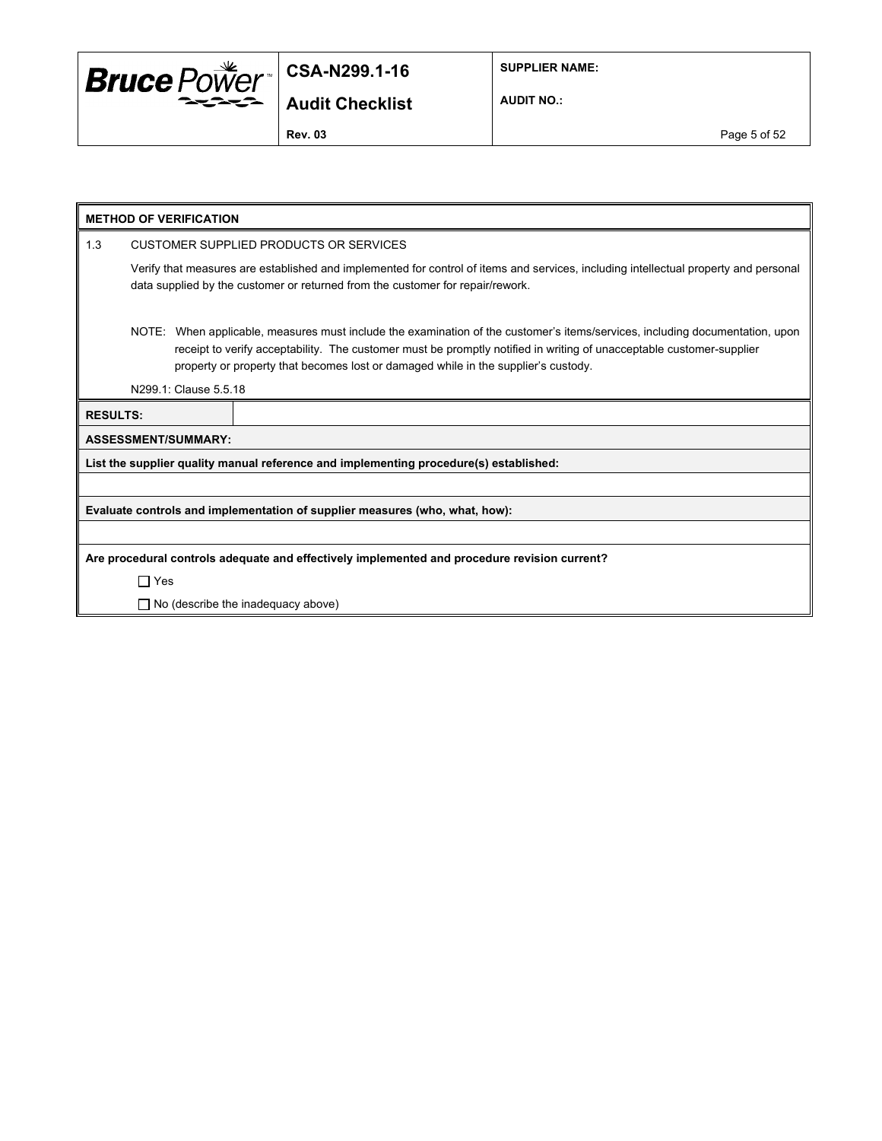

**SUPPLIER NAME:**

**AUDIT NO.:**

**Rev. 03** Page 5 of 52

|                 | <b>METHOD OF VERIFICATION</b>                                                                |                                                                                                                                                                                                                                                                                                                                            |  |  |  |
|-----------------|----------------------------------------------------------------------------------------------|--------------------------------------------------------------------------------------------------------------------------------------------------------------------------------------------------------------------------------------------------------------------------------------------------------------------------------------------|--|--|--|
| 1.3             |                                                                                              | CUSTOMER SUPPLIED PRODUCTS OR SERVICES                                                                                                                                                                                                                                                                                                     |  |  |  |
|                 |                                                                                              | Verify that measures are established and implemented for control of items and services, including intellectual property and personal<br>data supplied by the customer or returned from the customer for repair/rework.                                                                                                                     |  |  |  |
|                 | N299.1: Clause 5.5.18                                                                        | NOTE: When applicable, measures must include the examination of the customer's items/services, including documentation, upon<br>receipt to verify acceptability. The customer must be promptly notified in writing of unacceptable customer-supplier<br>property or property that becomes lost or damaged while in the supplier's custody. |  |  |  |
|                 |                                                                                              |                                                                                                                                                                                                                                                                                                                                            |  |  |  |
| <b>RESULTS:</b> |                                                                                              |                                                                                                                                                                                                                                                                                                                                            |  |  |  |
|                 | <b>ASSESSMENT/SUMMARY:</b>                                                                   |                                                                                                                                                                                                                                                                                                                                            |  |  |  |
|                 |                                                                                              | List the supplier quality manual reference and implementing procedure(s) established:                                                                                                                                                                                                                                                      |  |  |  |
|                 |                                                                                              |                                                                                                                                                                                                                                                                                                                                            |  |  |  |
|                 |                                                                                              | Evaluate controls and implementation of supplier measures (who, what, how):                                                                                                                                                                                                                                                                |  |  |  |
|                 |                                                                                              |                                                                                                                                                                                                                                                                                                                                            |  |  |  |
|                 | Are procedural controls adequate and effectively implemented and procedure revision current? |                                                                                                                                                                                                                                                                                                                                            |  |  |  |
|                 | $\Box$ Yes                                                                                   |                                                                                                                                                                                                                                                                                                                                            |  |  |  |
|                 |                                                                                              | $\Box$ No (describe the inadequacy above)                                                                                                                                                                                                                                                                                                  |  |  |  |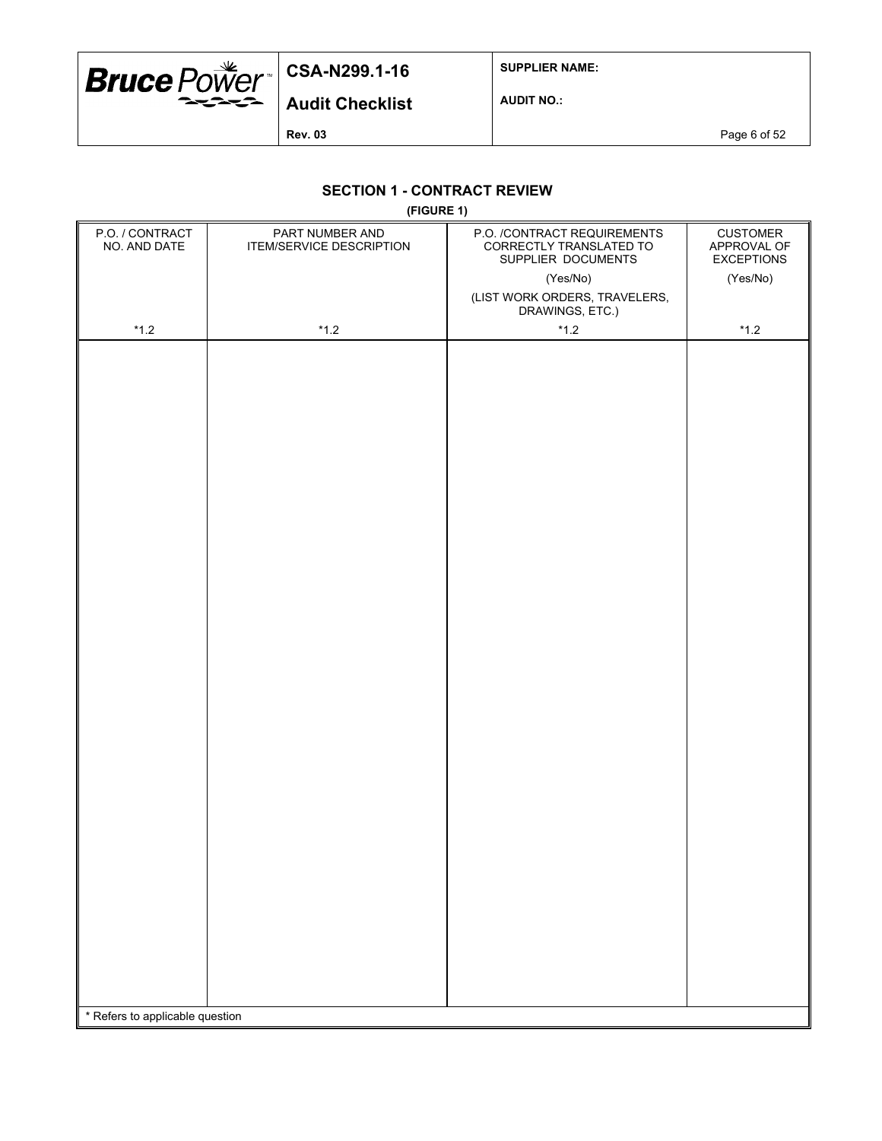

**SUPPLIER NAME:**

**Audit Checklist**

**AUDIT NO.:**

**Rev. 03** Page 6 of 52

## **SECTION 1 - CONTRACT REVIEW**

**(FIGURE 1)**

|                                 | (1.00112.1)                                 |                                                                              |                                                     |
|---------------------------------|---------------------------------------------|------------------------------------------------------------------------------|-----------------------------------------------------|
| P.O. / CONTRACT<br>NO. AND DATE | PART NUMBER AND<br>ITEM/SERVICE DESCRIPTION | P.O. /CONTRACT REQUIREMENTS<br>CORRECTLY TRANSLATED TO<br>SUPPLIER DOCUMENTS | <b>CUSTOMER</b><br>APPROVAL OF<br><b>EXCEPTIONS</b> |
|                                 |                                             | (Yes/No)                                                                     | (Yes/No)                                            |
|                                 |                                             | (LIST WORK ORDERS, TRAVELERS,<br>DRAWINGS, ETC.)                             |                                                     |
| $^{\star}$ 1.2                  | $*1.2$                                      | $*1.2$                                                                       | $^{\star}$ 1.2                                      |
|                                 |                                             |                                                                              |                                                     |
|                                 |                                             |                                                                              |                                                     |
|                                 |                                             |                                                                              |                                                     |
|                                 |                                             |                                                                              |                                                     |
|                                 |                                             |                                                                              |                                                     |
|                                 |                                             |                                                                              |                                                     |
|                                 |                                             |                                                                              |                                                     |
|                                 |                                             |                                                                              |                                                     |
|                                 |                                             |                                                                              |                                                     |
|                                 |                                             |                                                                              |                                                     |
|                                 |                                             |                                                                              |                                                     |
|                                 |                                             |                                                                              |                                                     |
|                                 |                                             |                                                                              |                                                     |
|                                 |                                             |                                                                              |                                                     |
|                                 |                                             |                                                                              |                                                     |
|                                 |                                             |                                                                              |                                                     |
|                                 |                                             |                                                                              |                                                     |
|                                 |                                             |                                                                              |                                                     |
|                                 |                                             |                                                                              |                                                     |
|                                 |                                             |                                                                              |                                                     |
|                                 |                                             |                                                                              |                                                     |
|                                 |                                             |                                                                              |                                                     |
|                                 |                                             |                                                                              |                                                     |
|                                 |                                             |                                                                              |                                                     |
|                                 |                                             |                                                                              |                                                     |
|                                 |                                             |                                                                              |                                                     |
|                                 |                                             |                                                                              |                                                     |
|                                 |                                             |                                                                              |                                                     |
|                                 |                                             |                                                                              |                                                     |
|                                 |                                             |                                                                              |                                                     |
|                                 |                                             |                                                                              |                                                     |
|                                 |                                             |                                                                              |                                                     |
|                                 |                                             |                                                                              |                                                     |
|                                 |                                             |                                                                              |                                                     |
|                                 |                                             |                                                                              |                                                     |
| * Refers to applicable question |                                             |                                                                              |                                                     |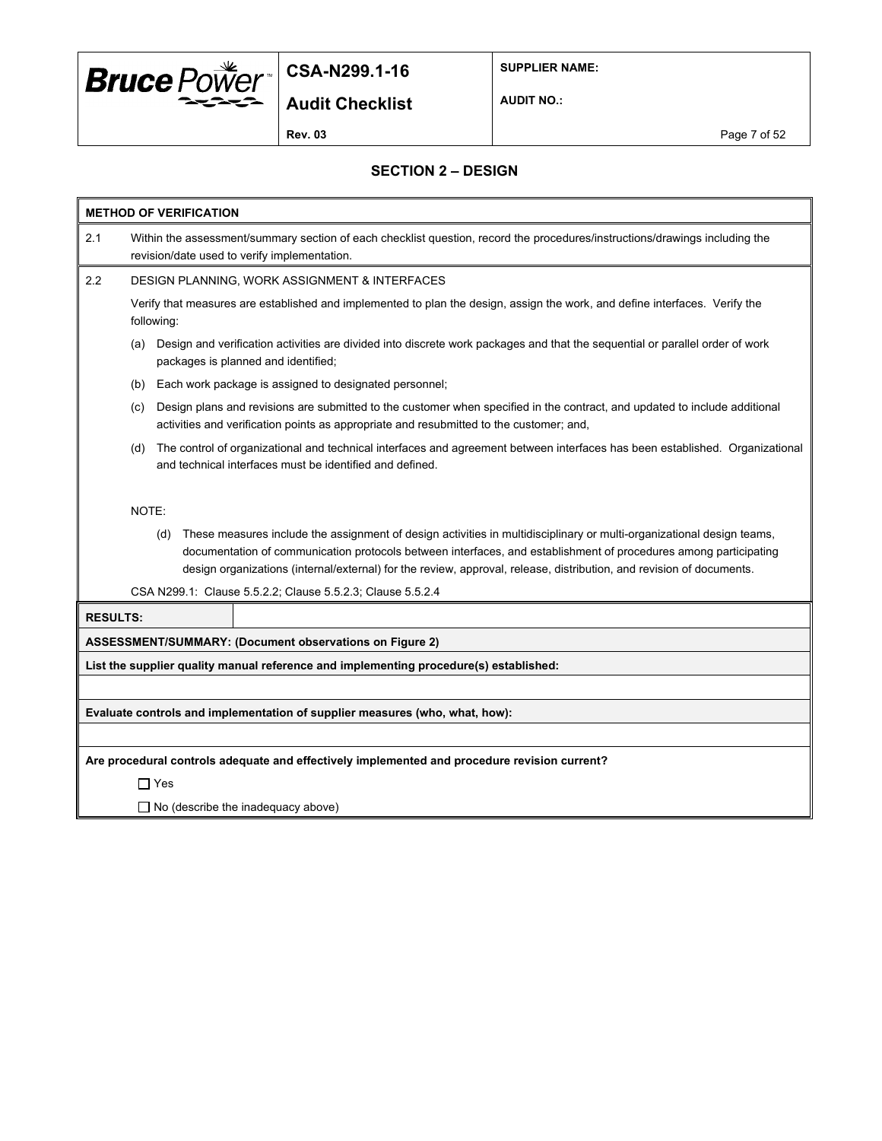

**SUPPLIER NAME:**

**Audit Checklist**

**AUDIT NO.:**

**Rev. 03** Page 7 of 52

## **SECTION 2 – DESIGN**

|                 | <b>METHOD OF VERIFICATION</b>                                                                                                                                                                                                                                                                                                                                                                                                                   |
|-----------------|-------------------------------------------------------------------------------------------------------------------------------------------------------------------------------------------------------------------------------------------------------------------------------------------------------------------------------------------------------------------------------------------------------------------------------------------------|
| 2.1             | Within the assessment/summary section of each checklist question, record the procedures/instructions/drawings including the<br>revision/date used to verify implementation.                                                                                                                                                                                                                                                                     |
| 2.2             | DESIGN PLANNING, WORK ASSIGNMENT & INTERFACES                                                                                                                                                                                                                                                                                                                                                                                                   |
|                 | Verify that measures are established and implemented to plan the design, assign the work, and define interfaces. Verify the<br>following:                                                                                                                                                                                                                                                                                                       |
|                 | Design and verification activities are divided into discrete work packages and that the sequential or parallel order of work<br>(a)<br>packages is planned and identified;                                                                                                                                                                                                                                                                      |
|                 | Each work package is assigned to designated personnel;<br>(b)                                                                                                                                                                                                                                                                                                                                                                                   |
|                 | Design plans and revisions are submitted to the customer when specified in the contract, and updated to include additional<br>(c)<br>activities and verification points as appropriate and resubmitted to the customer; and,                                                                                                                                                                                                                    |
|                 | The control of organizational and technical interfaces and agreement between interfaces has been established. Organizational<br>(d)<br>and technical interfaces must be identified and defined.                                                                                                                                                                                                                                                 |
|                 | NOTE:<br>These measures include the assignment of design activities in multidisciplinary or multi-organizational design teams,<br>(d)<br>documentation of communication protocols between interfaces, and establishment of procedures among participating<br>design organizations (internal/external) for the review, approval, release, distribution, and revision of documents.<br>CSA N299.1: Clause 5.5.2.2; Clause 5.5.2.3; Clause 5.5.2.4 |
| <b>RESULTS:</b> |                                                                                                                                                                                                                                                                                                                                                                                                                                                 |
|                 | ASSESSMENT/SUMMARY: (Document observations on Figure 2)                                                                                                                                                                                                                                                                                                                                                                                         |
|                 | List the supplier quality manual reference and implementing procedure(s) established:                                                                                                                                                                                                                                                                                                                                                           |
|                 |                                                                                                                                                                                                                                                                                                                                                                                                                                                 |
|                 | Evaluate controls and implementation of supplier measures (who, what, how):                                                                                                                                                                                                                                                                                                                                                                     |
|                 |                                                                                                                                                                                                                                                                                                                                                                                                                                                 |
|                 | Are procedural controls adequate and effectively implemented and procedure revision current?                                                                                                                                                                                                                                                                                                                                                    |
|                 | $\Box$ Yes                                                                                                                                                                                                                                                                                                                                                                                                                                      |
|                 | $\Box$ No (describe the inadequacy above)                                                                                                                                                                                                                                                                                                                                                                                                       |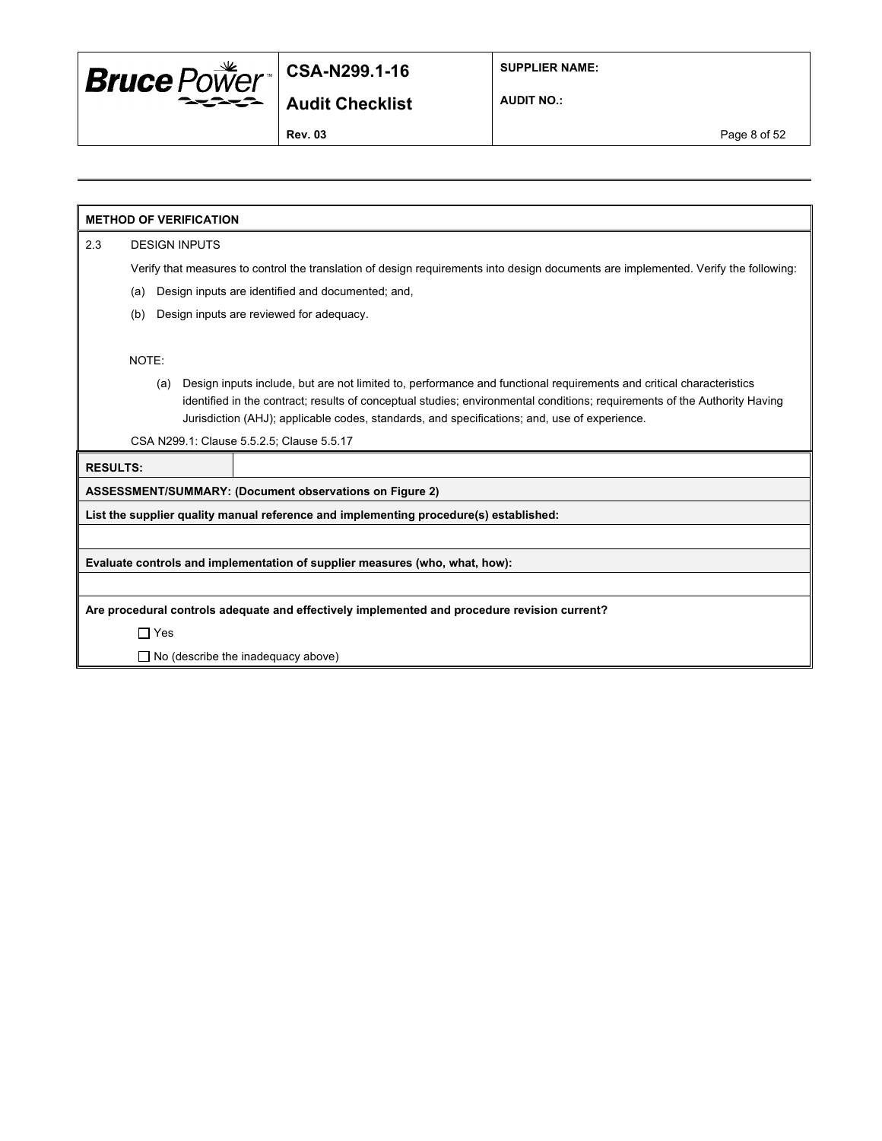

**SUPPLIER NAME:**

**Audit Checklist**

**AUDIT NO.:**

**Rev. 03** Page 8 of 52

**METHOD OF VERIFICATION**

2.3 DESIGN INPUTS

Verify that measures to control the translation of design requirements into design documents are implemented. Verify the following:

- (a) Design inputs are identified and documented; and,
- (b) Design inputs are reviewed for adequacy.

NOTE:

(a) Design inputs include, but are not limited to, performance and functional requirements and critical characteristics identified in the contract; results of conceptual studies; environmental conditions; requirements of the Authority Having Jurisdiction (AHJ); applicable codes, standards, and specifications; and, use of experience.

CSA N299.1: Clause 5.5.2.5; Clause 5.5.17

**RESULTS:**

**ASSESSMENT/SUMMARY: (Document observations on Figure 2)**

**List the supplier quality manual reference and implementing procedure(s) established:**

**Evaluate controls and implementation of supplier measures (who, what, how):**

**Are procedural controls adequate and effectively implemented and procedure revision current?**

Yes

□ No (describe the inadequacy above)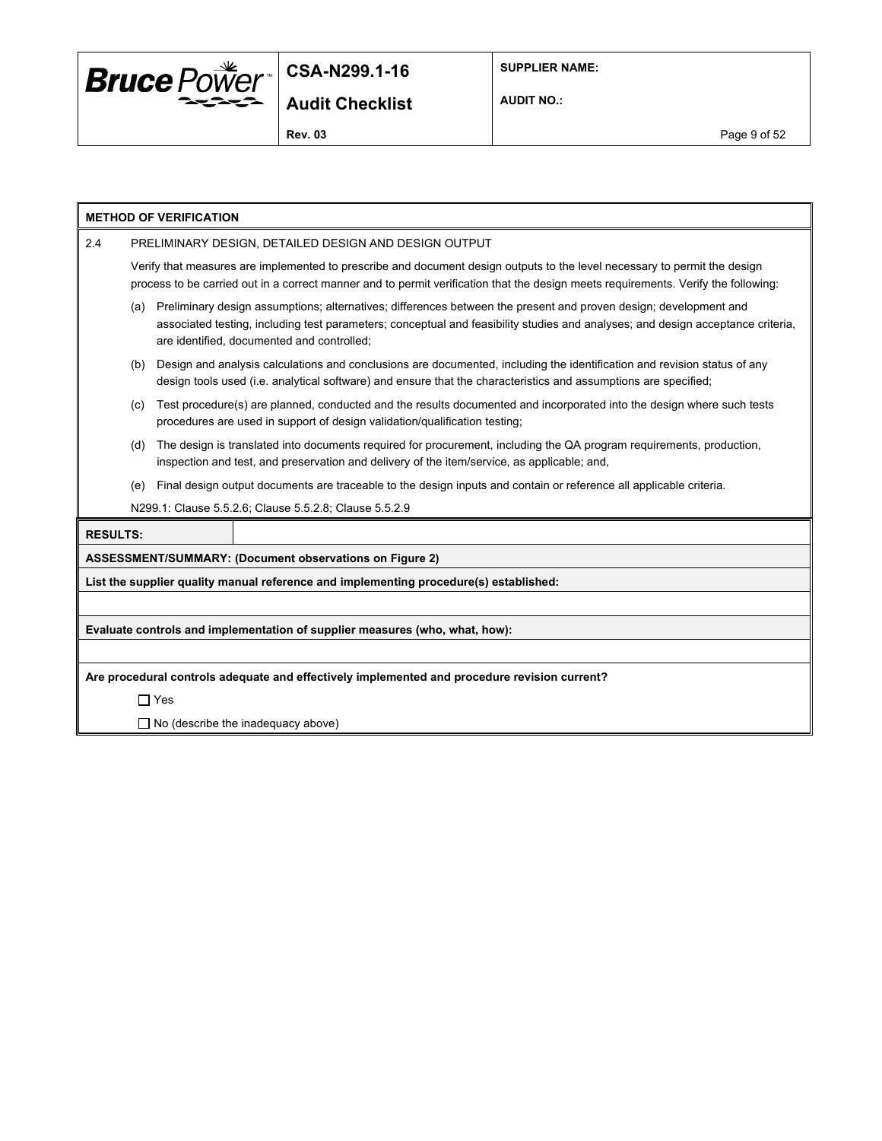

**SUPPLIER NAME:**

**AUDIT NO.:**

**Rev. 03** Page 9 of 52

|                 |                                                                                                                                                                                                                                                                 | <b>METHOD OF VERIFICATION</b>                                                                                                                                                                                                                                                                     |  |  |  |  |  |
|-----------------|-----------------------------------------------------------------------------------------------------------------------------------------------------------------------------------------------------------------------------------------------------------------|---------------------------------------------------------------------------------------------------------------------------------------------------------------------------------------------------------------------------------------------------------------------------------------------------|--|--|--|--|--|
| 2.4             |                                                                                                                                                                                                                                                                 | PRELIMINARY DESIGN, DETAILED DESIGN AND DESIGN OUTPUT                                                                                                                                                                                                                                             |  |  |  |  |  |
|                 | Verify that measures are implemented to prescribe and document design outputs to the level necessary to permit the design<br>process to be carried out in a correct manner and to permit verification that the design meets requirements. Verify the following: |                                                                                                                                                                                                                                                                                                   |  |  |  |  |  |
|                 | (a)                                                                                                                                                                                                                                                             | Preliminary design assumptions; alternatives; differences between the present and proven design; development and<br>associated testing, including test parameters; conceptual and feasibility studies and analyses; and design acceptance criteria,<br>are identified, documented and controlled; |  |  |  |  |  |
|                 | (b)                                                                                                                                                                                                                                                             | Design and analysis calculations and conclusions are documented, including the identification and revision status of any<br>design tools used (i.e. analytical software) and ensure that the characteristics and assumptions are specified;                                                       |  |  |  |  |  |
|                 | (C)                                                                                                                                                                                                                                                             | Test procedure(s) are planned, conducted and the results documented and incorporated into the design where such tests<br>procedures are used in support of design validation/qualification testing;                                                                                               |  |  |  |  |  |
|                 | (d)                                                                                                                                                                                                                                                             | The design is translated into documents required for procurement, including the QA program requirements, production,<br>inspection and test, and preservation and delivery of the item/service, as applicable; and,                                                                               |  |  |  |  |  |
|                 | (e)                                                                                                                                                                                                                                                             | Final design output documents are traceable to the design inputs and contain or reference all applicable criteria.                                                                                                                                                                                |  |  |  |  |  |
|                 | N299.1: Clause 5.5.2.6; Clause 5.5.2.8; Clause 5.5.2.9                                                                                                                                                                                                          |                                                                                                                                                                                                                                                                                                   |  |  |  |  |  |
| <b>RESULTS:</b> |                                                                                                                                                                                                                                                                 |                                                                                                                                                                                                                                                                                                   |  |  |  |  |  |
|                 |                                                                                                                                                                                                                                                                 | ASSESSMENT/SUMMARY: (Document observations on Figure 2)                                                                                                                                                                                                                                           |  |  |  |  |  |
|                 |                                                                                                                                                                                                                                                                 | List the supplier quality manual reference and implementing procedure(s) established:                                                                                                                                                                                                             |  |  |  |  |  |
|                 |                                                                                                                                                                                                                                                                 |                                                                                                                                                                                                                                                                                                   |  |  |  |  |  |
|                 |                                                                                                                                                                                                                                                                 | Evaluate controls and implementation of supplier measures (who, what, how):                                                                                                                                                                                                                       |  |  |  |  |  |
|                 |                                                                                                                                                                                                                                                                 |                                                                                                                                                                                                                                                                                                   |  |  |  |  |  |
|                 |                                                                                                                                                                                                                                                                 | Are procedural controls adequate and effectively implemented and procedure revision current?                                                                                                                                                                                                      |  |  |  |  |  |
|                 |                                                                                                                                                                                                                                                                 | $\Box$ Yes                                                                                                                                                                                                                                                                                        |  |  |  |  |  |
|                 |                                                                                                                                                                                                                                                                 | $\Box$ No (describe the inadequacy above)                                                                                                                                                                                                                                                         |  |  |  |  |  |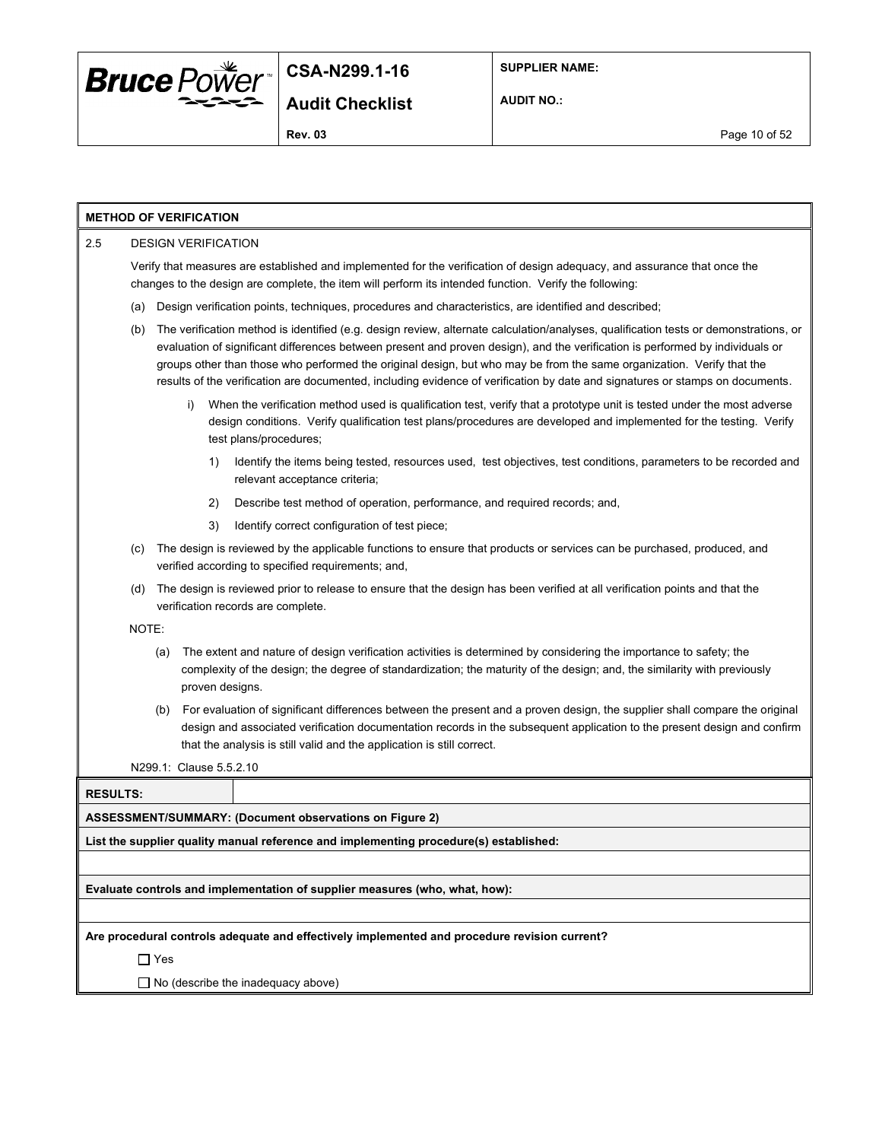

**AUDIT NO.:**

## **METHOD OF VERIFICATION**

#### 2.5 DESIGN VERIFICATION Verify that measures are established and implemented for the verification of design adequacy, and assurance that once the changes to the design are complete, the item will perform its intended function. Verify the following:

- (a) Design verification points, techniques, procedures and characteristics, are identified and described;
- (b) The verification method is identified (e.g. design review, alternate calculation/analyses, qualification tests or demonstrations, or evaluation of significant differences between present and proven design), and the verification is performed by individuals or groups other than those who performed the original design, but who may be from the same organization. Verify that the results of the verification are documented, including evidence of verification by date and signatures or stamps on documents.
	- i) When the verification method used is qualification test, verify that a prototype unit is tested under the most adverse design conditions. Verify qualification test plans/procedures are developed and implemented for the testing. Verify test plans/procedures;
		- 1) Identify the items being tested, resources used, test objectives, test conditions, parameters to be recorded and relevant acceptance criteria;
		- 2) Describe test method of operation, performance, and required records; and,
		- 3) Identify correct configuration of test piece;
- (c) The design is reviewed by the applicable functions to ensure that products or services can be purchased, produced, and verified according to specified requirements; and,
- (d) The design is reviewed prior to release to ensure that the design has been verified at all verification points and that the verification records are complete.

NOTE:

- (a) The extent and nature of design verification activities is determined by considering the importance to safety; the complexity of the design; the degree of standardization; the maturity of the design; and, the similarity with previously proven designs.
- (b) For evaluation of significant differences between the present and a proven design, the supplier shall compare the original design and associated verification documentation records in the subsequent application to the present design and confirm that the analysis is still valid and the application is still correct.

N299.1: Clause 5.5.2.10

**RESULTS:**

**ASSESSMENT/SUMMARY: (Document observations on Figure 2)**

**List the supplier quality manual reference and implementing procedure(s) established:**

**Evaluate controls and implementation of supplier measures (who, what, how):**

**Are procedural controls adequate and effectively implemented and procedure revision current?**

Yes

 $\Box$  No (describe the inadequacy above)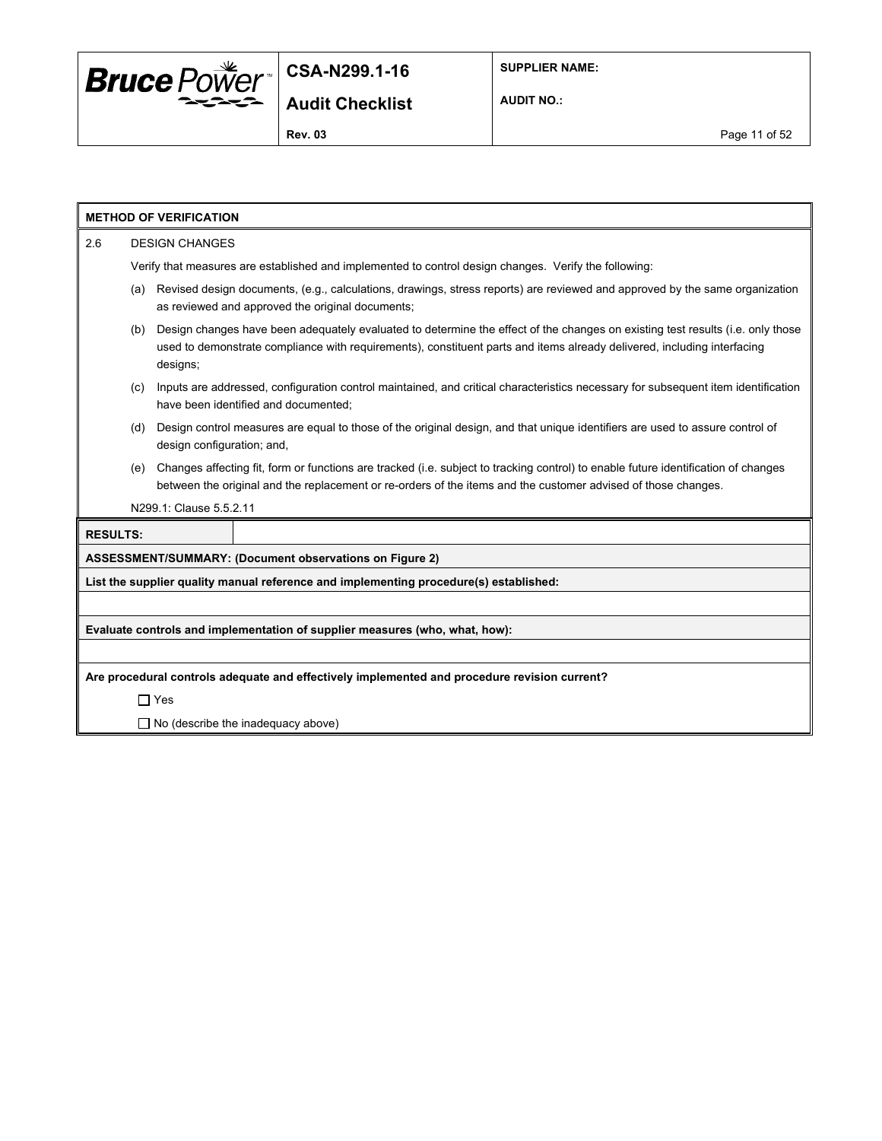

**AUDIT NO.:**

|                 |                                                                                                                                                                                                                                                                              | <b>METHOD OF VERIFICATION</b> |                                                                                                                                                                                                                                                     |  |  |  |
|-----------------|------------------------------------------------------------------------------------------------------------------------------------------------------------------------------------------------------------------------------------------------------------------------------|-------------------------------|-----------------------------------------------------------------------------------------------------------------------------------------------------------------------------------------------------------------------------------------------------|--|--|--|
| 2.6             |                                                                                                                                                                                                                                                                              | <b>DESIGN CHANGES</b>         |                                                                                                                                                                                                                                                     |  |  |  |
|                 |                                                                                                                                                                                                                                                                              |                               | Verify that measures are established and implemented to control design changes. Verify the following:                                                                                                                                               |  |  |  |
|                 | (a)                                                                                                                                                                                                                                                                          |                               | Revised design documents, (e.g., calculations, drawings, stress reports) are reviewed and approved by the same organization<br>as reviewed and approved the original documents;                                                                     |  |  |  |
|                 | Design changes have been adequately evaluated to determine the effect of the changes on existing test results (i.e. only those<br>(b)<br>used to demonstrate compliance with requirements), constituent parts and items already delivered, including interfacing<br>designs; |                               |                                                                                                                                                                                                                                                     |  |  |  |
|                 | (c)                                                                                                                                                                                                                                                                          |                               | Inputs are addressed, configuration control maintained, and critical characteristics necessary for subsequent item identification<br>have been identified and documented;                                                                           |  |  |  |
|                 | (d)                                                                                                                                                                                                                                                                          | design configuration; and,    | Design control measures are equal to those of the original design, and that unique identifiers are used to assure control of                                                                                                                        |  |  |  |
|                 | (e)                                                                                                                                                                                                                                                                          |                               | Changes affecting fit, form or functions are tracked (i.e. subject to tracking control) to enable future identification of changes<br>between the original and the replacement or re-orders of the items and the customer advised of those changes. |  |  |  |
|                 |                                                                                                                                                                                                                                                                              | N299.1: Clause 5.5.2.11       |                                                                                                                                                                                                                                                     |  |  |  |
| <b>RESULTS:</b> |                                                                                                                                                                                                                                                                              |                               |                                                                                                                                                                                                                                                     |  |  |  |
|                 |                                                                                                                                                                                                                                                                              |                               | ASSESSMENT/SUMMARY: (Document observations on Figure 2)                                                                                                                                                                                             |  |  |  |
|                 |                                                                                                                                                                                                                                                                              |                               | List the supplier quality manual reference and implementing procedure(s) established:                                                                                                                                                               |  |  |  |
|                 |                                                                                                                                                                                                                                                                              |                               |                                                                                                                                                                                                                                                     |  |  |  |
|                 |                                                                                                                                                                                                                                                                              |                               | Evaluate controls and implementation of supplier measures (who, what, how):                                                                                                                                                                         |  |  |  |
|                 |                                                                                                                                                                                                                                                                              |                               |                                                                                                                                                                                                                                                     |  |  |  |
|                 |                                                                                                                                                                                                                                                                              |                               | Are procedural controls adequate and effectively implemented and procedure revision current?                                                                                                                                                        |  |  |  |
|                 |                                                                                                                                                                                                                                                                              | $\Box$ Yes                    |                                                                                                                                                                                                                                                     |  |  |  |
|                 | $\Box$ No (describe the inadequacy above)                                                                                                                                                                                                                                    |                               |                                                                                                                                                                                                                                                     |  |  |  |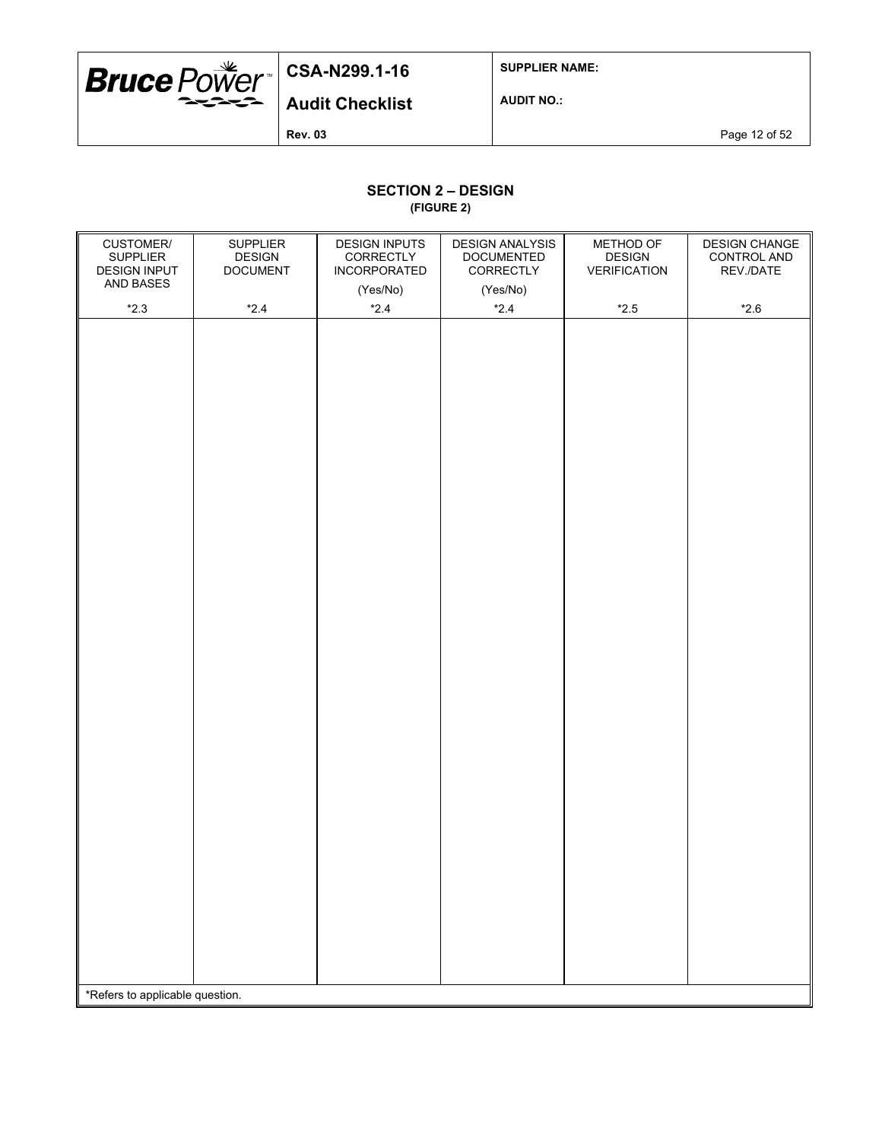

**SUPPLIER NAME:**

**Audit Checklist**

**AUDIT NO.:**

**Rev. 03** Page 12 of 52

### **SECTION 2 – DESIGN**

**(FIGURE 2)**

| (Yes/No)<br>(Yes/No)<br>$*2.3$<br>$*2.4$<br>$*2.4$<br>$*2.4$<br>$^{\star}2.5$<br>$*2.6$ |  |
|-----------------------------------------------------------------------------------------|--|
|                                                                                         |  |
|                                                                                         |  |
| *Refers to applicable question.                                                         |  |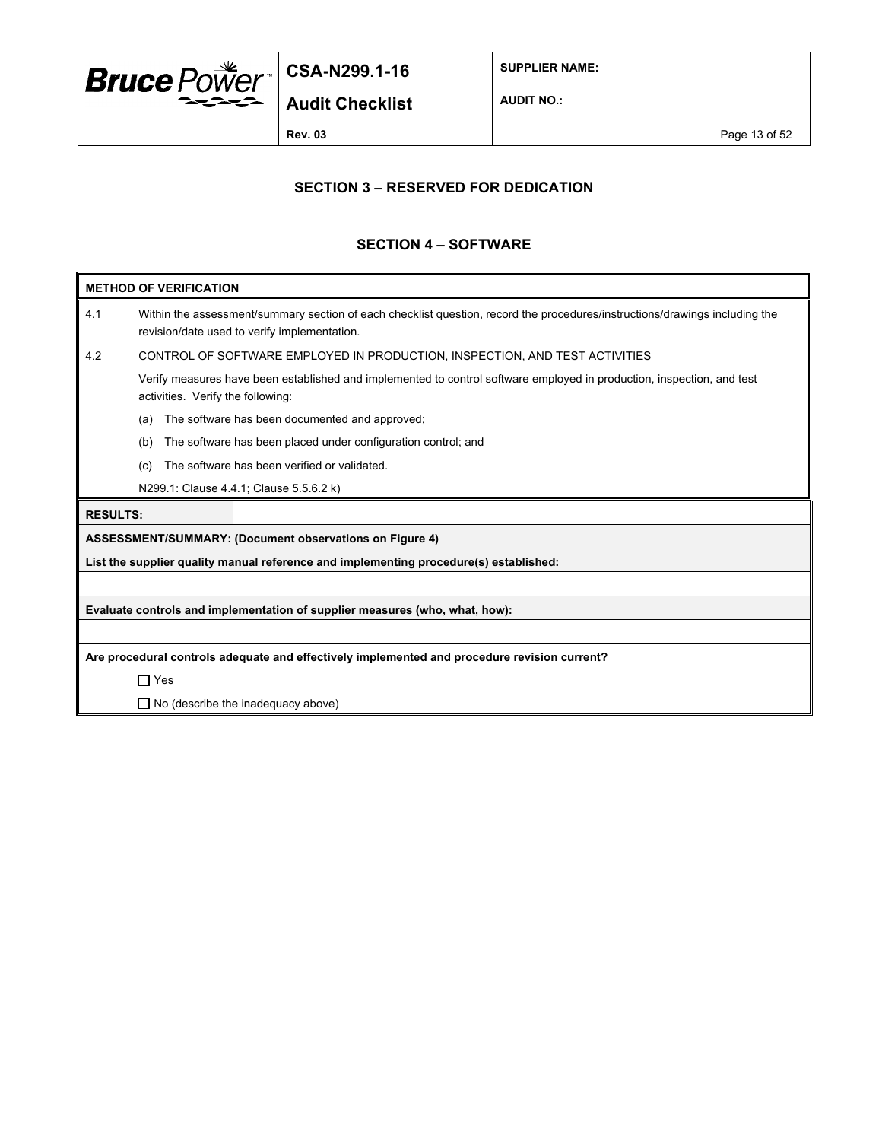

**SUPPLIER NAME:**

**AUDIT NO.:**

**Rev. 03** Page 13 of 52

#### **SECTION 3 – RESERVED FOR DEDICATION**

#### **SECTION 4 – SOFTWARE**

| Within the assessment/summary section of each checklist question, record the procedures/instructions/drawings including the<br>4.1<br>revision/date used to verify implementation.<br>4.2<br>CONTROL OF SOFTWARE EMPLOYED IN PRODUCTION, INSPECTION, AND TEST ACTIVITIES<br>Verify measures have been established and implemented to control software employed in production, inspection, and test<br>activities. Verify the following:<br>The software has been documented and approved;<br>(a)<br>The software has been placed under configuration control; and<br>(b)<br>The software has been verified or validated.<br>(c)<br>N299.1: Clause 4.4.1; Clause 5.5.6.2 k)<br><b>RESULTS:</b><br><b>ASSESSMENT/SUMMARY: (Document observations on Figure 4)</b><br>List the supplier quality manual reference and implementing procedure(s) established:<br>Evaluate controls and implementation of supplier measures (who, what, how): | <b>METHOD OF VERIFICATION</b> |  |  |  |  |  |  |  |
|-----------------------------------------------------------------------------------------------------------------------------------------------------------------------------------------------------------------------------------------------------------------------------------------------------------------------------------------------------------------------------------------------------------------------------------------------------------------------------------------------------------------------------------------------------------------------------------------------------------------------------------------------------------------------------------------------------------------------------------------------------------------------------------------------------------------------------------------------------------------------------------------------------------------------------------------|-------------------------------|--|--|--|--|--|--|--|
|                                                                                                                                                                                                                                                                                                                                                                                                                                                                                                                                                                                                                                                                                                                                                                                                                                                                                                                                         |                               |  |  |  |  |  |  |  |
|                                                                                                                                                                                                                                                                                                                                                                                                                                                                                                                                                                                                                                                                                                                                                                                                                                                                                                                                         |                               |  |  |  |  |  |  |  |
|                                                                                                                                                                                                                                                                                                                                                                                                                                                                                                                                                                                                                                                                                                                                                                                                                                                                                                                                         |                               |  |  |  |  |  |  |  |
|                                                                                                                                                                                                                                                                                                                                                                                                                                                                                                                                                                                                                                                                                                                                                                                                                                                                                                                                         |                               |  |  |  |  |  |  |  |
|                                                                                                                                                                                                                                                                                                                                                                                                                                                                                                                                                                                                                                                                                                                                                                                                                                                                                                                                         |                               |  |  |  |  |  |  |  |
|                                                                                                                                                                                                                                                                                                                                                                                                                                                                                                                                                                                                                                                                                                                                                                                                                                                                                                                                         |                               |  |  |  |  |  |  |  |
|                                                                                                                                                                                                                                                                                                                                                                                                                                                                                                                                                                                                                                                                                                                                                                                                                                                                                                                                         |                               |  |  |  |  |  |  |  |
|                                                                                                                                                                                                                                                                                                                                                                                                                                                                                                                                                                                                                                                                                                                                                                                                                                                                                                                                         |                               |  |  |  |  |  |  |  |
|                                                                                                                                                                                                                                                                                                                                                                                                                                                                                                                                                                                                                                                                                                                                                                                                                                                                                                                                         |                               |  |  |  |  |  |  |  |
|                                                                                                                                                                                                                                                                                                                                                                                                                                                                                                                                                                                                                                                                                                                                                                                                                                                                                                                                         |                               |  |  |  |  |  |  |  |
|                                                                                                                                                                                                                                                                                                                                                                                                                                                                                                                                                                                                                                                                                                                                                                                                                                                                                                                                         |                               |  |  |  |  |  |  |  |
|                                                                                                                                                                                                                                                                                                                                                                                                                                                                                                                                                                                                                                                                                                                                                                                                                                                                                                                                         |                               |  |  |  |  |  |  |  |
|                                                                                                                                                                                                                                                                                                                                                                                                                                                                                                                                                                                                                                                                                                                                                                                                                                                                                                                                         |                               |  |  |  |  |  |  |  |
| Are procedural controls adequate and effectively implemented and procedure revision current?                                                                                                                                                                                                                                                                                                                                                                                                                                                                                                                                                                                                                                                                                                                                                                                                                                            |                               |  |  |  |  |  |  |  |
| $\Box$ Yes                                                                                                                                                                                                                                                                                                                                                                                                                                                                                                                                                                                                                                                                                                                                                                                                                                                                                                                              |                               |  |  |  |  |  |  |  |
| $\Box$ No (describe the inadequacy above)                                                                                                                                                                                                                                                                                                                                                                                                                                                                                                                                                                                                                                                                                                                                                                                                                                                                                               |                               |  |  |  |  |  |  |  |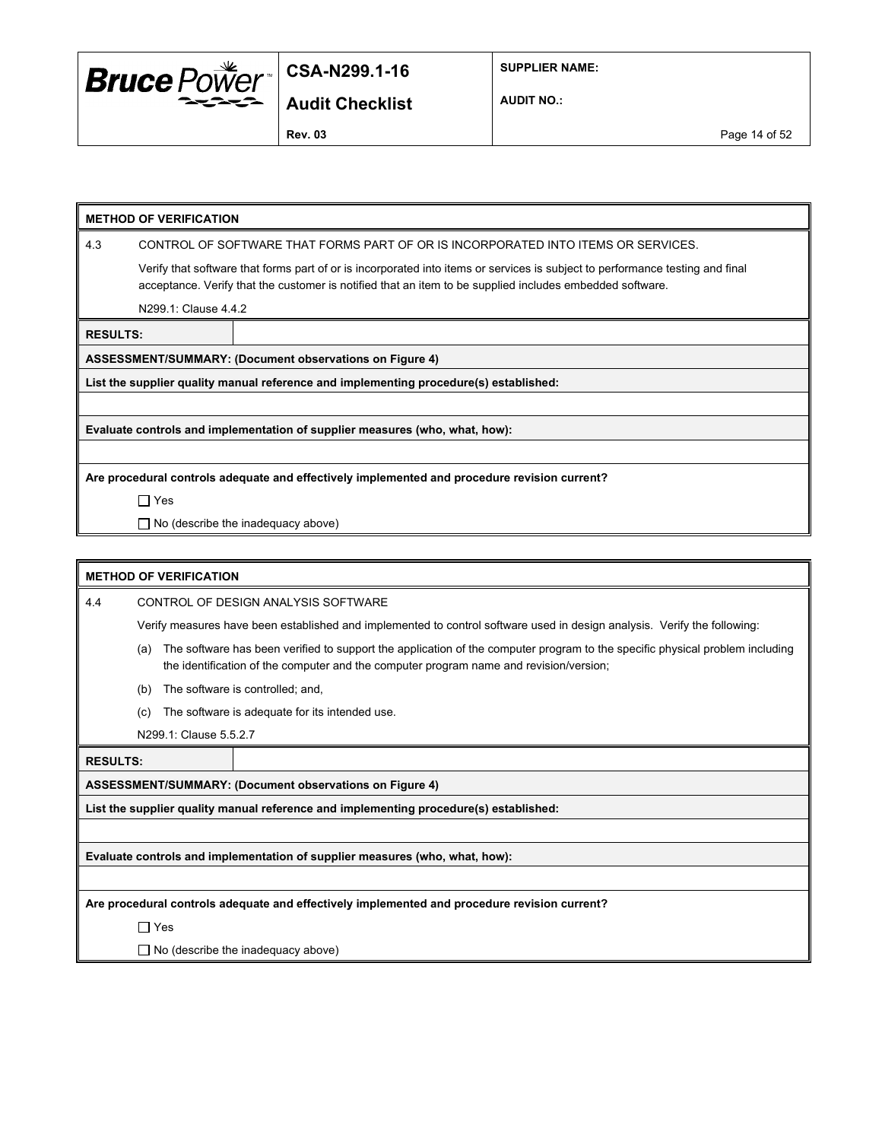

**SUPPLIER NAME:**

**Audit Checklist**

**AUDIT NO.:**

**Rev. 03** Page 14 of 52

#### **METHOD OF VERIFICATION**

4.3 CONTROL OF SOFTWARE THAT FORMS PART OF OR IS INCORPORATED INTO ITEMS OR SERVICES.

Verify that software that forms part of or is incorporated into items or services is subject to performance testing and final acceptance. Verify that the customer is notified that an item to be supplied includes embedded software.

N299.1: Clause 4.4.2

**RESULTS:**

**ASSESSMENT/SUMMARY: (Document observations on Figure 4)**

**List the supplier quality manual reference and implementing procedure(s) established:**

**Evaluate controls and implementation of supplier measures (who, what, how):**

**Are procedural controls adequate and effectively implemented and procedure revision current?**

Yes

□ No (describe the inadequacy above)

#### **METHOD OF VERIFICATION**

4.4 CONTROL OF DESIGN ANALYSIS SOFTWARE

Verify measures have been established and implemented to control software used in design analysis. Verify the following:

- (a) The software has been verified to support the application of the computer program to the specific physical problem including the identification of the computer and the computer program name and revision/version;
- (b) The software is controlled; and,
- (c) The software is adequate for its intended use.
- N299.1: Clause 5.5.2.7

**RESULTS:**

**ASSESSMENT/SUMMARY: (Document observations on Figure 4)**

**List the supplier quality manual reference and implementing procedure(s) established:**

**Evaluate controls and implementation of supplier measures (who, what, how):**

**Are procedural controls adequate and effectively implemented and procedure revision current?**

□ Yes

 $\Box$  No (describe the inadequacy above)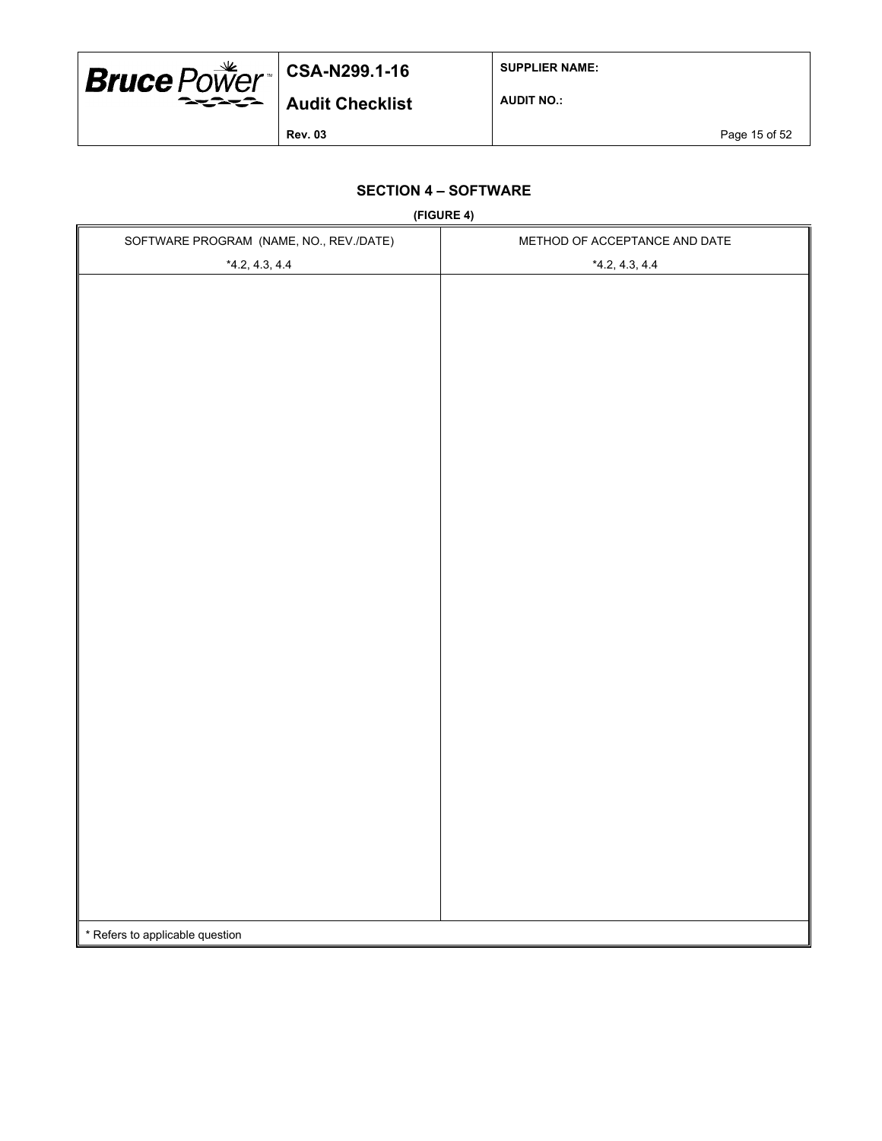

**SUPPLIER NAME:**

**AUDIT NO.:**

**Rev. 03** Page 15 of 52

## **SECTION 4 – SOFTWARE**

**(FIGURE 4)**

| SOFTWARE PROGRAM (NAME, NO., REV./DATE) | $\cdots$ $\cdots$<br>METHOD OF ACCEPTANCE AND DATE |
|-----------------------------------------|----------------------------------------------------|
| $*4.2, 4.3, 4.4$                        | $*4.2, 4.3, 4.4$                                   |
|                                         |                                                    |
|                                         |                                                    |
|                                         |                                                    |
|                                         |                                                    |
|                                         |                                                    |
|                                         |                                                    |
|                                         |                                                    |
|                                         |                                                    |
|                                         |                                                    |
|                                         |                                                    |
|                                         |                                                    |
|                                         |                                                    |
|                                         |                                                    |
|                                         |                                                    |
|                                         |                                                    |
|                                         |                                                    |
|                                         |                                                    |
|                                         |                                                    |
|                                         |                                                    |
|                                         |                                                    |
|                                         |                                                    |
|                                         |                                                    |
|                                         |                                                    |
|                                         |                                                    |
|                                         |                                                    |
|                                         |                                                    |
|                                         |                                                    |
|                                         |                                                    |
|                                         |                                                    |
| * Refers to applicable question         |                                                    |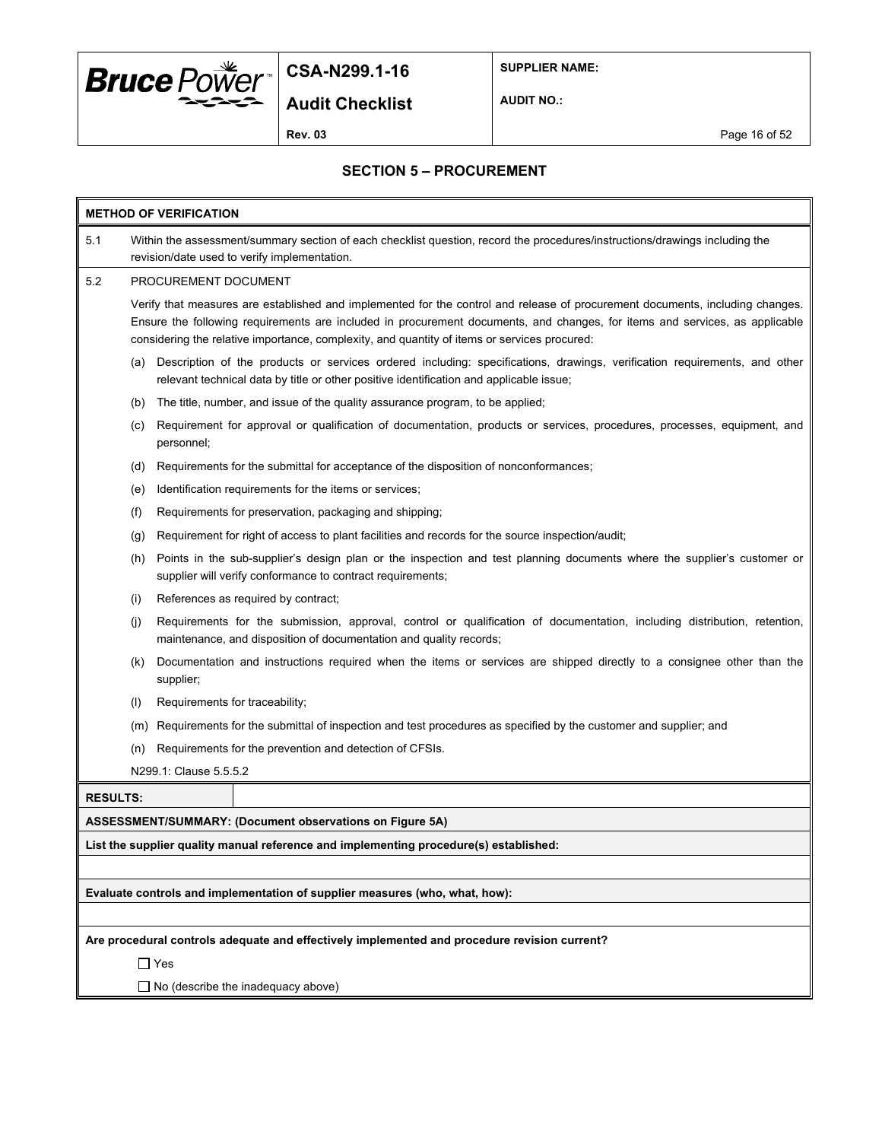

**Audit Checklist**

**SUPPLIER NAME:**

**AUDIT NO.:**

**Rev. 03** Page 16 of 52

## **SECTION 5 – PROCUREMENT**

| <b>METHOD OF VERIFICATION</b>                                                                                                                                                                |                                                                                                                                                                                                                                                                                                                                                              |                                                                                                                                                                                                                      |  |  |  |  |
|----------------------------------------------------------------------------------------------------------------------------------------------------------------------------------------------|--------------------------------------------------------------------------------------------------------------------------------------------------------------------------------------------------------------------------------------------------------------------------------------------------------------------------------------------------------------|----------------------------------------------------------------------------------------------------------------------------------------------------------------------------------------------------------------------|--|--|--|--|
| 5.1                                                                                                                                                                                          | Within the assessment/summary section of each checklist question, record the procedures/instructions/drawings including the<br>revision/date used to verify implementation.                                                                                                                                                                                  |                                                                                                                                                                                                                      |  |  |  |  |
| 5.2                                                                                                                                                                                          | PROCUREMENT DOCUMENT                                                                                                                                                                                                                                                                                                                                         |                                                                                                                                                                                                                      |  |  |  |  |
|                                                                                                                                                                                              | Verify that measures are established and implemented for the control and release of procurement documents, including changes.<br>Ensure the following requirements are included in procurement documents, and changes, for items and services, as applicable<br>considering the relative importance, complexity, and quantity of items or services procured: |                                                                                                                                                                                                                      |  |  |  |  |
|                                                                                                                                                                                              | (a)                                                                                                                                                                                                                                                                                                                                                          | Description of the products or services ordered including: specifications, drawings, verification requirements, and other<br>relevant technical data by title or other positive identification and applicable issue; |  |  |  |  |
|                                                                                                                                                                                              | (b)                                                                                                                                                                                                                                                                                                                                                          | The title, number, and issue of the quality assurance program, to be applied;                                                                                                                                        |  |  |  |  |
|                                                                                                                                                                                              | (c)                                                                                                                                                                                                                                                                                                                                                          | Requirement for approval or qualification of documentation, products or services, procedures, processes, equipment, and<br>personnel;                                                                                |  |  |  |  |
|                                                                                                                                                                                              | (d)                                                                                                                                                                                                                                                                                                                                                          | Requirements for the submittal for acceptance of the disposition of nonconformances;                                                                                                                                 |  |  |  |  |
|                                                                                                                                                                                              | (e)                                                                                                                                                                                                                                                                                                                                                          | Identification requirements for the items or services;                                                                                                                                                               |  |  |  |  |
|                                                                                                                                                                                              | (f)                                                                                                                                                                                                                                                                                                                                                          | Requirements for preservation, packaging and shipping;                                                                                                                                                               |  |  |  |  |
|                                                                                                                                                                                              | (g)                                                                                                                                                                                                                                                                                                                                                          | Requirement for right of access to plant facilities and records for the source inspection/audit;                                                                                                                     |  |  |  |  |
| Points in the sub-supplier's design plan or the inspection and test planning documents where the supplier's customer or<br>(h)<br>supplier will verify conformance to contract requirements; |                                                                                                                                                                                                                                                                                                                                                              |                                                                                                                                                                                                                      |  |  |  |  |
| References as required by contract;<br>(i)                                                                                                                                                   |                                                                                                                                                                                                                                                                                                                                                              |                                                                                                                                                                                                                      |  |  |  |  |
|                                                                                                                                                                                              | Requirements for the submission, approval, control or qualification of documentation, including distribution, retention,<br>(i)<br>maintenance, and disposition of documentation and quality records;                                                                                                                                                        |                                                                                                                                                                                                                      |  |  |  |  |
|                                                                                                                                                                                              | (k)                                                                                                                                                                                                                                                                                                                                                          | Documentation and instructions required when the items or services are shipped directly to a consignee other than the<br>supplier;                                                                                   |  |  |  |  |
|                                                                                                                                                                                              | (1)                                                                                                                                                                                                                                                                                                                                                          | Requirements for traceability;                                                                                                                                                                                       |  |  |  |  |
|                                                                                                                                                                                              | (m)                                                                                                                                                                                                                                                                                                                                                          | Requirements for the submittal of inspection and test procedures as specified by the customer and supplier; and                                                                                                      |  |  |  |  |
|                                                                                                                                                                                              | (n)                                                                                                                                                                                                                                                                                                                                                          | Requirements for the prevention and detection of CFSIs.                                                                                                                                                              |  |  |  |  |
|                                                                                                                                                                                              |                                                                                                                                                                                                                                                                                                                                                              | N299.1: Clause 5.5.5.2                                                                                                                                                                                               |  |  |  |  |
| <b>RESULTS:</b>                                                                                                                                                                              |                                                                                                                                                                                                                                                                                                                                                              |                                                                                                                                                                                                                      |  |  |  |  |
| ASSESSMENT/SUMMARY: (Document observations on Figure 5A)                                                                                                                                     |                                                                                                                                                                                                                                                                                                                                                              |                                                                                                                                                                                                                      |  |  |  |  |
| List the supplier quality manual reference and implementing procedure(s) established:                                                                                                        |                                                                                                                                                                                                                                                                                                                                                              |                                                                                                                                                                                                                      |  |  |  |  |
|                                                                                                                                                                                              |                                                                                                                                                                                                                                                                                                                                                              |                                                                                                                                                                                                                      |  |  |  |  |
| Evaluate controls and implementation of supplier measures (who, what, how):                                                                                                                  |                                                                                                                                                                                                                                                                                                                                                              |                                                                                                                                                                                                                      |  |  |  |  |
|                                                                                                                                                                                              |                                                                                                                                                                                                                                                                                                                                                              |                                                                                                                                                                                                                      |  |  |  |  |
|                                                                                                                                                                                              |                                                                                                                                                                                                                                                                                                                                                              | Are procedural controls adequate and effectively implemented and procedure revision current?                                                                                                                         |  |  |  |  |
|                                                                                                                                                                                              |                                                                                                                                                                                                                                                                                                                                                              | $\Box$ Yes                                                                                                                                                                                                           |  |  |  |  |
|                                                                                                                                                                                              | $\Box$ No (describe the inadequacy above)                                                                                                                                                                                                                                                                                                                    |                                                                                                                                                                                                                      |  |  |  |  |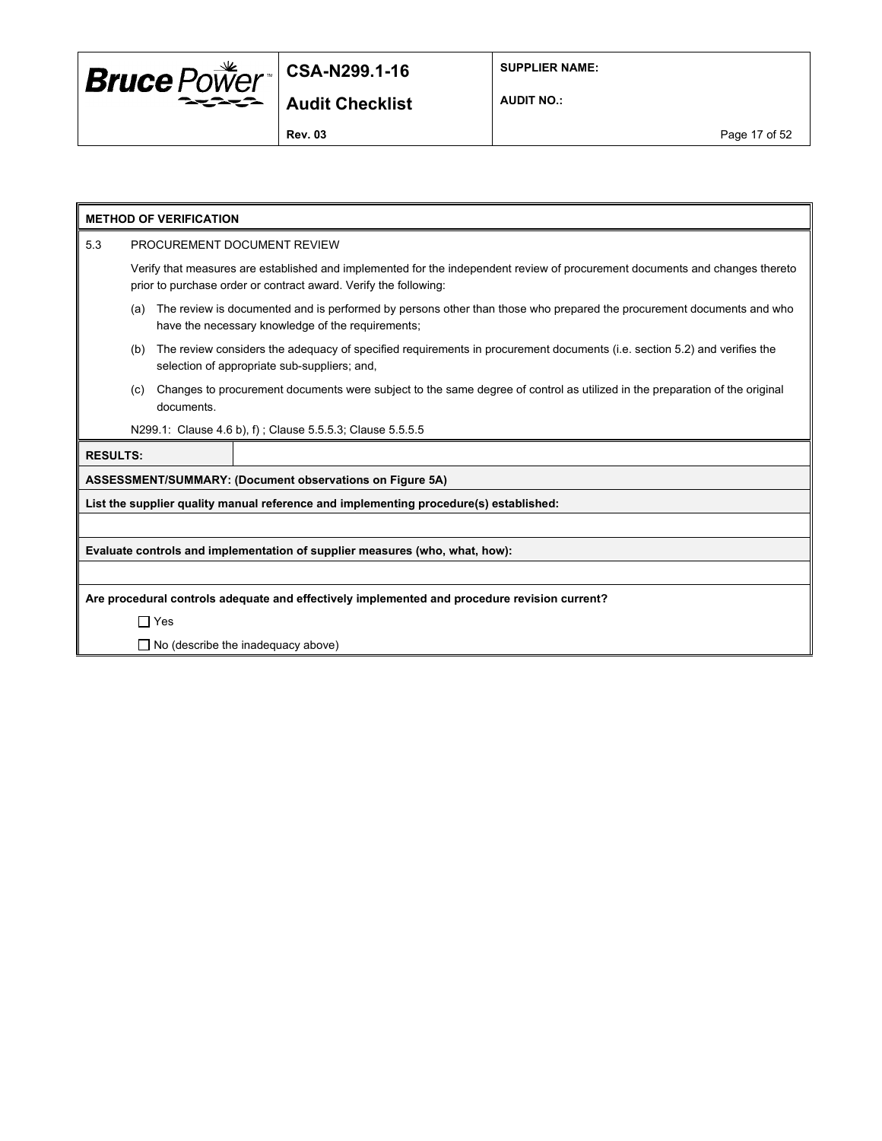

**SUPPLIER NAME:**

**AUDIT NO.:**

**Rev. 03** Page 17 of 52

|                                                                                              | <b>METHOD OF VERIFICATION</b>                                                                                                                                                                    |            |                                                                                                                                                                          |  |  |  |
|----------------------------------------------------------------------------------------------|--------------------------------------------------------------------------------------------------------------------------------------------------------------------------------------------------|------------|--------------------------------------------------------------------------------------------------------------------------------------------------------------------------|--|--|--|
| 5.3                                                                                          | PROCUREMENT DOCUMENT REVIEW                                                                                                                                                                      |            |                                                                                                                                                                          |  |  |  |
|                                                                                              | Verify that measures are established and implemented for the independent review of procurement documents and changes thereto<br>prior to purchase order or contract award. Verify the following: |            |                                                                                                                                                                          |  |  |  |
|                                                                                              | The review is documented and is performed by persons other than those who prepared the procurement documents and who<br>(a)<br>have the necessary knowledge of the requirements;                 |            |                                                                                                                                                                          |  |  |  |
|                                                                                              | (b)                                                                                                                                                                                              |            | The review considers the adequacy of specified requirements in procurement documents (i.e. section 5.2) and verifies the<br>selection of appropriate sub-suppliers; and, |  |  |  |
|                                                                                              | (c)                                                                                                                                                                                              | documents. | Changes to procurement documents were subject to the same degree of control as utilized in the preparation of the original                                               |  |  |  |
|                                                                                              |                                                                                                                                                                                                  |            | N299.1: Clause 4.6 b), f); Clause 5.5.5.3; Clause 5.5.5.5                                                                                                                |  |  |  |
| <b>RESULTS:</b>                                                                              |                                                                                                                                                                                                  |            |                                                                                                                                                                          |  |  |  |
|                                                                                              |                                                                                                                                                                                                  |            | ASSESSMENT/SUMMARY: (Document observations on Figure 5A)                                                                                                                 |  |  |  |
|                                                                                              |                                                                                                                                                                                                  |            | List the supplier quality manual reference and implementing procedure(s) established:                                                                                    |  |  |  |
|                                                                                              |                                                                                                                                                                                                  |            |                                                                                                                                                                          |  |  |  |
| Evaluate controls and implementation of supplier measures (who, what, how):                  |                                                                                                                                                                                                  |            |                                                                                                                                                                          |  |  |  |
|                                                                                              |                                                                                                                                                                                                  |            |                                                                                                                                                                          |  |  |  |
| Are procedural controls adequate and effectively implemented and procedure revision current? |                                                                                                                                                                                                  |            |                                                                                                                                                                          |  |  |  |
|                                                                                              | $\Box$ Yes                                                                                                                                                                                       |            |                                                                                                                                                                          |  |  |  |
|                                                                                              | $\Box$ No (describe the inadequacy above)                                                                                                                                                        |            |                                                                                                                                                                          |  |  |  |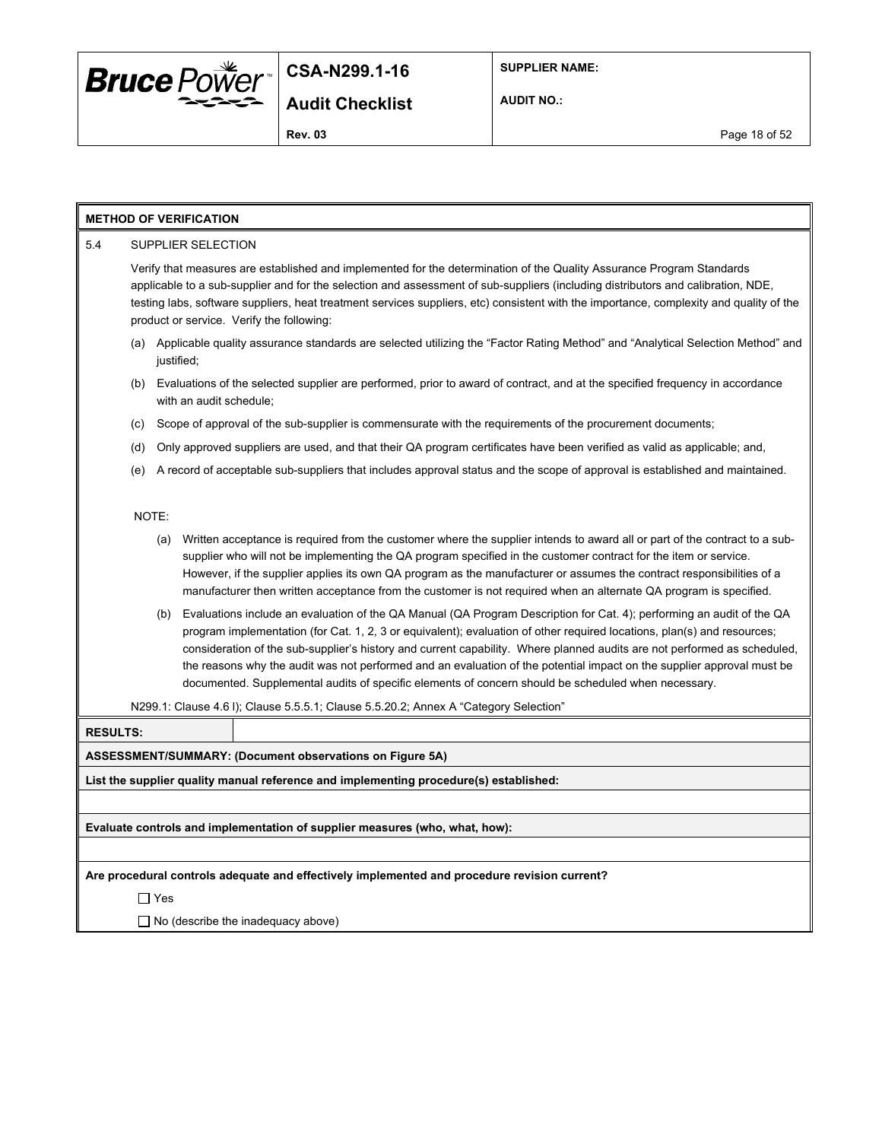

**SUPPLIER NAME:**

**AUDIT NO.:**

#### **METHOD OF VERIFICATION**

#### 5.4 SUPPLIER SELECTION

Verify that measures are established and implemented for the determination of the Quality Assurance Program Standards applicable to a sub-supplier and for the selection and assessment of sub-suppliers (including distributors and calibration, NDE, testing labs, software suppliers, heat treatment services suppliers, etc) consistent with the importance, complexity and quality of the product or service. Verify the following:

- (a) Applicable quality assurance standards are selected utilizing the "Factor Rating Method" and "Analytical Selection Method" and justified;
- (b) Evaluations of the selected supplier are performed, prior to award of contract, and at the specified frequency in accordance with an audit schedule;
- (c) Scope of approval of the sub-supplier is commensurate with the requirements of the procurement documents;
- (d) Only approved suppliers are used, and that their QA program certificates have been verified as valid as applicable; and,
- (e) A record of acceptable sub-suppliers that includes approval status and the scope of approval is established and maintained.

#### NOTE:

- (a) Written acceptance is required from the customer where the supplier intends to award all or part of the contract to a subsupplier who will not be implementing the QA program specified in the customer contract for the item or service. However, if the supplier applies its own QA program as the manufacturer or assumes the contract responsibilities of a manufacturer then written acceptance from the customer is not required when an alternate QA program is specified.
- (b) Evaluations include an evaluation of the QA Manual (QA Program Description for Cat. 4); performing an audit of the QA program implementation (for Cat. 1, 2, 3 or equivalent); evaluation of other required locations, plan(s) and resources; consideration of the sub-supplier's history and current capability. Where planned audits are not performed as scheduled, the reasons why the audit was not performed and an evaluation of the potential impact on the supplier approval must be documented. Supplemental audits of specific elements of concern should be scheduled when necessary.

N299.1: Clause 4.6 l); Clause 5.5.5.1; Clause 5.5.20.2; Annex A "Category Selection"

#### **RESULTS:**

#### **ASSESSMENT/SUMMARY: (Document observations on Figure 5A)**

**List the supplier quality manual reference and implementing procedure(s) established:**

**Evaluate controls and implementation of supplier measures (who, what, how):**

**Are procedural controls adequate and effectively implemented and procedure revision current?**

Yes

 $\Box$  No (describe the inadequacy above)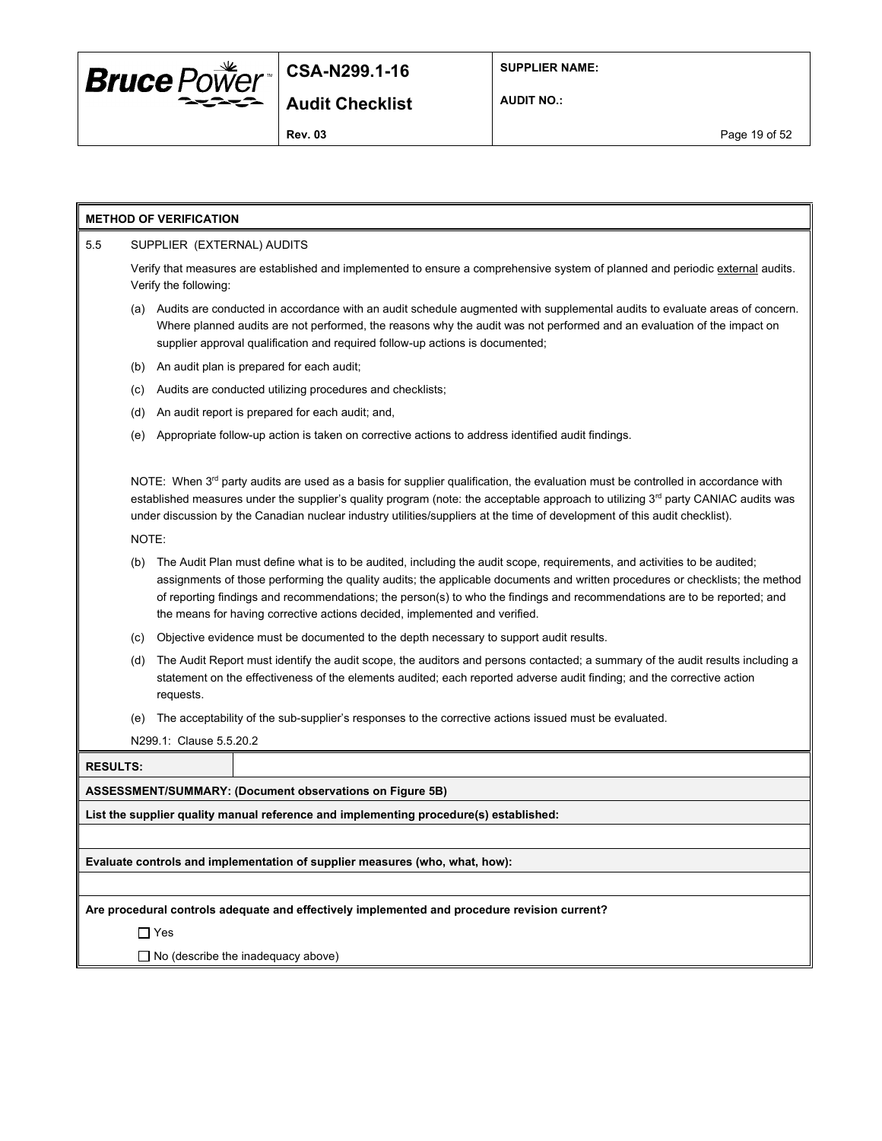

**SUPPLIER NAME:**

**AUDIT NO.:**

**Rev. 03** Page 19 of 52

#### **METHOD OF VERIFICATION**

#### 5.5 SUPPLIER (EXTERNAL) AUDITS

Verify that measures are established and implemented to ensure a comprehensive system of planned and periodic external audits. Verify the following:

- (a) Audits are conducted in accordance with an audit schedule augmented with supplemental audits to evaluate areas of concern. Where planned audits are not performed, the reasons why the audit was not performed and an evaluation of the impact on supplier approval qualification and required follow-up actions is documented;
- (b) An audit plan is prepared for each audit;
- (c) Audits are conducted utilizing procedures and checklists;
- (d) An audit report is prepared for each audit; and,
- (e) Appropriate follow-up action is taken on corrective actions to address identified audit findings.

NOTE: When  $3^{rd}$  party audits are used as a basis for supplier qualification, the evaluation must be controlled in accordance with established measures under the supplier's quality program (note: the acceptable approach to utilizing 3<sup>rd</sup> party CANIAC audits was under discussion by the Canadian nuclear industry utilities/suppliers at the time of development of this audit checklist).

NOTE:

- (b) The Audit Plan must define what is to be audited, including the audit scope, requirements, and activities to be audited; assignments of those performing the quality audits; the applicable documents and written procedures or checklists; the method of reporting findings and recommendations; the person(s) to who the findings and recommendations are to be reported; and the means for having corrective actions decided, implemented and verified.
- (c) Objective evidence must be documented to the depth necessary to support audit results.
- (d) The Audit Report must identify the audit scope, the auditors and persons contacted; a summary of the audit results including a statement on the effectiveness of the elements audited; each reported adverse audit finding; and the corrective action requests.
- (e) The acceptability of the sub-supplier's responses to the corrective actions issued must be evaluated.

N299.1: Clause 5.5.20.2

| <b>RESULTS:</b> |
|-----------------|
|                 |

**ASSESSMENT/SUMMARY: (Document observations on Figure 5B)**

**List the supplier quality manual reference and implementing procedure(s) established:**

**Evaluate controls and implementation of supplier measures (who, what, how):**

**Are procedural controls adequate and effectively implemented and procedure revision current?**

□ Yes

 $\Box$  No (describe the inadequacy above)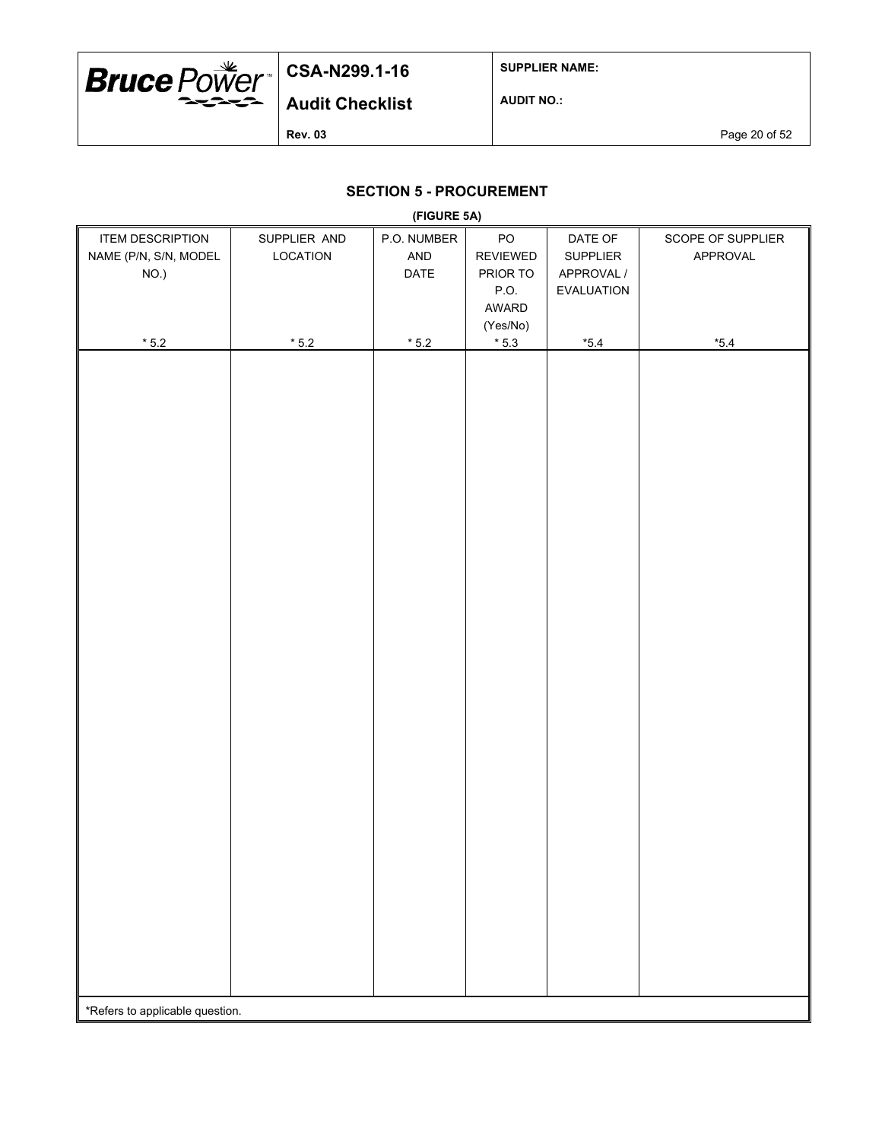

**SUPPLIER NAME:**

**AUDIT NO.:**

**Rev. 03** Page 20 of 52

## **SECTION 5 - PROCUREMENT**

| (FIGURE 5A)                     |                |                |                 |                   |                   |  |  |
|---------------------------------|----------------|----------------|-----------------|-------------------|-------------------|--|--|
| <b>ITEM DESCRIPTION</b>         | SUPPLIER AND   | P.O. NUMBER    | $\mathsf{PO}$   | DATE OF           | SCOPE OF SUPPLIER |  |  |
| NAME (P/N, S/N, MODEL           | LOCATION       | AND            | <b>REVIEWED</b> | SUPPLIER          | APPROVAL          |  |  |
| NO.)                            |                | DATE           | PRIOR TO        | APPROVAL /        |                   |  |  |
|                                 |                |                | P.O.            | <b>EVALUATION</b> |                   |  |  |
|                                 |                |                | AWARD           |                   |                   |  |  |
|                                 |                |                | (Yes/No)        |                   |                   |  |  |
| $^{\star}$ 5.2                  | $^{\star}$ 5.2 | $^{\star}$ 5.2 | $^{\star}$ 5.3  | $^{\star}5.4$     | $^{\star}5.4$     |  |  |
|                                 |                |                |                 |                   |                   |  |  |
|                                 |                |                |                 |                   |                   |  |  |
|                                 |                |                |                 |                   |                   |  |  |
|                                 |                |                |                 |                   |                   |  |  |
|                                 |                |                |                 |                   |                   |  |  |
|                                 |                |                |                 |                   |                   |  |  |
|                                 |                |                |                 |                   |                   |  |  |
|                                 |                |                |                 |                   |                   |  |  |
|                                 |                |                |                 |                   |                   |  |  |
|                                 |                |                |                 |                   |                   |  |  |
|                                 |                |                |                 |                   |                   |  |  |
|                                 |                |                |                 |                   |                   |  |  |
|                                 |                |                |                 |                   |                   |  |  |
|                                 |                |                |                 |                   |                   |  |  |
|                                 |                |                |                 |                   |                   |  |  |
|                                 |                |                |                 |                   |                   |  |  |
|                                 |                |                |                 |                   |                   |  |  |
|                                 |                |                |                 |                   |                   |  |  |
|                                 |                |                |                 |                   |                   |  |  |
|                                 |                |                |                 |                   |                   |  |  |
|                                 |                |                |                 |                   |                   |  |  |
|                                 |                |                |                 |                   |                   |  |  |
|                                 |                |                |                 |                   |                   |  |  |
|                                 |                |                |                 |                   |                   |  |  |
|                                 |                |                |                 |                   |                   |  |  |
|                                 |                |                |                 |                   |                   |  |  |
|                                 |                |                |                 |                   |                   |  |  |
|                                 |                |                |                 |                   |                   |  |  |
|                                 |                |                |                 |                   |                   |  |  |
|                                 |                |                |                 |                   |                   |  |  |
|                                 |                |                |                 |                   |                   |  |  |
|                                 |                |                |                 |                   |                   |  |  |
|                                 |                |                |                 |                   |                   |  |  |
|                                 |                |                |                 |                   |                   |  |  |
|                                 |                |                |                 |                   |                   |  |  |
|                                 |                |                |                 |                   |                   |  |  |
| *Refers to applicable question. |                |                |                 |                   |                   |  |  |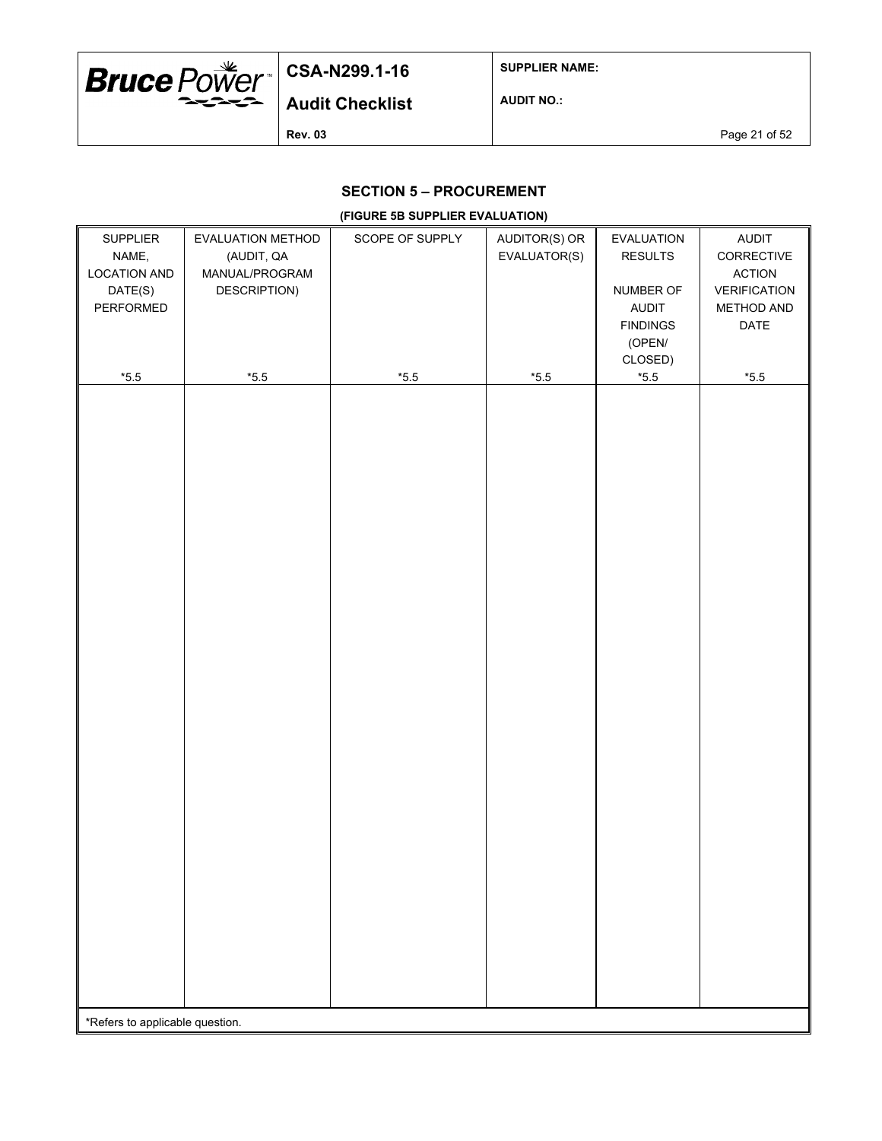

**SUPPLIER NAME:**

**AUDIT NO.:**

**Rev. 03** Page 21 of 52

### **SECTION 5 – PROCUREMENT**

#### **(FIGURE 5B SUPPLIER EVALUATION)**

| SUPPLIER                        | EVALUATION METHOD | SCOPE OF SUPPLY | AUDITOR(S) OR | EVALUATION      | AUDIT               |  |
|---------------------------------|-------------------|-----------------|---------------|-----------------|---------------------|--|
| NAME,                           | (AUDIT, QA        |                 | EVALUATOR(S)  | <b>RESULTS</b>  | CORRECTIVE          |  |
| <b>LOCATION AND</b>             | MANUAL/PROGRAM    |                 |               |                 | <b>ACTION</b>       |  |
| DATE(S)                         | DESCRIPTION)      |                 |               | NUMBER OF       | <b>VERIFICATION</b> |  |
| PERFORMED                       |                   |                 |               | AUDIT           | METHOD AND          |  |
|                                 |                   |                 |               | <b>FINDINGS</b> | DATE                |  |
|                                 |                   |                 |               | (OPEN/          |                     |  |
|                                 |                   |                 |               | CLOSED)         |                     |  |
| $^{\star}5.5$                   | $^{\star}5.5$     | $^{\star}5.5$   | $^{\ast}5.5$  | $^{\star}5.5$   | $^{\star}5.5$       |  |
|                                 |                   |                 |               |                 |                     |  |
|                                 |                   |                 |               |                 |                     |  |
|                                 |                   |                 |               |                 |                     |  |
|                                 |                   |                 |               |                 |                     |  |
|                                 |                   |                 |               |                 |                     |  |
|                                 |                   |                 |               |                 |                     |  |
|                                 |                   |                 |               |                 |                     |  |
|                                 |                   |                 |               |                 |                     |  |
|                                 |                   |                 |               |                 |                     |  |
|                                 |                   |                 |               |                 |                     |  |
|                                 |                   |                 |               |                 |                     |  |
|                                 |                   |                 |               |                 |                     |  |
|                                 |                   |                 |               |                 |                     |  |
|                                 |                   |                 |               |                 |                     |  |
|                                 |                   |                 |               |                 |                     |  |
|                                 |                   |                 |               |                 |                     |  |
|                                 |                   |                 |               |                 |                     |  |
|                                 |                   |                 |               |                 |                     |  |
|                                 |                   |                 |               |                 |                     |  |
|                                 |                   |                 |               |                 |                     |  |
|                                 |                   |                 |               |                 |                     |  |
|                                 |                   |                 |               |                 |                     |  |
|                                 |                   |                 |               |                 |                     |  |
|                                 |                   |                 |               |                 |                     |  |
|                                 |                   |                 |               |                 |                     |  |
|                                 |                   |                 |               |                 |                     |  |
|                                 |                   |                 |               |                 |                     |  |
|                                 |                   |                 |               |                 |                     |  |
|                                 |                   |                 |               |                 |                     |  |
|                                 |                   |                 |               |                 |                     |  |
|                                 |                   |                 |               |                 |                     |  |
|                                 |                   |                 |               |                 |                     |  |
|                                 |                   |                 |               |                 |                     |  |
|                                 |                   |                 |               |                 |                     |  |
|                                 |                   |                 |               |                 |                     |  |
| *Refers to applicable question. |                   |                 |               |                 |                     |  |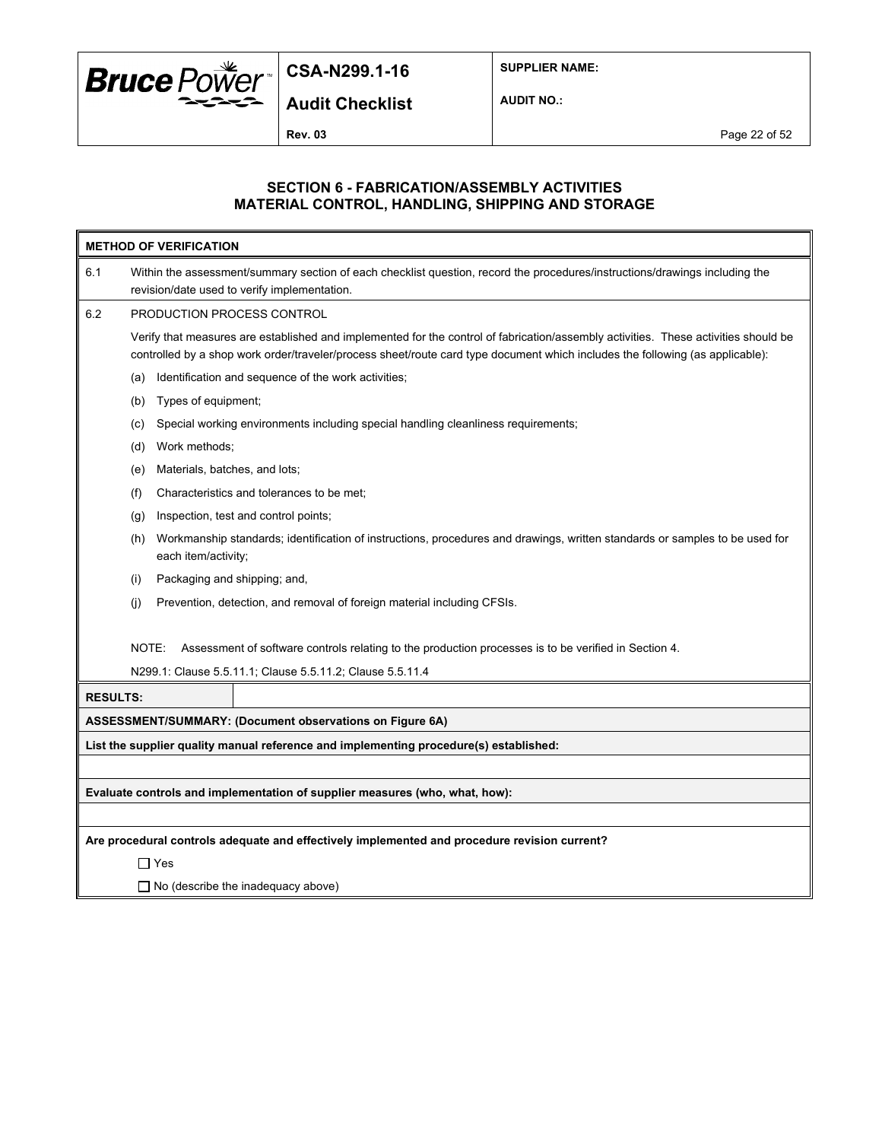

**SUPPLIER NAME:**

**Audit Checklist**

**AUDIT NO.:**

**Rev. 03** Page 22 of 52

#### **SECTION 6 - FABRICATION/ASSEMBLY ACTIVITIES MATERIAL CONTROL, HANDLING, SHIPPING AND STORAGE**

| <b>METHOD OF VERIFICATION</b>                                                                |                                                                                                                                                                                                                                                                      |  |  |  |  |  |  |
|----------------------------------------------------------------------------------------------|----------------------------------------------------------------------------------------------------------------------------------------------------------------------------------------------------------------------------------------------------------------------|--|--|--|--|--|--|
| 6.1                                                                                          | Within the assessment/summary section of each checklist question, record the procedures/instructions/drawings including the<br>revision/date used to verify implementation.                                                                                          |  |  |  |  |  |  |
| 6.2                                                                                          | PRODUCTION PROCESS CONTROL                                                                                                                                                                                                                                           |  |  |  |  |  |  |
|                                                                                              | Verify that measures are established and implemented for the control of fabrication/assembly activities. These activities should be<br>controlled by a shop work order/traveler/process sheet/route card type document which includes the following (as applicable): |  |  |  |  |  |  |
|                                                                                              | Identification and sequence of the work activities;<br>(a)                                                                                                                                                                                                           |  |  |  |  |  |  |
|                                                                                              | Types of equipment;<br>(b)                                                                                                                                                                                                                                           |  |  |  |  |  |  |
|                                                                                              | Special working environments including special handling cleanliness requirements;<br>(c)                                                                                                                                                                             |  |  |  |  |  |  |
|                                                                                              | Work methods;<br>(d)                                                                                                                                                                                                                                                 |  |  |  |  |  |  |
|                                                                                              | Materials, batches, and lots;<br>(e)                                                                                                                                                                                                                                 |  |  |  |  |  |  |
|                                                                                              | (f)<br>Characteristics and tolerances to be met;                                                                                                                                                                                                                     |  |  |  |  |  |  |
|                                                                                              | Inspection, test and control points;<br>(q)                                                                                                                                                                                                                          |  |  |  |  |  |  |
|                                                                                              | Workmanship standards; identification of instructions, procedures and drawings, written standards or samples to be used for<br>(h)<br>each item/activity;                                                                                                            |  |  |  |  |  |  |
|                                                                                              | Packaging and shipping; and,<br>(i)                                                                                                                                                                                                                                  |  |  |  |  |  |  |
|                                                                                              | Prevention, detection, and removal of foreign material including CFSIs.<br>(i)                                                                                                                                                                                       |  |  |  |  |  |  |
|                                                                                              | NOTE:<br>Assessment of software controls relating to the production processes is to be verified in Section 4.                                                                                                                                                        |  |  |  |  |  |  |
|                                                                                              | N299.1: Clause 5.5.11.1; Clause 5.5.11.2; Clause 5.5.11.4                                                                                                                                                                                                            |  |  |  |  |  |  |
| <b>RESULTS:</b>                                                                              |                                                                                                                                                                                                                                                                      |  |  |  |  |  |  |
|                                                                                              | ASSESSMENT/SUMMARY: (Document observations on Figure 6A)                                                                                                                                                                                                             |  |  |  |  |  |  |
| List the supplier quality manual reference and implementing procedure(s) established:        |                                                                                                                                                                                                                                                                      |  |  |  |  |  |  |
|                                                                                              |                                                                                                                                                                                                                                                                      |  |  |  |  |  |  |
| Evaluate controls and implementation of supplier measures (who, what, how):                  |                                                                                                                                                                                                                                                                      |  |  |  |  |  |  |
|                                                                                              |                                                                                                                                                                                                                                                                      |  |  |  |  |  |  |
| Are procedural controls adequate and effectively implemented and procedure revision current? |                                                                                                                                                                                                                                                                      |  |  |  |  |  |  |
|                                                                                              | $\Box$ Yes                                                                                                                                                                                                                                                           |  |  |  |  |  |  |
|                                                                                              | $\Box$ No (describe the inadequacy above)                                                                                                                                                                                                                            |  |  |  |  |  |  |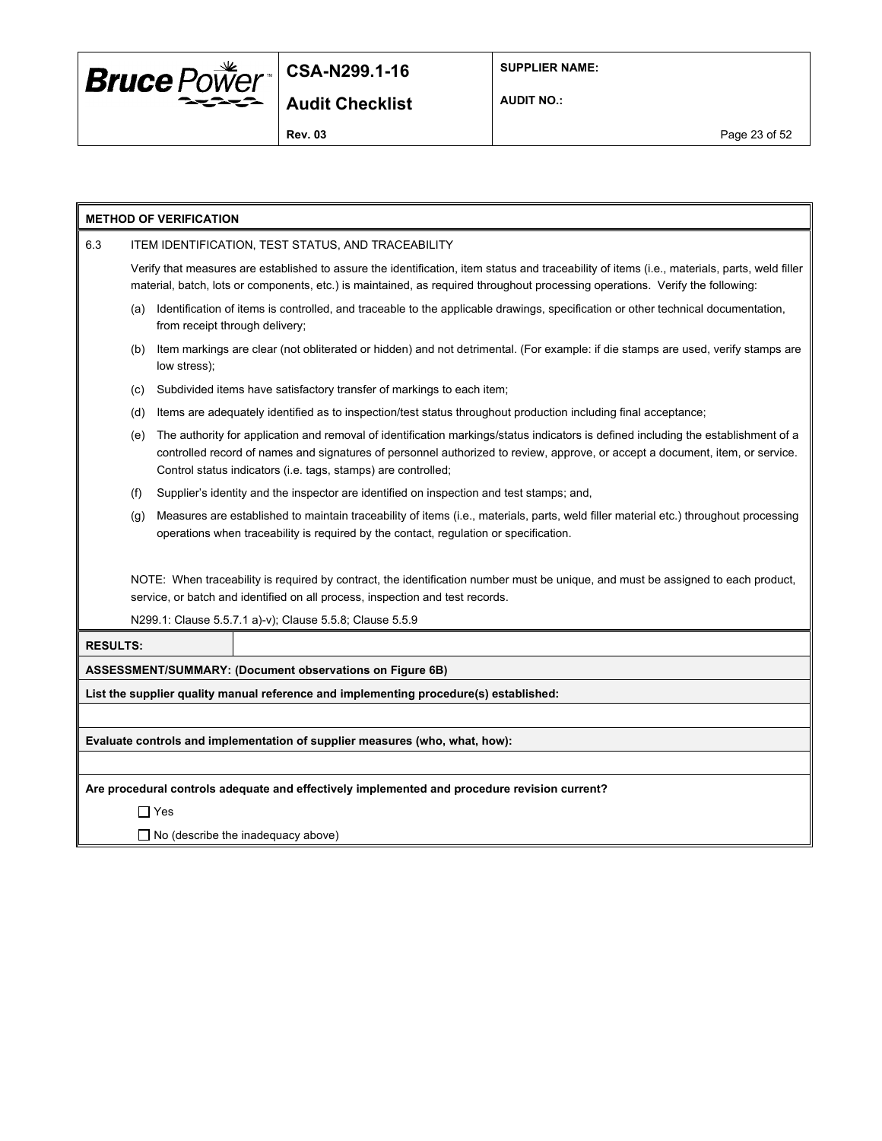

**SUPPLIER NAME:**

**AUDIT NO.:**

**Rev. 03** Page 23 of 52

| <b>METHOD OF VERIFICATION</b>                                                                |                                                                                                                                                                                                                                                                                                                                             |                                                                                                                                                                                                                                                                                |  |  |  |  |
|----------------------------------------------------------------------------------------------|---------------------------------------------------------------------------------------------------------------------------------------------------------------------------------------------------------------------------------------------------------------------------------------------------------------------------------------------|--------------------------------------------------------------------------------------------------------------------------------------------------------------------------------------------------------------------------------------------------------------------------------|--|--|--|--|
| 6.3                                                                                          | ITEM IDENTIFICATION, TEST STATUS, AND TRACEABILITY                                                                                                                                                                                                                                                                                          |                                                                                                                                                                                                                                                                                |  |  |  |  |
|                                                                                              |                                                                                                                                                                                                                                                                                                                                             | Verify that measures are established to assure the identification, item status and traceability of items (i.e., materials, parts, weld filler<br>material, batch, lots or components, etc.) is maintained, as required throughout processing operations. Verify the following: |  |  |  |  |
|                                                                                              | Identification of items is controlled, and traceable to the applicable drawings, specification or other technical documentation,<br>(a)<br>from receipt through delivery;                                                                                                                                                                   |                                                                                                                                                                                                                                                                                |  |  |  |  |
|                                                                                              | (b)                                                                                                                                                                                                                                                                                                                                         | Item markings are clear (not obliterated or hidden) and not detrimental. (For example: if die stamps are used, verify stamps are<br>low stress);                                                                                                                               |  |  |  |  |
|                                                                                              | (c)                                                                                                                                                                                                                                                                                                                                         | Subdivided items have satisfactory transfer of markings to each item;                                                                                                                                                                                                          |  |  |  |  |
|                                                                                              | (d)                                                                                                                                                                                                                                                                                                                                         | Items are adequately identified as to inspection/test status throughout production including final acceptance;                                                                                                                                                                 |  |  |  |  |
|                                                                                              | The authority for application and removal of identification markings/status indicators is defined including the establishment of a<br>(e)<br>controlled record of names and signatures of personnel authorized to review, approve, or accept a document, item, or service.<br>Control status indicators (i.e. tags, stamps) are controlled; |                                                                                                                                                                                                                                                                                |  |  |  |  |
|                                                                                              | (f)                                                                                                                                                                                                                                                                                                                                         | Supplier's identity and the inspector are identified on inspection and test stamps; and,                                                                                                                                                                                       |  |  |  |  |
|                                                                                              | Measures are established to maintain traceability of items (i.e., materials, parts, weld filler material etc.) throughout processing<br>(g)<br>operations when traceability is required by the contact, regulation or specification.                                                                                                        |                                                                                                                                                                                                                                                                                |  |  |  |  |
|                                                                                              | NOTE: When traceability is required by contract, the identification number must be unique, and must be assigned to each product,<br>service, or batch and identified on all process, inspection and test records.                                                                                                                           |                                                                                                                                                                                                                                                                                |  |  |  |  |
|                                                                                              |                                                                                                                                                                                                                                                                                                                                             | N299.1: Clause 5.5.7.1 a)-v); Clause 5.5.8; Clause 5.5.9                                                                                                                                                                                                                       |  |  |  |  |
| <b>RESULTS:</b>                                                                              |                                                                                                                                                                                                                                                                                                                                             |                                                                                                                                                                                                                                                                                |  |  |  |  |
| ASSESSMENT/SUMMARY: (Document observations on Figure 6B)                                     |                                                                                                                                                                                                                                                                                                                                             |                                                                                                                                                                                                                                                                                |  |  |  |  |
| List the supplier quality manual reference and implementing procedure(s) established:        |                                                                                                                                                                                                                                                                                                                                             |                                                                                                                                                                                                                                                                                |  |  |  |  |
|                                                                                              |                                                                                                                                                                                                                                                                                                                                             |                                                                                                                                                                                                                                                                                |  |  |  |  |
| Evaluate controls and implementation of supplier measures (who, what, how):                  |                                                                                                                                                                                                                                                                                                                                             |                                                                                                                                                                                                                                                                                |  |  |  |  |
|                                                                                              |                                                                                                                                                                                                                                                                                                                                             |                                                                                                                                                                                                                                                                                |  |  |  |  |
| Are procedural controls adequate and effectively implemented and procedure revision current? |                                                                                                                                                                                                                                                                                                                                             |                                                                                                                                                                                                                                                                                |  |  |  |  |
| $\Box$ Yes                                                                                   |                                                                                                                                                                                                                                                                                                                                             |                                                                                                                                                                                                                                                                                |  |  |  |  |

□ No (describe the inadequacy above)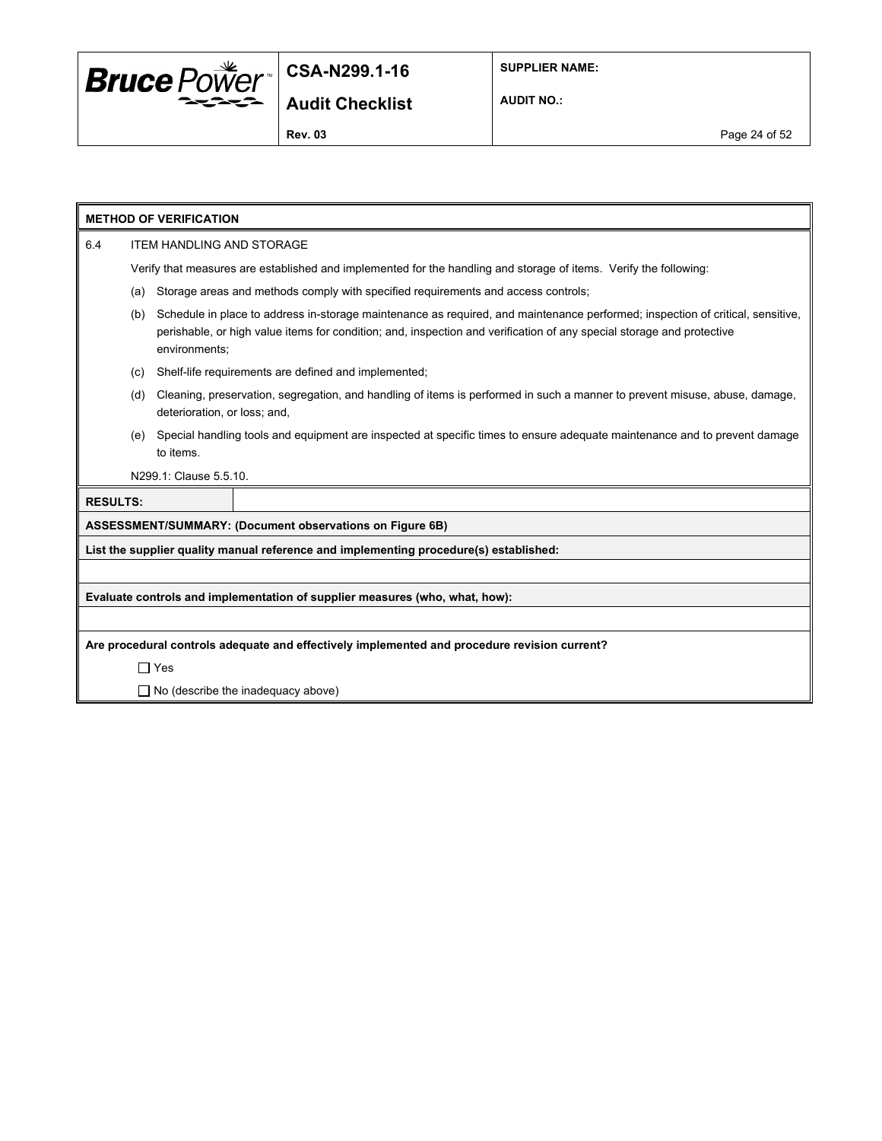

**SUPPLIER NAME:**

**AUDIT NO.:**

| <b>METHOD OF VERIFICATION</b>                                                                |                                                                                                                                                                                                                                                                                 |                        |                                                                                                                   |  |  |  |
|----------------------------------------------------------------------------------------------|---------------------------------------------------------------------------------------------------------------------------------------------------------------------------------------------------------------------------------------------------------------------------------|------------------------|-------------------------------------------------------------------------------------------------------------------|--|--|--|
| 6.4                                                                                          | <b>ITEM HANDLING AND STORAGE</b>                                                                                                                                                                                                                                                |                        |                                                                                                                   |  |  |  |
|                                                                                              |                                                                                                                                                                                                                                                                                 |                        | Verify that measures are established and implemented for the handling and storage of items. Verify the following: |  |  |  |
|                                                                                              | (a)                                                                                                                                                                                                                                                                             |                        | Storage areas and methods comply with specified requirements and access controls;                                 |  |  |  |
|                                                                                              | Schedule in place to address in-storage maintenance as required, and maintenance performed; inspection of critical, sensitive,<br>(b)<br>perishable, or high value items for condition; and, inspection and verification of any special storage and protective<br>environments; |                        |                                                                                                                   |  |  |  |
|                                                                                              | (c)                                                                                                                                                                                                                                                                             |                        | Shelf-life requirements are defined and implemented;                                                              |  |  |  |
|                                                                                              | Cleaning, preservation, segregation, and handling of items is performed in such a manner to prevent misuse, abuse, damage,<br>(d)<br>deterioration, or loss; and,                                                                                                               |                        |                                                                                                                   |  |  |  |
|                                                                                              | Special handling tools and equipment are inspected at specific times to ensure adequate maintenance and to prevent damage<br>(e)<br>to items.                                                                                                                                   |                        |                                                                                                                   |  |  |  |
|                                                                                              |                                                                                                                                                                                                                                                                                 | N299.1: Clause 5.5.10. |                                                                                                                   |  |  |  |
| <b>RESULTS:</b>                                                                              |                                                                                                                                                                                                                                                                                 |                        |                                                                                                                   |  |  |  |
|                                                                                              |                                                                                                                                                                                                                                                                                 |                        | ASSESSMENT/SUMMARY: (Document observations on Figure 6B)                                                          |  |  |  |
|                                                                                              |                                                                                                                                                                                                                                                                                 |                        | List the supplier quality manual reference and implementing procedure(s) established:                             |  |  |  |
|                                                                                              |                                                                                                                                                                                                                                                                                 |                        |                                                                                                                   |  |  |  |
| Evaluate controls and implementation of supplier measures (who, what, how):                  |                                                                                                                                                                                                                                                                                 |                        |                                                                                                                   |  |  |  |
|                                                                                              |                                                                                                                                                                                                                                                                                 |                        |                                                                                                                   |  |  |  |
| Are procedural controls adequate and effectively implemented and procedure revision current? |                                                                                                                                                                                                                                                                                 |                        |                                                                                                                   |  |  |  |
|                                                                                              |                                                                                                                                                                                                                                                                                 | $\Box$ Yes             |                                                                                                                   |  |  |  |
|                                                                                              |                                                                                                                                                                                                                                                                                 |                        | $\Box$ No (describe the inadequacy above)                                                                         |  |  |  |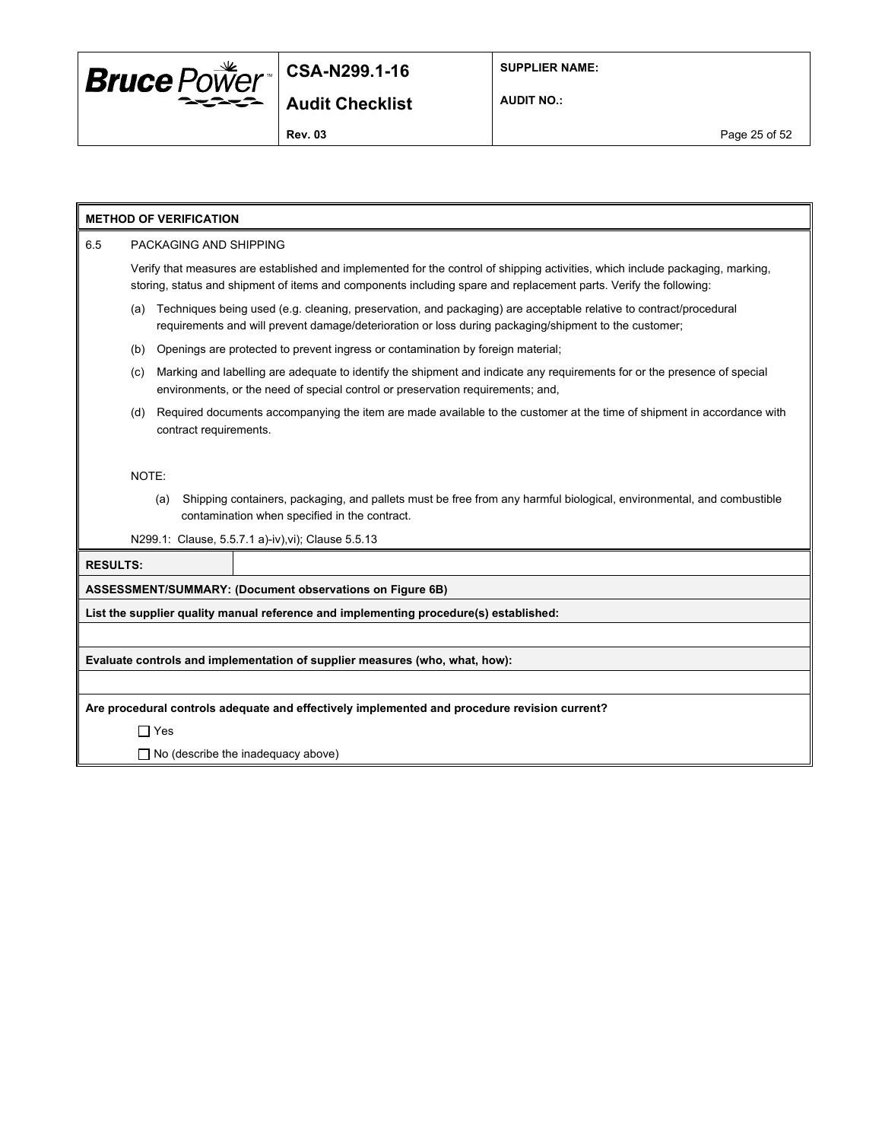

**SUPPLIER NAME:**

**AUDIT NO.:**

#### **METHOD OF VERIFICATION**

#### 6.5 PACKAGING AND SHIPPING

Verify that measures are established and implemented for the control of shipping activities, which include packaging, marking, storing, status and shipment of items and components including spare and replacement parts. Verify the following:

- (a) Techniques being used (e.g. cleaning, preservation, and packaging) are acceptable relative to contract/procedural requirements and will prevent damage/deterioration or loss during packaging/shipment to the customer;
- (b) Openings are protected to prevent ingress or contamination by foreign material;
- (c) Marking and labelling are adequate to identify the shipment and indicate any requirements for or the presence of special environments, or the need of special control or preservation requirements; and,
- (d) Required documents accompanying the item are made available to the customer at the time of shipment in accordance with contract requirements.

#### NOTE:

(a) Shipping containers, packaging, and pallets must be free from any harmful biological, environmental, and combustible contamination when specified in the contract.

N299.1: Clause, 5.5.7.1 a)-iv),vi); Clause 5.5.13

# **RESULTS: ASSESSMENT/SUMMARY: (Document observations on Figure 6B) List the supplier quality manual reference and implementing procedure(s) established: Evaluate controls and implementation of supplier measures (who, what, how): Are procedural controls adequate and effectively implemented and procedure revision current?** Yes  $\Box$  No (describe the inadequacy above)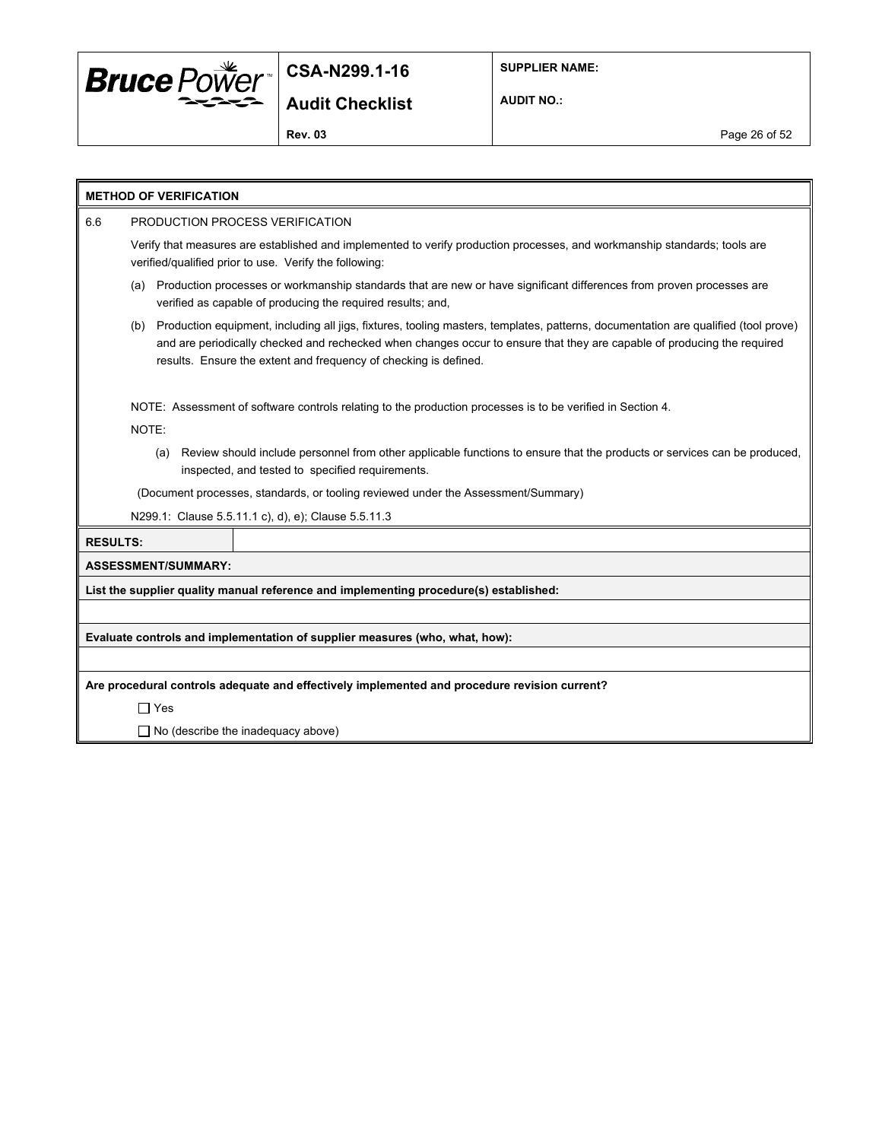

**SUPPLIER NAME:**

**AUDIT NO.:**

**Rev. 03** Page 26 of 52

| <b>METHOD OF VERIFICATION</b>                                                                                                                                                                                                                                                                                                            |  |  |  |  |  |  |
|------------------------------------------------------------------------------------------------------------------------------------------------------------------------------------------------------------------------------------------------------------------------------------------------------------------------------------------|--|--|--|--|--|--|
| PRODUCTION PROCESS VERIFICATION<br>6.6                                                                                                                                                                                                                                                                                                   |  |  |  |  |  |  |
| Verify that measures are established and implemented to verify production processes, and workmanship standards; tools are<br>verified/qualified prior to use. Verify the following:                                                                                                                                                      |  |  |  |  |  |  |
| Production processes or workmanship standards that are new or have significant differences from proven processes are<br>(a)<br>verified as capable of producing the required results; and,                                                                                                                                               |  |  |  |  |  |  |
| Production equipment, including all jigs, fixtures, tooling masters, templates, patterns, documentation are qualified (tool prove)<br>(b)<br>and are periodically checked and rechecked when changes occur to ensure that they are capable of producing the required<br>results. Ensure the extent and frequency of checking is defined. |  |  |  |  |  |  |
| NOTE: Assessment of software controls relating to the production processes is to be verified in Section 4.<br>NOTE:                                                                                                                                                                                                                      |  |  |  |  |  |  |
| Review should include personnel from other applicable functions to ensure that the products or services can be produced,<br>(a)<br>inspected, and tested to specified requirements.                                                                                                                                                      |  |  |  |  |  |  |
| (Document processes, standards, or tooling reviewed under the Assessment/Summary)                                                                                                                                                                                                                                                        |  |  |  |  |  |  |
| N299.1: Clause 5.5.11.1 c), d), e); Clause 5.5.11.3                                                                                                                                                                                                                                                                                      |  |  |  |  |  |  |
| <b>RESULTS:</b>                                                                                                                                                                                                                                                                                                                          |  |  |  |  |  |  |
| <b>ASSESSMENT/SUMMARY:</b>                                                                                                                                                                                                                                                                                                               |  |  |  |  |  |  |
| List the supplier quality manual reference and implementing procedure(s) established:                                                                                                                                                                                                                                                    |  |  |  |  |  |  |
|                                                                                                                                                                                                                                                                                                                                          |  |  |  |  |  |  |
| Evaluate controls and implementation of supplier measures (who, what, how):                                                                                                                                                                                                                                                              |  |  |  |  |  |  |
|                                                                                                                                                                                                                                                                                                                                          |  |  |  |  |  |  |
| Are procedural controls adequate and effectively implemented and procedure revision current?                                                                                                                                                                                                                                             |  |  |  |  |  |  |
| $\Box$ Yes                                                                                                                                                                                                                                                                                                                               |  |  |  |  |  |  |
| $\Box$ No (describe the inadequacy above)                                                                                                                                                                                                                                                                                                |  |  |  |  |  |  |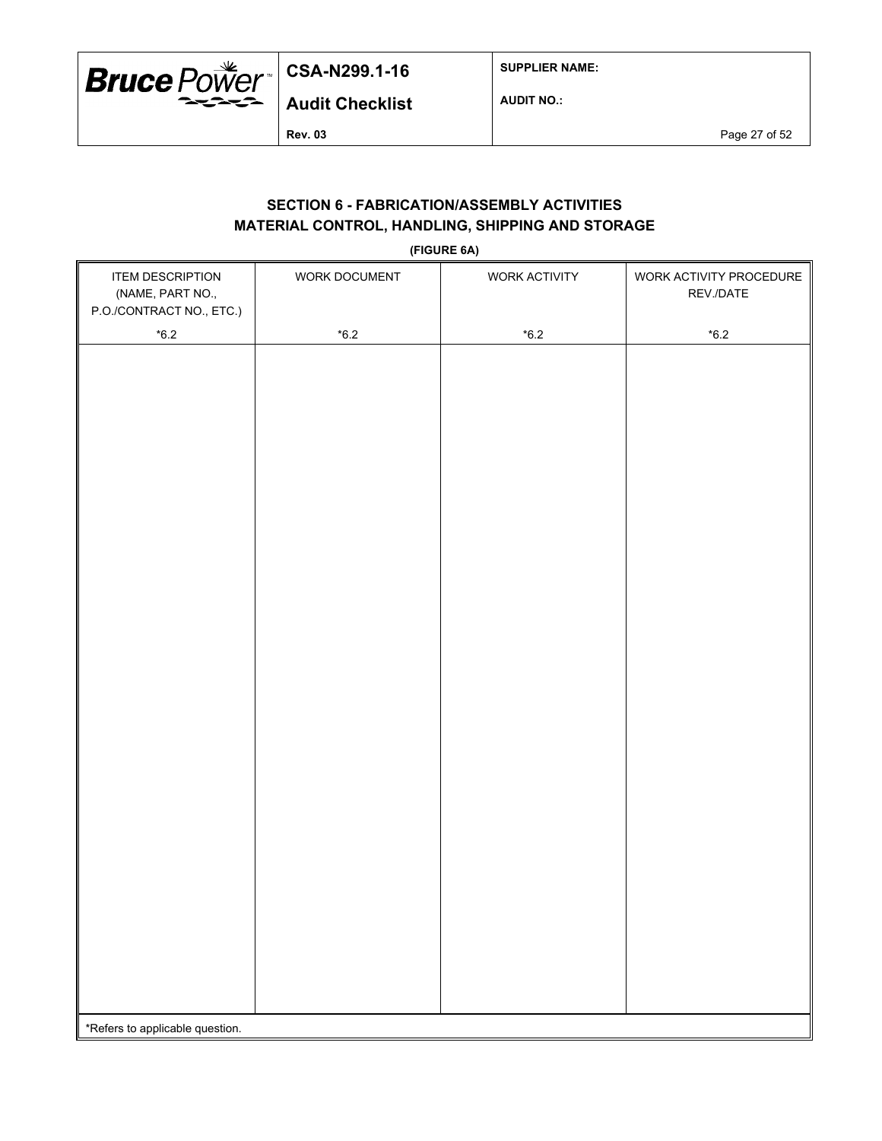

**SUPPLIER NAME:**

**AUDIT NO.:**

**Rev. 03** Page 27 of 52

## **SECTION 6 - FABRICATION/ASSEMBLY ACTIVITIES MATERIAL CONTROL, HANDLING, SHIPPING AND STORAGE**

**(FIGURE 6A)**

| <b>ITEM DESCRIPTION</b><br>(NAME, PART NO.,<br>P.O./CONTRACT NO., ETC.) | $\cdot$<br>WORK DOCUMENT | WORK ACTIVITY | WORK ACTIVITY PROCEDURE<br>REV./DATE |  |  |  |
|-------------------------------------------------------------------------|--------------------------|---------------|--------------------------------------|--|--|--|
| $^{\star}6.2$                                                           | $^{\star}6.2$            | $*6.2$        | $^{\star}6.2$                        |  |  |  |
|                                                                         |                          |               |                                      |  |  |  |
|                                                                         |                          |               |                                      |  |  |  |
|                                                                         |                          |               |                                      |  |  |  |
|                                                                         |                          |               |                                      |  |  |  |
|                                                                         |                          |               |                                      |  |  |  |
|                                                                         |                          |               |                                      |  |  |  |
|                                                                         |                          |               |                                      |  |  |  |
|                                                                         |                          |               |                                      |  |  |  |
|                                                                         |                          |               |                                      |  |  |  |
|                                                                         |                          |               |                                      |  |  |  |
|                                                                         |                          |               |                                      |  |  |  |
|                                                                         |                          |               |                                      |  |  |  |
|                                                                         |                          |               |                                      |  |  |  |
|                                                                         |                          |               |                                      |  |  |  |
|                                                                         |                          |               |                                      |  |  |  |
|                                                                         |                          |               |                                      |  |  |  |
|                                                                         |                          |               |                                      |  |  |  |
|                                                                         |                          |               |                                      |  |  |  |
|                                                                         |                          |               |                                      |  |  |  |
|                                                                         |                          |               |                                      |  |  |  |
|                                                                         |                          |               |                                      |  |  |  |
|                                                                         |                          |               |                                      |  |  |  |
|                                                                         |                          |               |                                      |  |  |  |
|                                                                         |                          |               |                                      |  |  |  |
|                                                                         |                          |               |                                      |  |  |  |
|                                                                         |                          |               |                                      |  |  |  |
|                                                                         |                          |               |                                      |  |  |  |
|                                                                         |                          |               |                                      |  |  |  |
|                                                                         |                          |               |                                      |  |  |  |
|                                                                         |                          |               |                                      |  |  |  |
| *Refers to applicable question.                                         |                          |               |                                      |  |  |  |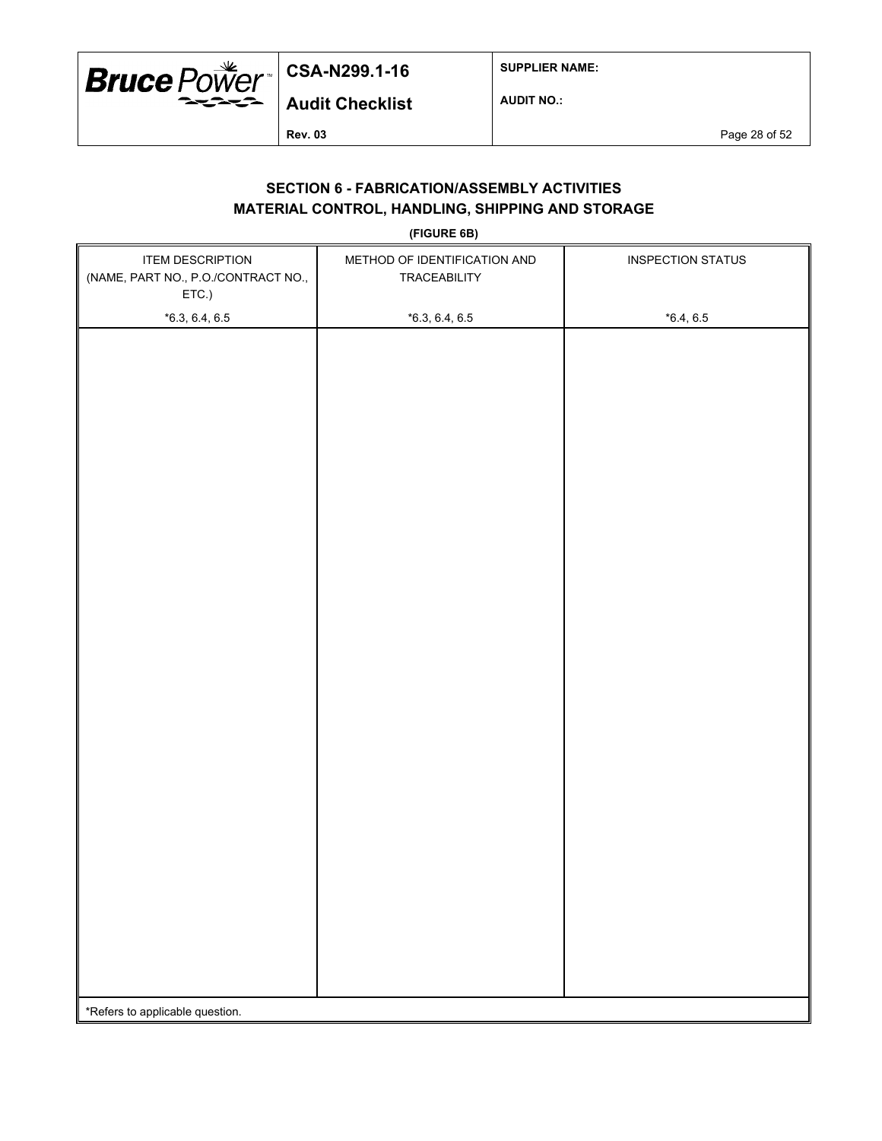

**SUPPLIER NAME:**

**AUDIT NO.:**

**Rev. 03** Page 28 of 52

## **SECTION 6 - FABRICATION/ASSEMBLY ACTIVITIES MATERIAL CONTROL, HANDLING, SHIPPING AND STORAGE**

**(FIGURE 6B)**

| <b>ITEM DESCRIPTION</b><br>(NAME, PART NO., P.O./CONTRACT NO.,<br>ETC.) | METHOD OF IDENTIFICATION AND<br>TRACEABILITY | <b>INSPECTION STATUS</b> |  |  |
|-------------------------------------------------------------------------|----------------------------------------------|--------------------------|--|--|
| $*6.3, 6.4, 6.5$                                                        | $*6.3, 6.4, 6.5$                             | $*6.4, 6.5$              |  |  |
|                                                                         |                                              |                          |  |  |
|                                                                         |                                              |                          |  |  |
|                                                                         |                                              |                          |  |  |
|                                                                         |                                              |                          |  |  |
|                                                                         |                                              |                          |  |  |
|                                                                         |                                              |                          |  |  |
|                                                                         |                                              |                          |  |  |
|                                                                         |                                              |                          |  |  |
|                                                                         |                                              |                          |  |  |
|                                                                         |                                              |                          |  |  |
|                                                                         |                                              |                          |  |  |
|                                                                         |                                              |                          |  |  |
|                                                                         |                                              |                          |  |  |
|                                                                         |                                              |                          |  |  |
|                                                                         |                                              |                          |  |  |
|                                                                         |                                              |                          |  |  |
|                                                                         |                                              |                          |  |  |
|                                                                         |                                              |                          |  |  |
|                                                                         |                                              |                          |  |  |
|                                                                         |                                              |                          |  |  |
|                                                                         |                                              |                          |  |  |
|                                                                         |                                              |                          |  |  |
|                                                                         |                                              |                          |  |  |
|                                                                         |                                              |                          |  |  |
|                                                                         |                                              |                          |  |  |
| *Refers to applicable question.                                         |                                              |                          |  |  |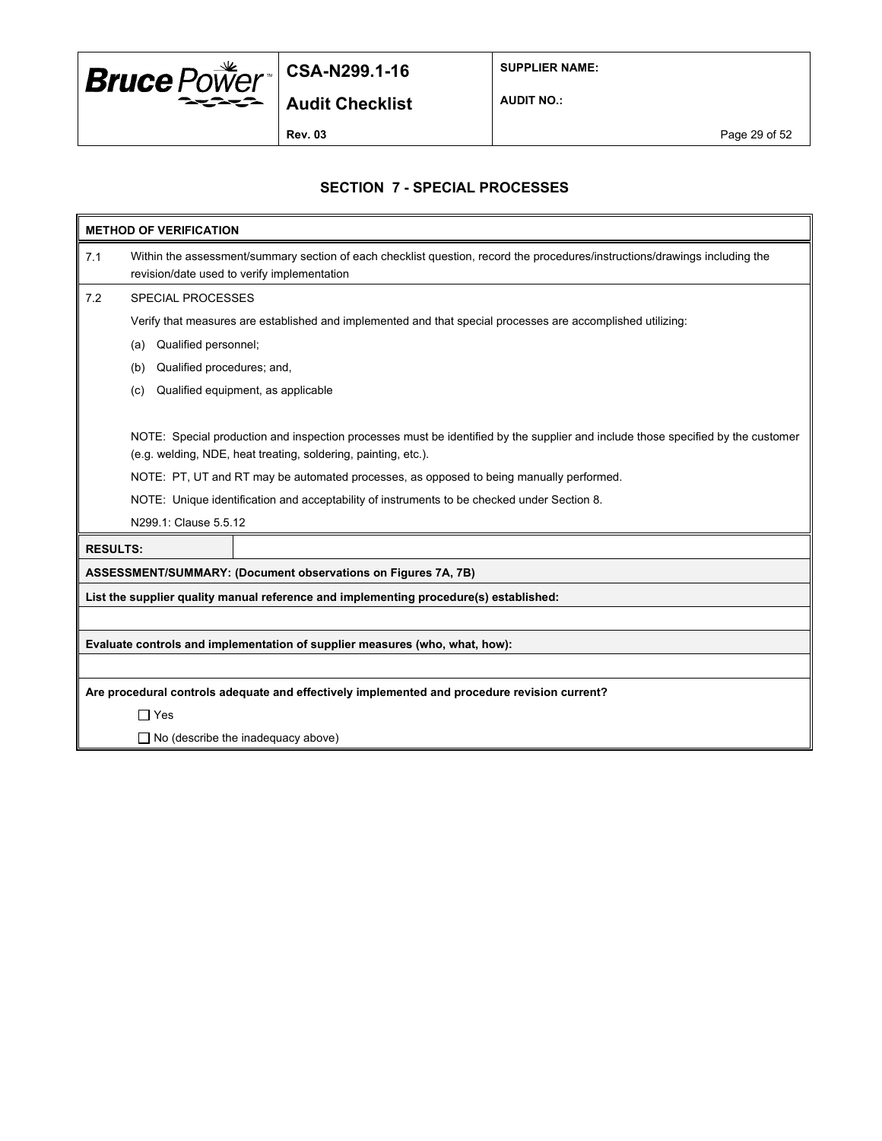

**SUPPLIER NAME:**

**AUDIT NO.:**

**Rev. 03** Page 29 of 52

## **SECTION 7 - SPECIAL PROCESSES**

|                 | <b>METHOD OF VERIFICATION</b>                                                                                                                                              |  |  |  |
|-----------------|----------------------------------------------------------------------------------------------------------------------------------------------------------------------------|--|--|--|
| 7.1             | Within the assessment/summary section of each checklist question, record the procedures/instructions/drawings including the<br>revision/date used to verify implementation |  |  |  |
| 7.2             | <b>SPECIAL PROCESSES</b>                                                                                                                                                   |  |  |  |
|                 | Verify that measures are established and implemented and that special processes are accomplished utilizing:                                                                |  |  |  |
|                 | Qualified personnel;<br>(a)                                                                                                                                                |  |  |  |
|                 | Qualified procedures; and,<br>(b)                                                                                                                                          |  |  |  |
|                 | Qualified equipment, as applicable<br>(c)                                                                                                                                  |  |  |  |
|                 |                                                                                                                                                                            |  |  |  |
|                 | NOTE: Special production and inspection processes must be identified by the supplier and include those specified by the customer                                           |  |  |  |
|                 | (e.g. welding, NDE, heat treating, soldering, painting, etc.).                                                                                                             |  |  |  |
|                 | NOTE: PT, UT and RT may be automated processes, as opposed to being manually performed.                                                                                    |  |  |  |
|                 | NOTE: Unique identification and acceptability of instruments to be checked under Section 8.                                                                                |  |  |  |
|                 | N299.1: Clause 5.5.12                                                                                                                                                      |  |  |  |
| <b>RESULTS:</b> |                                                                                                                                                                            |  |  |  |
|                 | ASSESSMENT/SUMMARY: (Document observations on Figures 7A, 7B)                                                                                                              |  |  |  |
|                 | List the supplier quality manual reference and implementing procedure(s) established:                                                                                      |  |  |  |
|                 |                                                                                                                                                                            |  |  |  |
|                 | Evaluate controls and implementation of supplier measures (who, what, how):                                                                                                |  |  |  |
|                 |                                                                                                                                                                            |  |  |  |
|                 | Are procedural controls adequate and effectively implemented and procedure revision current?                                                                               |  |  |  |
|                 | $\Box$ Yes                                                                                                                                                                 |  |  |  |
|                 | $\Box$ No (describe the inadequacy above)                                                                                                                                  |  |  |  |
|                 |                                                                                                                                                                            |  |  |  |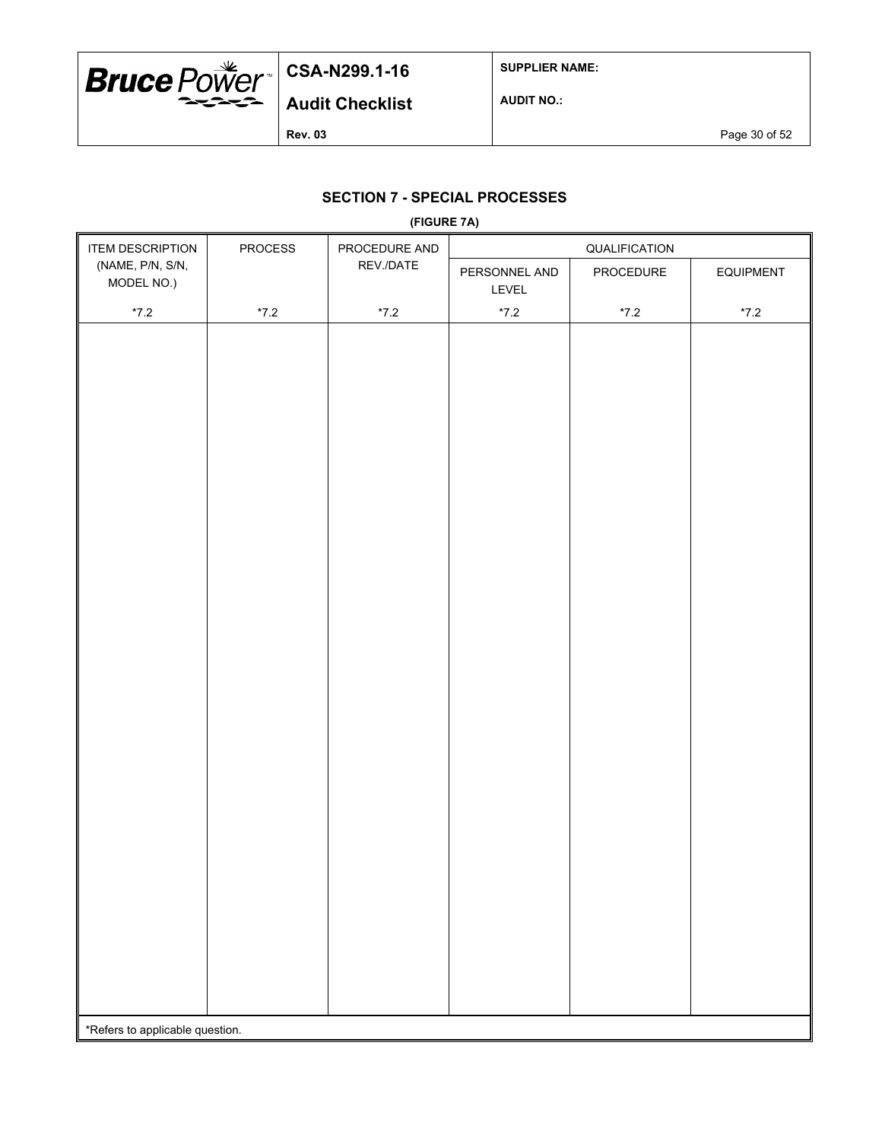

**SUPPLIER NAME:**

**AUDIT NO.:**

**Rev. 03** Page 30 of 52

## **SECTION 7 - SPECIAL PROCESSES**

|                                 |                                           | (FIGURE 7A)   |                        |               |                  |
|---------------------------------|-------------------------------------------|---------------|------------------------|---------------|------------------|
| <b>ITEM DESCRIPTION</b>         | PROCEDURE AND<br>PROCESS<br>QUALIFICATION |               |                        |               |                  |
| (NAME, P/N, S/N,<br>MODEL NO.)  |                                           | REV./DATE     | PERSONNEL AND<br>LEVEL | PROCEDURE     | <b>EQUIPMENT</b> |
| $^{\star}7.2$                   | $^{\star}7.2$                             | $^{\star}7.2$ | $^{\star}7.2$          | $^{\star}7.2$ | $^{\star}7.2$    |
|                                 |                                           |               |                        |               |                  |
|                                 |                                           |               |                        |               |                  |
|                                 |                                           |               |                        |               |                  |
|                                 |                                           |               |                        |               |                  |
| *Refers to applicable question. |                                           |               |                        |               |                  |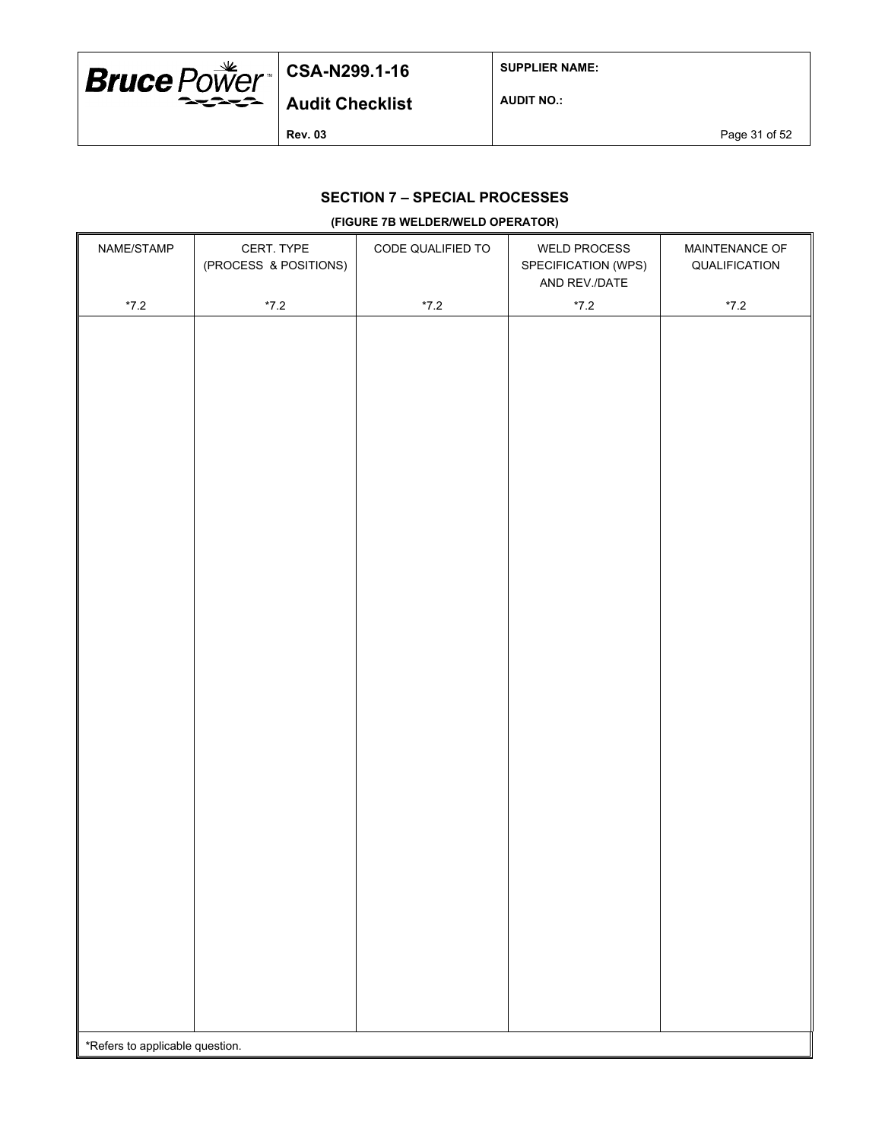

**SUPPLIER NAME:**

**AUDIT NO.:**

**Rev. 03** Page 31 of 52

## **SECTION 7 – SPECIAL PROCESSES**

#### **(FIGURE 7B WELDER/WELD OPERATOR)**

| NAME/STAMP                      | CERT. TYPE<br>(PROCESS & POSITIONS) | CODE QUALIFIED TO | <b>WELD PROCESS</b><br>SPECIFICATION (WPS)<br>AND REV./DATE | MAINTENANCE OF<br>QUALIFICATION |
|---------------------------------|-------------------------------------|-------------------|-------------------------------------------------------------|---------------------------------|
| $^{\star}7.2$                   | $^{\star}7.2$                       | $^{\star}7.2$     | $^{\star}7.2$                                               | $^{\star}7.2$                   |
|                                 |                                     |                   |                                                             |                                 |
|                                 |                                     |                   |                                                             |                                 |
|                                 |                                     |                   |                                                             |                                 |
|                                 |                                     |                   |                                                             |                                 |
|                                 |                                     |                   |                                                             |                                 |
|                                 |                                     |                   |                                                             |                                 |
|                                 |                                     |                   |                                                             |                                 |
|                                 |                                     |                   |                                                             |                                 |
|                                 |                                     |                   |                                                             |                                 |
|                                 |                                     |                   |                                                             |                                 |
|                                 |                                     |                   |                                                             |                                 |
|                                 |                                     |                   |                                                             |                                 |
|                                 |                                     |                   |                                                             |                                 |
|                                 |                                     |                   |                                                             |                                 |
|                                 |                                     |                   |                                                             |                                 |
|                                 |                                     |                   |                                                             |                                 |
|                                 |                                     |                   |                                                             |                                 |
|                                 |                                     |                   |                                                             |                                 |
|                                 |                                     |                   |                                                             |                                 |
|                                 |                                     |                   |                                                             |                                 |
|                                 |                                     |                   |                                                             |                                 |
|                                 |                                     |                   |                                                             |                                 |
|                                 |                                     |                   |                                                             |                                 |
|                                 |                                     |                   |                                                             |                                 |
|                                 |                                     |                   |                                                             |                                 |
|                                 |                                     |                   |                                                             |                                 |
|                                 |                                     |                   |                                                             |                                 |
|                                 |                                     |                   |                                                             |                                 |
|                                 |                                     |                   |                                                             |                                 |
|                                 |                                     |                   |                                                             |                                 |
|                                 |                                     |                   |                                                             |                                 |
|                                 |                                     |                   |                                                             |                                 |
|                                 |                                     |                   |                                                             |                                 |
| *Refers to applicable question. |                                     |                   |                                                             |                                 |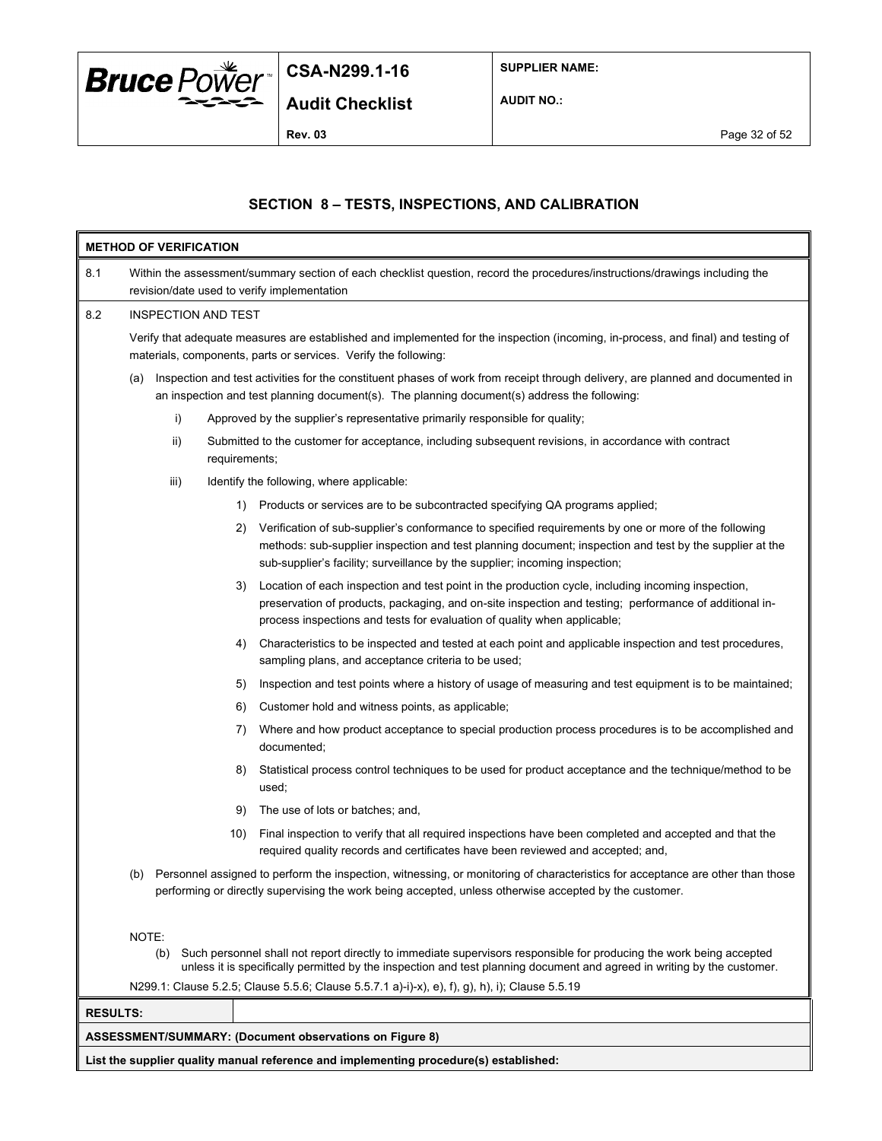

**SUPPLIER NAME:**

**AUDIT NO.:**

## **SECTION 8 – TESTS, INSPECTIONS, AND CALIBRATION**

|                 |       | <b>METHOD OF VERIFICATION</b> |               |                                                                                                                                                                                                                                                                                                |  |  |  |  |
|-----------------|-------|-------------------------------|---------------|------------------------------------------------------------------------------------------------------------------------------------------------------------------------------------------------------------------------------------------------------------------------------------------------|--|--|--|--|
| 8.1             |       |                               |               | Within the assessment/summary section of each checklist question, record the procedures/instructions/drawings including the<br>revision/date used to verify implementation                                                                                                                     |  |  |  |  |
| 8.2             |       | INSPECTION AND TEST           |               |                                                                                                                                                                                                                                                                                                |  |  |  |  |
|                 |       |                               |               | Verify that adequate measures are established and implemented for the inspection (incoming, in-process, and final) and testing of<br>materials, components, parts or services. Verify the following:                                                                                           |  |  |  |  |
|                 | (a)   |                               |               | Inspection and test activities for the constituent phases of work from receipt through delivery, are planned and documented in<br>an inspection and test planning document(s). The planning document(s) address the following:                                                                 |  |  |  |  |
|                 |       | i)                            |               | Approved by the supplier's representative primarily responsible for quality;                                                                                                                                                                                                                   |  |  |  |  |
|                 |       | ii)                           | requirements; | Submitted to the customer for acceptance, including subsequent revisions, in accordance with contract                                                                                                                                                                                          |  |  |  |  |
|                 |       | iii)                          |               | Identify the following, where applicable:                                                                                                                                                                                                                                                      |  |  |  |  |
|                 |       |                               | 1)            | Products or services are to be subcontracted specifying QA programs applied;                                                                                                                                                                                                                   |  |  |  |  |
|                 |       |                               | 2)            | Verification of sub-supplier's conformance to specified requirements by one or more of the following<br>methods: sub-supplier inspection and test planning document; inspection and test by the supplier at the<br>sub-supplier's facility; surveillance by the supplier; incoming inspection; |  |  |  |  |
|                 |       |                               | 3)            | Location of each inspection and test point in the production cycle, including incoming inspection,<br>preservation of products, packaging, and on-site inspection and testing; performance of additional in-<br>process inspections and tests for evaluation of quality when applicable;       |  |  |  |  |
|                 |       |                               | 4)            | Characteristics to be inspected and tested at each point and applicable inspection and test procedures,<br>sampling plans, and acceptance criteria to be used;                                                                                                                                 |  |  |  |  |
|                 |       |                               | 5)            | Inspection and test points where a history of usage of measuring and test equipment is to be maintained;                                                                                                                                                                                       |  |  |  |  |
|                 |       |                               | 6)            | Customer hold and witness points, as applicable;                                                                                                                                                                                                                                               |  |  |  |  |
|                 |       |                               | 7)            | Where and how product acceptance to special production process procedures is to be accomplished and<br>documented;                                                                                                                                                                             |  |  |  |  |
|                 |       |                               | 8)            | Statistical process control techniques to be used for product acceptance and the technique/method to be<br>used;                                                                                                                                                                               |  |  |  |  |
|                 |       |                               | 9)            | The use of lots or batches; and,                                                                                                                                                                                                                                                               |  |  |  |  |
|                 |       |                               | 10)           | Final inspection to verify that all required inspections have been completed and accepted and that the<br>required quality records and certificates have been reviewed and accepted; and,                                                                                                      |  |  |  |  |
|                 | (b)   |                               |               | Personnel assigned to perform the inspection, witnessing, or monitoring of characteristics for acceptance are other than those<br>performing or directly supervising the work being accepted, unless otherwise accepted by the customer.                                                       |  |  |  |  |
|                 | NOTE: | (b)                           |               | Such personnel shall not report directly to immediate supervisors responsible for producing the work being accepted<br>unless it is specifically permitted by the inspection and test planning document and agreed in writing by the customer.                                                 |  |  |  |  |
|                 |       |                               |               | N299.1: Clause 5.2.5; Clause 5.5.6; Clause 5.5.7.1 a)-i)-x), e), f), g), h), i); Clause 5.5.19                                                                                                                                                                                                 |  |  |  |  |
| <b>RESULTS:</b> |       |                               |               |                                                                                                                                                                                                                                                                                                |  |  |  |  |
|                 |       |                               |               | <b>ASSESSMENT/SUMMARY: (Document observations on Figure 8)</b>                                                                                                                                                                                                                                 |  |  |  |  |
|                 |       |                               |               | List the supplier quality manual reference and implementing procedure(s) established:                                                                                                                                                                                                          |  |  |  |  |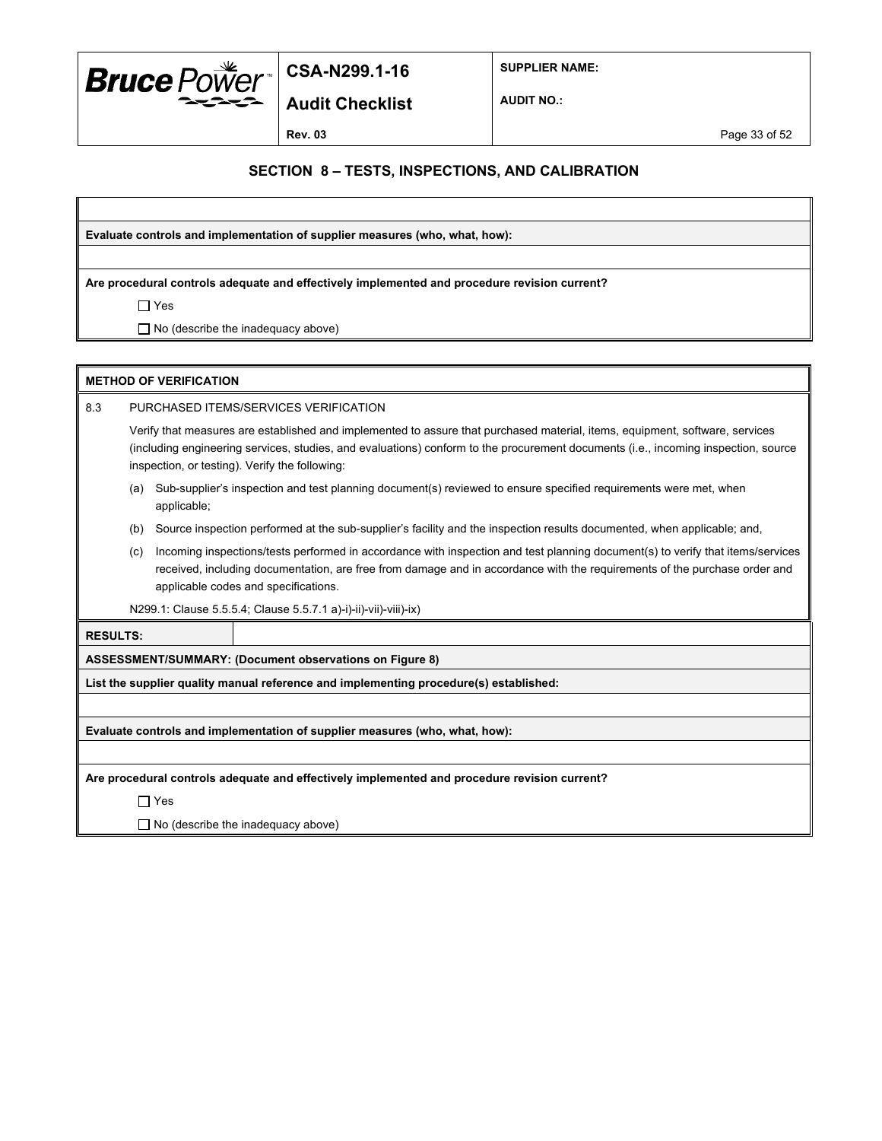

**Audit Checklist**

**SUPPLIER NAME:**

**AUDIT NO.:**

#### **SECTION 8 – TESTS, INSPECTIONS, AND CALIBRATION**

**Evaluate controls and implementation of supplier measures (who, what, how):**

**Are procedural controls adequate and effectively implemented and procedure revision current?**

Yes

 $\Box$  No (describe the inadequacy above)

|                 | <b>METHOD OF VERIFICATION</b>                                                                                                                                                                                                                                                                                        |                                                                                                                         |                                                                                                                  |  |  |
|-----------------|----------------------------------------------------------------------------------------------------------------------------------------------------------------------------------------------------------------------------------------------------------------------------------------------------------------------|-------------------------------------------------------------------------------------------------------------------------|------------------------------------------------------------------------------------------------------------------|--|--|
| 8.3             | PURCHASED ITEMS/SERVICES VERIFICATION                                                                                                                                                                                                                                                                                |                                                                                                                         |                                                                                                                  |  |  |
|                 | Verify that measures are established and implemented to assure that purchased material, items, equipment, software, services<br>(including engineering services, studies, and evaluations) conform to the procurement documents (i.e., incoming inspection, source<br>inspection, or testing). Verify the following: |                                                                                                                         |                                                                                                                  |  |  |
|                 | (a)                                                                                                                                                                                                                                                                                                                  | applicable;                                                                                                             | Sub-supplier's inspection and test planning document(s) reviewed to ensure specified requirements were met, when |  |  |
|                 | (b)                                                                                                                                                                                                                                                                                                                  | Source inspection performed at the sub-supplier's facility and the inspection results documented, when applicable; and, |                                                                                                                  |  |  |
|                 | Incoming inspections/tests performed in accordance with inspection and test planning document(s) to verify that items/services<br>(c)<br>received, including documentation, are free from damage and in accordance with the requirements of the purchase order and<br>applicable codes and specifications.           |                                                                                                                         |                                                                                                                  |  |  |
|                 | N299.1: Clause 5.5.5.4; Clause 5.5.7.1 a)-i)-ii)-vii)-viii)-ix)                                                                                                                                                                                                                                                      |                                                                                                                         |                                                                                                                  |  |  |
| <b>RESULTS:</b> |                                                                                                                                                                                                                                                                                                                      |                                                                                                                         |                                                                                                                  |  |  |
|                 | ASSESSMENT/SUMMARY: (Document observations on Figure 8)                                                                                                                                                                                                                                                              |                                                                                                                         |                                                                                                                  |  |  |
|                 | List the supplier quality manual reference and implementing procedure(s) established:                                                                                                                                                                                                                                |                                                                                                                         |                                                                                                                  |  |  |
|                 |                                                                                                                                                                                                                                                                                                                      |                                                                                                                         |                                                                                                                  |  |  |

**Evaluate controls and implementation of supplier measures (who, what, how):**

**Are procedural controls adequate and effectively implemented and procedure revision current?**

Yes

 $\Box$  No (describe the inadequacy above)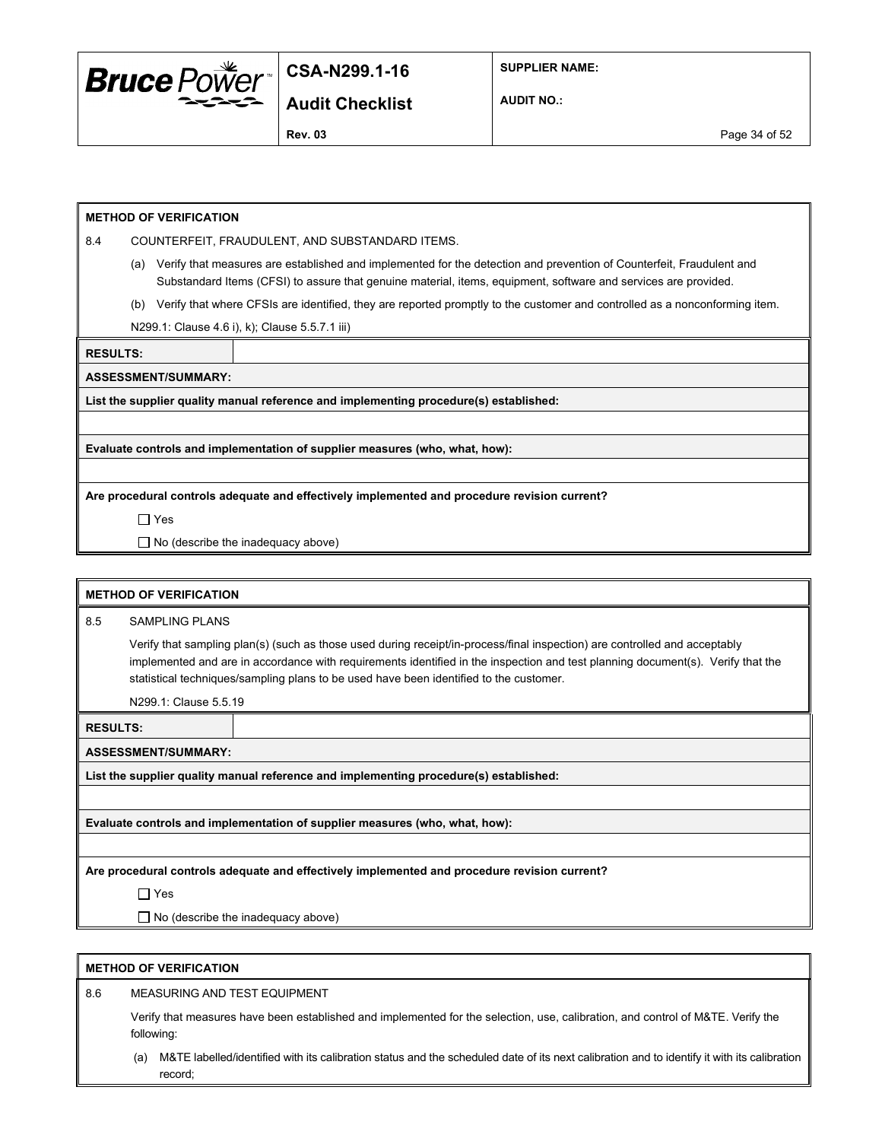

**SUPPLIER NAME:**

**Audit Checklist**

**AUDIT NO.:**

**Rev. 03** Page 34 of 52

#### **METHOD OF VERIFICATION**

8.4 COUNTERFEIT, FRAUDULENT, AND SUBSTANDARD ITEMS.

- (a) Verify that measures are established and implemented for the detection and prevention of Counterfeit, Fraudulent and Substandard Items (CFSI) to assure that genuine material, items, equipment, software and services are provided.
- (b) Verify that where CFSIs are identified, they are reported promptly to the customer and controlled as a nonconforming item.

N299.1: Clause 4.6 i), k); Clause 5.5.7.1 iii)

**RESULTS:**

**ASSESSMENT/SUMMARY:**

**List the supplier quality manual reference and implementing procedure(s) established:**

**Evaluate controls and implementation of supplier measures (who, what, how):**

**Are procedural controls adequate and effectively implemented and procedure revision current?**

Yes

 $\Box$  No (describe the inadequacy above)

|                                                                                              | <b>METHOD OF VERIFICATION</b>                                                                                                                                                                                                                                                                                                                           |                                                                                       |  |  |  |
|----------------------------------------------------------------------------------------------|---------------------------------------------------------------------------------------------------------------------------------------------------------------------------------------------------------------------------------------------------------------------------------------------------------------------------------------------------------|---------------------------------------------------------------------------------------|--|--|--|
| 8.5                                                                                          | <b>SAMPLING PLANS</b>                                                                                                                                                                                                                                                                                                                                   |                                                                                       |  |  |  |
|                                                                                              | Verify that sampling plan(s) (such as those used during receipt/in-process/final inspection) are controlled and acceptably<br>implemented and are in accordance with requirements identified in the inspection and test planning document(s). Verify that the<br>statistical techniques/sampling plans to be used have been identified to the customer. |                                                                                       |  |  |  |
|                                                                                              | N299.1: Clause 5.5.19                                                                                                                                                                                                                                                                                                                                   |                                                                                       |  |  |  |
| <b>RESULTS:</b>                                                                              |                                                                                                                                                                                                                                                                                                                                                         |                                                                                       |  |  |  |
|                                                                                              | <b>ASSESSMENT/SUMMARY:</b>                                                                                                                                                                                                                                                                                                                              |                                                                                       |  |  |  |
|                                                                                              |                                                                                                                                                                                                                                                                                                                                                         | List the supplier quality manual reference and implementing procedure(s) established: |  |  |  |
|                                                                                              |                                                                                                                                                                                                                                                                                                                                                         |                                                                                       |  |  |  |
|                                                                                              |                                                                                                                                                                                                                                                                                                                                                         | Evaluate controls and implementation of supplier measures (who, what, how):           |  |  |  |
|                                                                                              |                                                                                                                                                                                                                                                                                                                                                         |                                                                                       |  |  |  |
| Are procedural controls adequate and effectively implemented and procedure revision current? |                                                                                                                                                                                                                                                                                                                                                         |                                                                                       |  |  |  |
|                                                                                              | $\Box$ Yes                                                                                                                                                                                                                                                                                                                                              |                                                                                       |  |  |  |
|                                                                                              |                                                                                                                                                                                                                                                                                                                                                         | $\Box$ No (describe the inadequacy above)                                             |  |  |  |

#### **METHOD OF VERIFICATION**

8.6 MEASURING AND TEST EQUIPMENT

Verify that measures have been established and implemented for the selection, use, calibration, and control of M&TE. Verify the following:

(a) M&TE labelled/identified with its calibration status and the scheduled date of its next calibration and to identify it with its calibration record;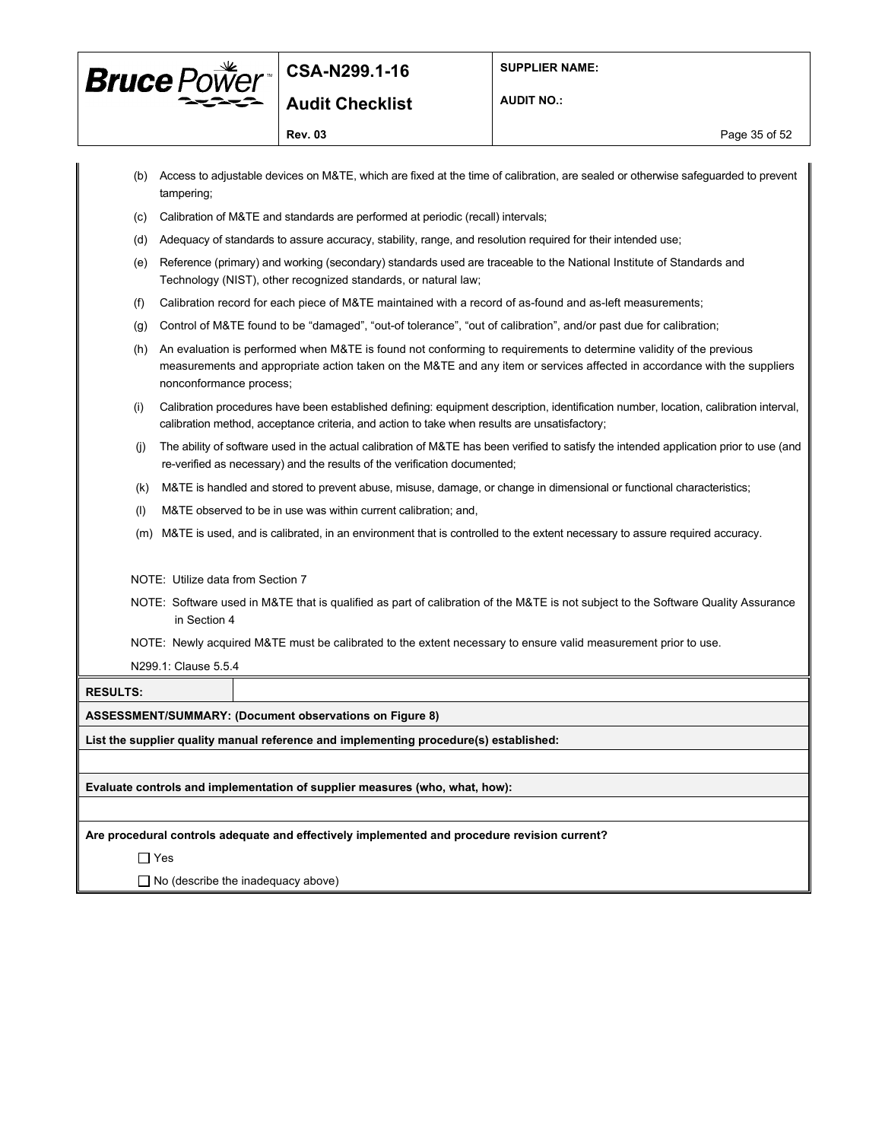

**AUDIT NO.:**

**Rev. 03** Page 35 of 52

|                 | tampering;                        | (b) Access to adjustable devices on M&TE, which are fixed at the time of calibration, are sealed or otherwise safeguarded to prevent                                                                                                           |
|-----------------|-----------------------------------|------------------------------------------------------------------------------------------------------------------------------------------------------------------------------------------------------------------------------------------------|
| (c)             |                                   | Calibration of M&TE and standards are performed at periodic (recall) intervals;                                                                                                                                                                |
| (d)             |                                   | Adequacy of standards to assure accuracy, stability, range, and resolution required for their intended use;                                                                                                                                    |
| (e)             |                                   | Reference (primary) and working (secondary) standards used are traceable to the National Institute of Standards and<br>Technology (NIST), other recognized standards, or natural law;                                                          |
| (f)             |                                   | Calibration record for each piece of M&TE maintained with a record of as-found and as-left measurements;                                                                                                                                       |
| (g)             |                                   | Control of M&TE found to be "damaged", "out-of tolerance", "out of calibration", and/or past due for calibration;                                                                                                                              |
| (h)             | nonconformance process;           | An evaluation is performed when M&TE is found not conforming to requirements to determine validity of the previous<br>measurements and appropriate action taken on the M&TE and any item or services affected in accordance with the suppliers |
| (i)             |                                   | Calibration procedures have been established defining: equipment description, identification number, location, calibration interval,<br>calibration method, acceptance criteria, and action to take when results are unsatisfactory;           |
| (i)             |                                   | The ability of software used in the actual calibration of M&TE has been verified to satisfy the intended application prior to use (and<br>re-verified as necessary) and the results of the verification documented;                            |
| (k)             |                                   | M&TE is handled and stored to prevent abuse, misuse, damage, or change in dimensional or functional characteristics;                                                                                                                           |
| (1)             |                                   | M&TE observed to be in use was within current calibration; and,                                                                                                                                                                                |
| (m)             |                                   | M&TE is used, and is calibrated, in an environment that is controlled to the extent necessary to assure required accuracy.                                                                                                                     |
|                 | NOTE: Utilize data from Section 7 |                                                                                                                                                                                                                                                |
|                 | in Section 4                      | NOTE: Software used in M&TE that is qualified as part of calibration of the M&TE is not subject to the Software Quality Assurance                                                                                                              |
|                 |                                   | NOTE: Newly acquired M&TE must be calibrated to the extent necessary to ensure valid measurement prior to use.                                                                                                                                 |
|                 | N299.1: Clause 5.5.4              |                                                                                                                                                                                                                                                |
| <b>RESULTS:</b> |                                   |                                                                                                                                                                                                                                                |
|                 |                                   | <b>ASSESSMENT/SUMMARY: (Document observations on Figure 8)</b>                                                                                                                                                                                 |
|                 |                                   | List the supplier quality manual reference and implementing procedure(s) established:                                                                                                                                                          |
|                 |                                   |                                                                                                                                                                                                                                                |
|                 |                                   | Evaluate controls and implementation of supplier measures (who, what, how):                                                                                                                                                                    |
|                 |                                   |                                                                                                                                                                                                                                                |
|                 |                                   | Are procedural controls adequate and effectively implemented and procedure revision current?                                                                                                                                                   |
|                 | $\Box$ Yes                        |                                                                                                                                                                                                                                                |
|                 |                                   | $\Box$ No (describe the inadequacy above)                                                                                                                                                                                                      |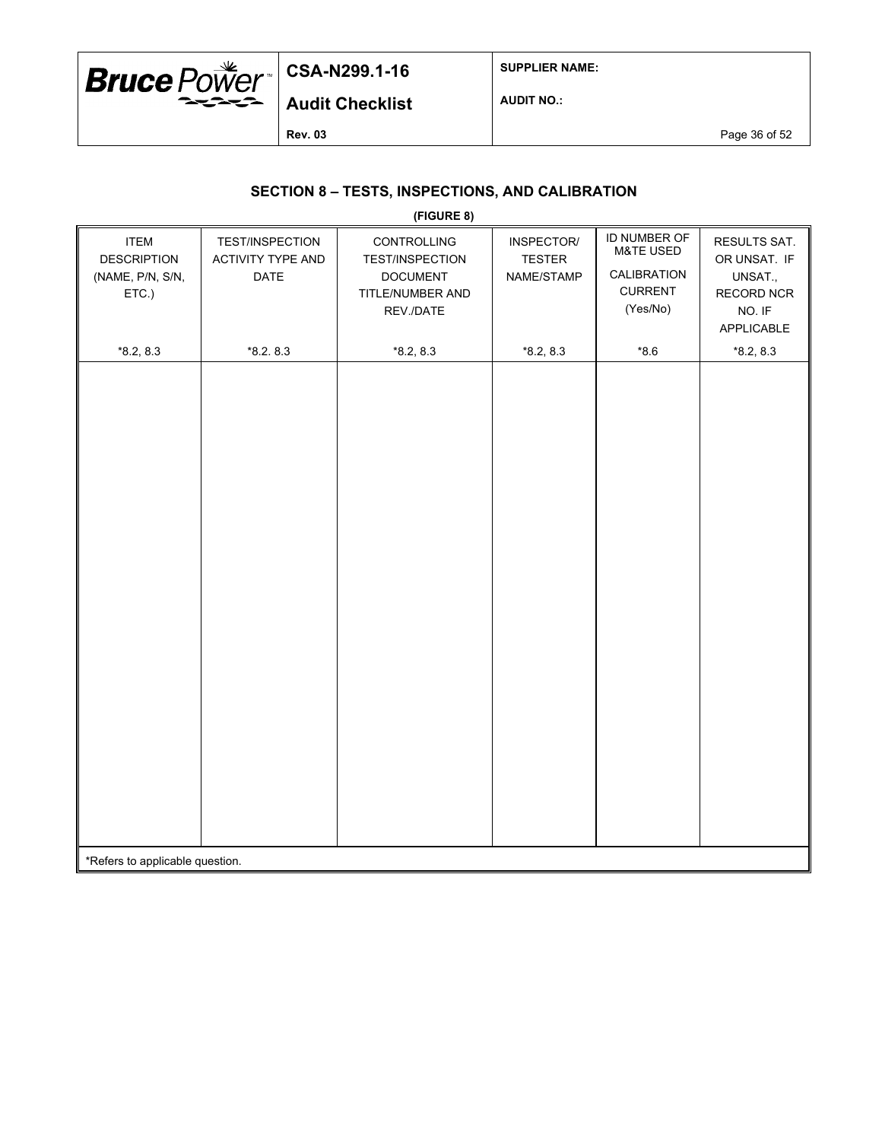

**SUPPLIER NAME:**

**Audit Checklist**

**AUDIT NO.:**

**Rev. 03** Page 36 of 52

## **SECTION 8 – TESTS, INSPECTIONS, AND CALIBRATION**

|                                                                |                                                                   | (FIGURE 8)                                                                                |                                           |                                                                                   |                                                                               |
|----------------------------------------------------------------|-------------------------------------------------------------------|-------------------------------------------------------------------------------------------|-------------------------------------------|-----------------------------------------------------------------------------------|-------------------------------------------------------------------------------|
| <b>ITEM</b><br><b>DESCRIPTION</b><br>(NAME, P/N, S/N,<br>ETC.) | <b>TEST/INSPECTION</b><br><b>ACTIVITY TYPE AND</b><br><b>DATE</b> | <b>CONTROLLING</b><br>TEST/INSPECTION<br><b>DOCUMENT</b><br>TITLE/NUMBER AND<br>REV./DATE | INSPECTOR/<br><b>TESTER</b><br>NAME/STAMP | ID NUMBER OF<br><b>M&amp;TE USED</b><br>CALIBRATION<br><b>CURRENT</b><br>(Yes/No) | RESULTS SAT.<br>OR UNSAT. IF<br>UNSAT.,<br>RECORD NCR<br>NO. IF<br>APPLICABLE |
| $*8.2, 8.3$                                                    | $*8.2.8.3$                                                        | $*8.2, 8.3$                                                                               | $*8.2, 8.3$                               | $*8.6$                                                                            | $*8.2, 8.3$                                                                   |
|                                                                |                                                                   |                                                                                           |                                           |                                                                                   |                                                                               |
| *Refers to applicable question.                                |                                                                   |                                                                                           |                                           |                                                                                   |                                                                               |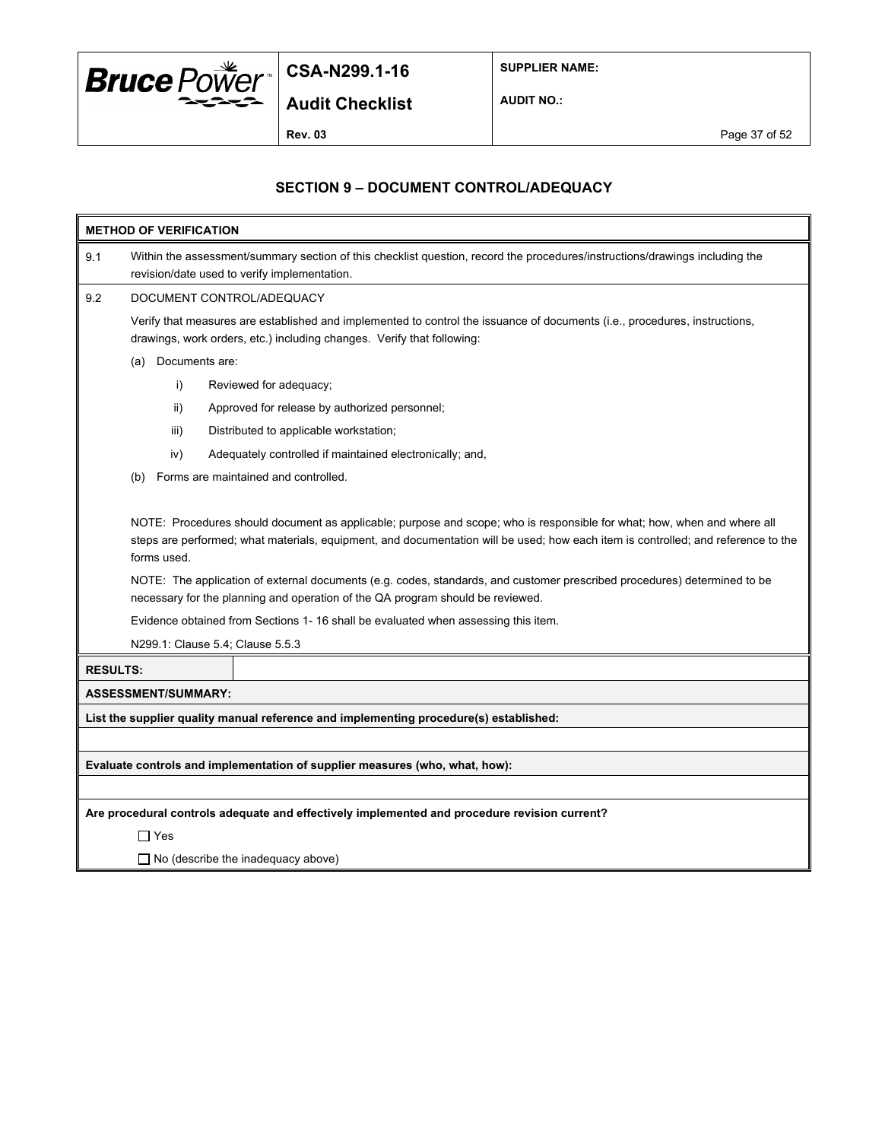

**SUPPLIER NAME:**

**AUDIT NO.:**

## **SECTION 9 – DOCUMENT CONTROL/ADEQUACY**

|                 | <b>METHOD OF VERIFICATION</b>                                                                                                                                                                                                                                                                                                                                                                                                                                                                                                                                                                                       |                            |                                                                                              |  |  |  |
|-----------------|---------------------------------------------------------------------------------------------------------------------------------------------------------------------------------------------------------------------------------------------------------------------------------------------------------------------------------------------------------------------------------------------------------------------------------------------------------------------------------------------------------------------------------------------------------------------------------------------------------------------|----------------------------|----------------------------------------------------------------------------------------------|--|--|--|
| 9.1             | Within the assessment/summary section of this checklist question, record the procedures/instructions/drawings including the<br>revision/date used to verify implementation.                                                                                                                                                                                                                                                                                                                                                                                                                                         |                            |                                                                                              |  |  |  |
| 9.2             | DOCUMENT CONTROL/ADEQUACY                                                                                                                                                                                                                                                                                                                                                                                                                                                                                                                                                                                           |                            |                                                                                              |  |  |  |
|                 | Verify that measures are established and implemented to control the issuance of documents (i.e., procedures, instructions,<br>drawings, work orders, etc.) including changes. Verify that following:                                                                                                                                                                                                                                                                                                                                                                                                                |                            |                                                                                              |  |  |  |
|                 | Documents are:<br>(a)                                                                                                                                                                                                                                                                                                                                                                                                                                                                                                                                                                                               |                            |                                                                                              |  |  |  |
|                 |                                                                                                                                                                                                                                                                                                                                                                                                                                                                                                                                                                                                                     | i)                         | Reviewed for adequacy;                                                                       |  |  |  |
|                 |                                                                                                                                                                                                                                                                                                                                                                                                                                                                                                                                                                                                                     | ii)                        | Approved for release by authorized personnel;                                                |  |  |  |
|                 |                                                                                                                                                                                                                                                                                                                                                                                                                                                                                                                                                                                                                     | iii)                       | Distributed to applicable workstation;                                                       |  |  |  |
|                 |                                                                                                                                                                                                                                                                                                                                                                                                                                                                                                                                                                                                                     | iv)                        | Adequately controlled if maintained electronically; and,                                     |  |  |  |
|                 | (b)                                                                                                                                                                                                                                                                                                                                                                                                                                                                                                                                                                                                                 |                            | Forms are maintained and controlled.                                                         |  |  |  |
|                 | NOTE: Procedures should document as applicable; purpose and scope; who is responsible for what; how, when and where all<br>steps are performed; what materials, equipment, and documentation will be used; how each item is controlled; and reference to the<br>forms used.<br>NOTE: The application of external documents (e.g. codes, standards, and customer prescribed procedures) determined to be<br>necessary for the planning and operation of the QA program should be reviewed.<br>Evidence obtained from Sections 1- 16 shall be evaluated when assessing this item.<br>N299.1: Clause 5.4; Clause 5.5.3 |                            |                                                                                              |  |  |  |
| <b>RESULTS:</b> |                                                                                                                                                                                                                                                                                                                                                                                                                                                                                                                                                                                                                     |                            |                                                                                              |  |  |  |
|                 |                                                                                                                                                                                                                                                                                                                                                                                                                                                                                                                                                                                                                     | <b>ASSESSMENT/SUMMARY:</b> |                                                                                              |  |  |  |
|                 |                                                                                                                                                                                                                                                                                                                                                                                                                                                                                                                                                                                                                     |                            | List the supplier quality manual reference and implementing procedure(s) established:        |  |  |  |
|                 |                                                                                                                                                                                                                                                                                                                                                                                                                                                                                                                                                                                                                     |                            |                                                                                              |  |  |  |
|                 |                                                                                                                                                                                                                                                                                                                                                                                                                                                                                                                                                                                                                     |                            | Evaluate controls and implementation of supplier measures (who, what, how):                  |  |  |  |
|                 |                                                                                                                                                                                                                                                                                                                                                                                                                                                                                                                                                                                                                     |                            |                                                                                              |  |  |  |
|                 |                                                                                                                                                                                                                                                                                                                                                                                                                                                                                                                                                                                                                     |                            | Are procedural controls adequate and effectively implemented and procedure revision current? |  |  |  |
|                 | $\Box$ Yes                                                                                                                                                                                                                                                                                                                                                                                                                                                                                                                                                                                                          |                            |                                                                                              |  |  |  |
|                 |                                                                                                                                                                                                                                                                                                                                                                                                                                                                                                                                                                                                                     |                            | $\Box$ No (describe the inadequacy above)                                                    |  |  |  |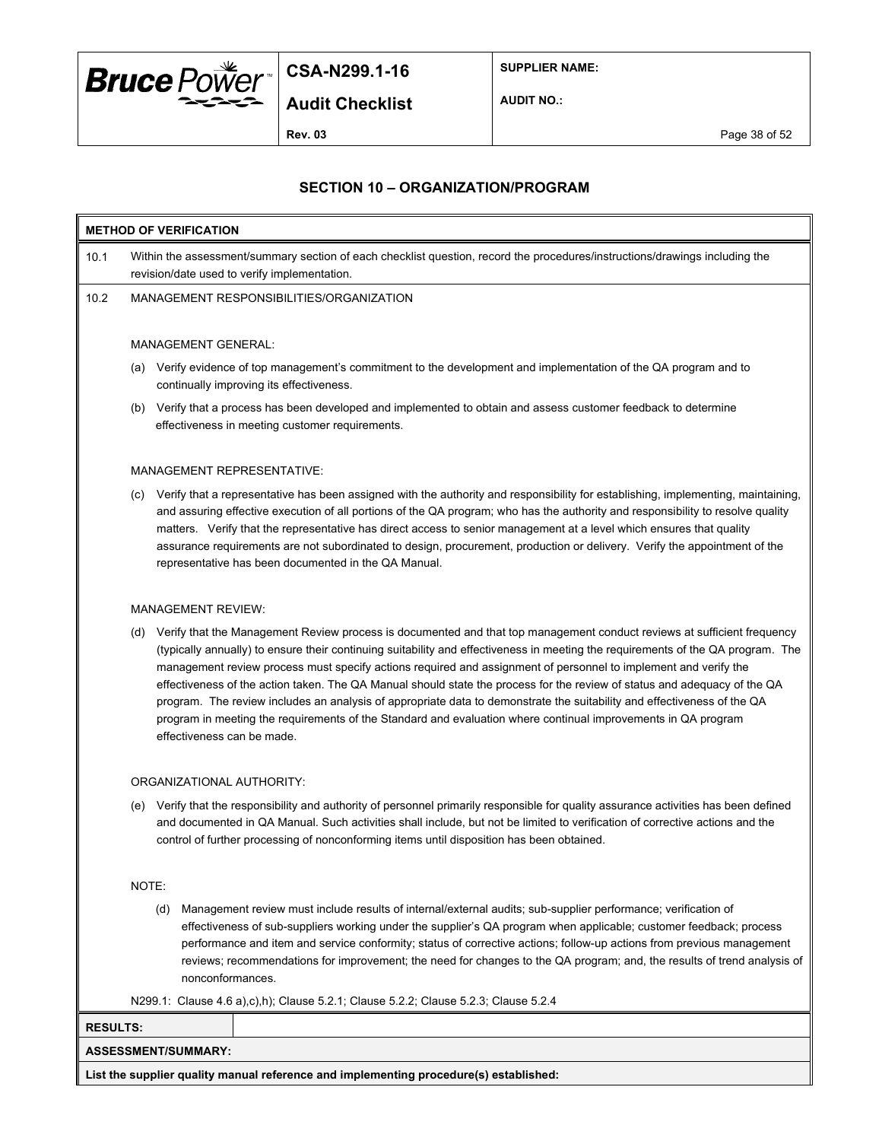

**SUPPLIER NAME:**

**Audit Checklist**

**AUDIT NO.:**

**Rev. 03** Page 38 of 52

#### **SECTION 10 – ORGANIZATION/PROGRAM**

## **METHOD OF VERIFICATION** 10.1 Within the assessment/summary section of each checklist question, record the procedures/instructions/drawings including the revision/date used to verify implementation. 10.2 MANAGEMENT RESPONSIBILITIES/ORGANIZATION

#### MANAGEMENT GENERAL:

- (a) Verify evidence of top management's commitment to the development and implementation of the QA program and to continually improving its effectiveness.
- (b) Verify that a process has been developed and implemented to obtain and assess customer feedback to determine effectiveness in meeting customer requirements.

#### MANAGEMENT REPRESENTATIVE:

(c) Verify that a representative has been assigned with the authority and responsibility for establishing, implementing, maintaining, and assuring effective execution of all portions of the QA program; who has the authority and responsibility to resolve quality matters. Verify that the representative has direct access to senior management at a level which ensures that quality assurance requirements are not subordinated to design, procurement, production or delivery. Verify the appointment of the representative has been documented in the QA Manual.

#### MANAGEMENT REVIEW:

(d) Verify that the Management Review process is documented and that top management conduct reviews at sufficient frequency (typically annually) to ensure their continuing suitability and effectiveness in meeting the requirements of the QA program. The management review process must specify actions required and assignment of personnel to implement and verify the effectiveness of the action taken. The QA Manual should state the process for the review of status and adequacy of the QA program. The review includes an analysis of appropriate data to demonstrate the suitability and effectiveness of the QA program in meeting the requirements of the Standard and evaluation where continual improvements in QA program effectiveness can be made.

#### ORGANIZATIONAL AUTHORITY:

(e) Verify that the responsibility and authority of personnel primarily responsible for quality assurance activities has been defined and documented in QA Manual. Such activities shall include, but not be limited to verification of corrective actions and the control of further processing of nonconforming items until disposition has been obtained.

#### NOTE:

(d) Management review must include results of internal/external audits; sub-supplier performance; verification of effectiveness of sub-suppliers working under the supplier's QA program when applicable; customer feedback; process performance and item and service conformity; status of corrective actions; follow-up actions from previous management reviews; recommendations for improvement; the need for changes to the QA program; and, the results of trend analysis of nonconformances.

N299.1: Clause 4.6 a),c),h); Clause 5.2.1; Clause 5.2.2; Clause 5.2.3; Clause 5.2.4

| __                  | ,,,,,,<br>__<br>__<br>. .<br>____<br>.<br>__ |
|---------------------|----------------------------------------------|
| RESULTS:            |                                              |
| ASSESSMENT/SUMMARY: |                                              |
| .<br>$-$<br>$  -$   | .<br>- -<br>.<br>$\sim$ $\sim$               |

**List the supplier quality manual reference and implementing procedure(s) established:**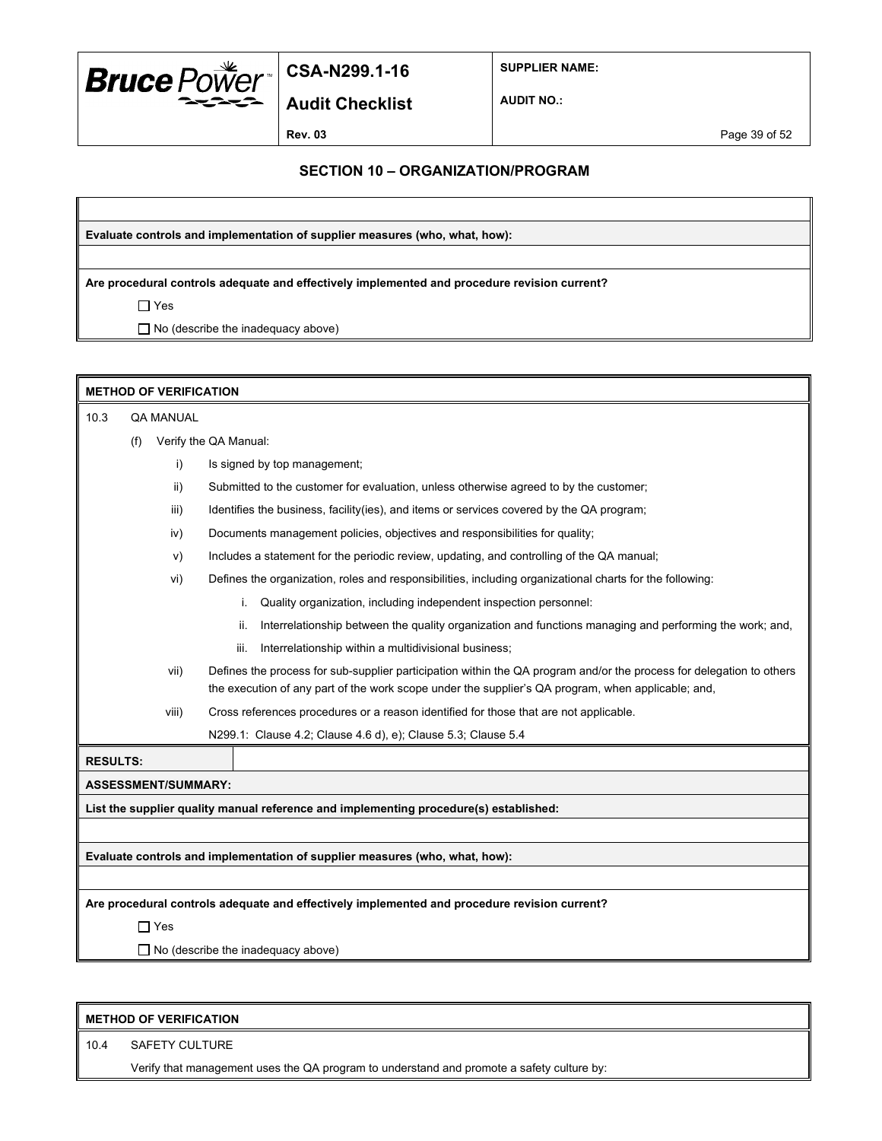

**SUPPLIER NAME:**

**Audit Checklist**

**AUDIT NO.:**

**Rev. 03** Page 39 of 52

#### **SECTION 10 – ORGANIZATION/PROGRAM**

**Evaluate controls and implementation of supplier measures (who, what, how):**

**Are procedural controls adequate and effectively implemented and procedure revision current?**

 $\Box$  Yes

□ No (describe the inadequacy above)

|                 | <b>METHOD OF VERIFICATION</b> |                            |                                                                                                                                                                                                                            |  |  |
|-----------------|-------------------------------|----------------------------|----------------------------------------------------------------------------------------------------------------------------------------------------------------------------------------------------------------------------|--|--|
| 10.3            | <b>QA MANUAL</b>              |                            |                                                                                                                                                                                                                            |  |  |
|                 | (f)                           |                            | Verify the QA Manual:                                                                                                                                                                                                      |  |  |
|                 |                               | i)                         | Is signed by top management;                                                                                                                                                                                               |  |  |
|                 |                               | ii)                        | Submitted to the customer for evaluation, unless otherwise agreed to by the customer;                                                                                                                                      |  |  |
|                 |                               | iii)                       | Identifies the business, facility (ies), and items or services covered by the QA program;                                                                                                                                  |  |  |
|                 |                               | iv)                        | Documents management policies, objectives and responsibilities for quality;                                                                                                                                                |  |  |
|                 |                               | V)                         | Includes a statement for the periodic review, updating, and controlling of the QA manual;                                                                                                                                  |  |  |
|                 |                               | vi)                        | Defines the organization, roles and responsibilities, including organizational charts for the following:                                                                                                                   |  |  |
|                 |                               |                            | Quality organization, including independent inspection personnel:<br>i.                                                                                                                                                    |  |  |
|                 |                               |                            | Interrelationship between the quality organization and functions managing and performing the work; and,<br>ii.                                                                                                             |  |  |
|                 |                               |                            | Interrelationship within a multidivisional business;<br>iii.                                                                                                                                                               |  |  |
|                 |                               | vii)                       | Defines the process for sub-supplier participation within the QA program and/or the process for delegation to others<br>the execution of any part of the work scope under the supplier's QA program, when applicable; and, |  |  |
|                 |                               | viii)                      | Cross references procedures or a reason identified for those that are not applicable.                                                                                                                                      |  |  |
|                 |                               |                            | N299.1: Clause 4.2; Clause 4.6 d), e); Clause 5.3; Clause 5.4                                                                                                                                                              |  |  |
| <b>RESULTS:</b> |                               |                            |                                                                                                                                                                                                                            |  |  |
|                 |                               | <b>ASSESSMENT/SUMMARY:</b> |                                                                                                                                                                                                                            |  |  |
|                 |                               |                            | List the supplier quality manual reference and implementing procedure(s) established:                                                                                                                                      |  |  |
|                 |                               |                            |                                                                                                                                                                                                                            |  |  |
|                 |                               |                            | Evaluate controls and implementation of supplier measures (who, what, how):                                                                                                                                                |  |  |
|                 |                               |                            |                                                                                                                                                                                                                            |  |  |
|                 |                               |                            | Are procedural controls adequate and effectively implemented and procedure revision current?                                                                                                                               |  |  |
|                 |                               | $\Box$ Yes                 |                                                                                                                                                                                                                            |  |  |
|                 |                               |                            | $\Box$ No (describe the inadequacy above)                                                                                                                                                                                  |  |  |
|                 |                               |                            |                                                                                                                                                                                                                            |  |  |

|      | <b>METHOD OF VERIFICATION</b>                                                             |  |  |
|------|-------------------------------------------------------------------------------------------|--|--|
| 10.4 | SAFETY CULTURE                                                                            |  |  |
|      | Verify that management uses the QA program to understand and promote a safety culture by: |  |  |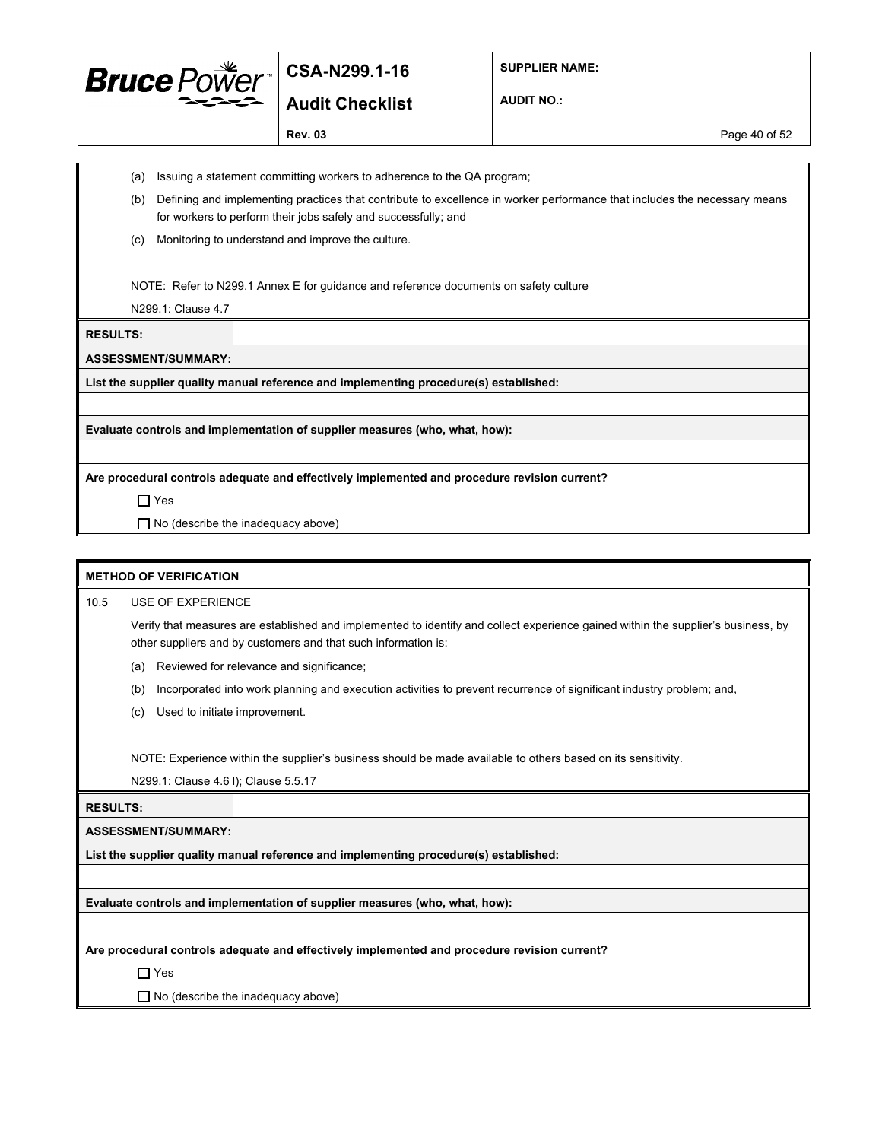

**Audit Checklist**

**SUPPLIER NAME:**

**AUDIT NO.:**

**Rev. 03** Page 40 of 52

- 
- (a) Issuing a statement committing workers to adherence to the QA program;
- (b) Defining and implementing practices that contribute to excellence in worker performance that includes the necessary means for workers to perform their jobs safely and successfully; and
- (c) Monitoring to understand and improve the culture.

NOTE: Refer to N299.1 Annex E for guidance and reference documents on safety culture

N299.1: Clause 4.7

**RESULTS:**

**ASSESSMENT/SUMMARY:**

**List the supplier quality manual reference and implementing procedure(s) established:**

**Evaluate controls and implementation of supplier measures (who, what, how):**

**Are procedural controls adequate and effectively implemented and procedure revision current?**

Yes

□ No (describe the inadequacy above)

#### **METHOD OF VERIFICATION**

10.5 USE OF EXPERIENCE

Verify that measures are established and implemented to identify and collect experience gained within the supplier's business, by other suppliers and by customers and that such information is:

- (a) Reviewed for relevance and significance;
- (b) Incorporated into work planning and execution activities to prevent recurrence of significant industry problem; and,
- (c) Used to initiate improvement.

NOTE: Experience within the supplier's business should be made available to others based on its sensitivity.

N299.1: Clause 4.6 l); Clause 5.5.17

**RESULTS:**

**ASSESSMENT/SUMMARY:**

**List the supplier quality manual reference and implementing procedure(s) established:**

**Evaluate controls and implementation of supplier measures (who, what, how):**

**Are procedural controls adequate and effectively implemented and procedure revision current?**

Yes

 $\Box$  No (describe the inadequacy above)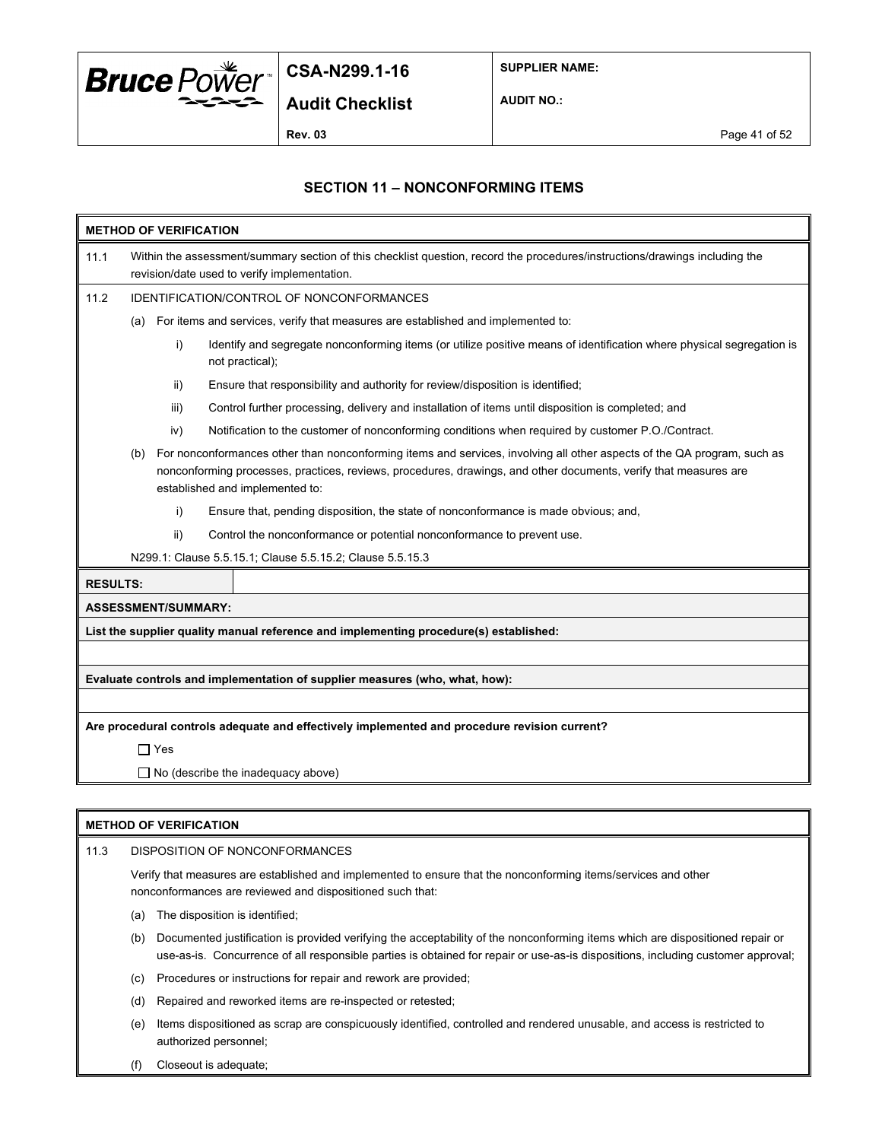

**SUPPLIER NAME:**

**AUDIT NO.:**

#### **SECTION 11 – NONCONFORMING ITEMS**

| 11.1<br>Within the assessment/summary section of this checklist question, record the procedures/instructions/drawings including the<br>revision/date used to verify implementation.<br>11.2<br><b>IDENTIFICATION/CONTROL OF NONCONFORMANCES</b><br>For items and services, verify that measures are established and implemented to:<br>(a)<br>i)<br>not practical);<br>Ensure that responsibility and authority for review/disposition is identified;<br>ii)<br>Control further processing, delivery and installation of items until disposition is completed; and<br>iii)<br>Notification to the customer of nonconforming conditions when required by customer P.O./Contract.<br>iv)<br>For nonconformances other than nonconforming items and services, involving all other aspects of the QA program, such as<br>(b)<br>nonconforming processes, practices, reviews, procedures, drawings, and other documents, verify that measures are<br>established and implemented to:<br>i)<br>Ensure that, pending disposition, the state of nonconformance is made obvious; and,<br>ii)<br>Control the nonconformance or potential nonconformance to prevent use.<br>N299.1: Clause 5.5.15.1; Clause 5.5.15.2; Clause 5.5.15.3<br><b>RESULTS:</b><br><b>ASSESSMENT/SUMMARY:</b><br>List the supplier quality manual reference and implementing procedure(s) established:<br>Evaluate controls and implementation of supplier measures (who, what, how):<br>Are procedural controls adequate and effectively implemented and procedure revision current?<br>$\Box$ Yes<br>$\Box$ No (describe the inadequacy above) | <b>METHOD OF VERIFICATION</b> |  |  |                                                                                                                       |  |
|----------------------------------------------------------------------------------------------------------------------------------------------------------------------------------------------------------------------------------------------------------------------------------------------------------------------------------------------------------------------------------------------------------------------------------------------------------------------------------------------------------------------------------------------------------------------------------------------------------------------------------------------------------------------------------------------------------------------------------------------------------------------------------------------------------------------------------------------------------------------------------------------------------------------------------------------------------------------------------------------------------------------------------------------------------------------------------------------------------------------------------------------------------------------------------------------------------------------------------------------------------------------------------------------------------------------------------------------------------------------------------------------------------------------------------------------------------------------------------------------------------------------------------------------------------------------------------------------------------------|-------------------------------|--|--|-----------------------------------------------------------------------------------------------------------------------|--|
|                                                                                                                                                                                                                                                                                                                                                                                                                                                                                                                                                                                                                                                                                                                                                                                                                                                                                                                                                                                                                                                                                                                                                                                                                                                                                                                                                                                                                                                                                                                                                                                                                |                               |  |  |                                                                                                                       |  |
|                                                                                                                                                                                                                                                                                                                                                                                                                                                                                                                                                                                                                                                                                                                                                                                                                                                                                                                                                                                                                                                                                                                                                                                                                                                                                                                                                                                                                                                                                                                                                                                                                |                               |  |  |                                                                                                                       |  |
|                                                                                                                                                                                                                                                                                                                                                                                                                                                                                                                                                                                                                                                                                                                                                                                                                                                                                                                                                                                                                                                                                                                                                                                                                                                                                                                                                                                                                                                                                                                                                                                                                |                               |  |  |                                                                                                                       |  |
|                                                                                                                                                                                                                                                                                                                                                                                                                                                                                                                                                                                                                                                                                                                                                                                                                                                                                                                                                                                                                                                                                                                                                                                                                                                                                                                                                                                                                                                                                                                                                                                                                |                               |  |  | Identify and segregate nonconforming items (or utilize positive means of identification where physical segregation is |  |
|                                                                                                                                                                                                                                                                                                                                                                                                                                                                                                                                                                                                                                                                                                                                                                                                                                                                                                                                                                                                                                                                                                                                                                                                                                                                                                                                                                                                                                                                                                                                                                                                                |                               |  |  |                                                                                                                       |  |
|                                                                                                                                                                                                                                                                                                                                                                                                                                                                                                                                                                                                                                                                                                                                                                                                                                                                                                                                                                                                                                                                                                                                                                                                                                                                                                                                                                                                                                                                                                                                                                                                                |                               |  |  |                                                                                                                       |  |
|                                                                                                                                                                                                                                                                                                                                                                                                                                                                                                                                                                                                                                                                                                                                                                                                                                                                                                                                                                                                                                                                                                                                                                                                                                                                                                                                                                                                                                                                                                                                                                                                                |                               |  |  |                                                                                                                       |  |
|                                                                                                                                                                                                                                                                                                                                                                                                                                                                                                                                                                                                                                                                                                                                                                                                                                                                                                                                                                                                                                                                                                                                                                                                                                                                                                                                                                                                                                                                                                                                                                                                                |                               |  |  |                                                                                                                       |  |
|                                                                                                                                                                                                                                                                                                                                                                                                                                                                                                                                                                                                                                                                                                                                                                                                                                                                                                                                                                                                                                                                                                                                                                                                                                                                                                                                                                                                                                                                                                                                                                                                                |                               |  |  |                                                                                                                       |  |
|                                                                                                                                                                                                                                                                                                                                                                                                                                                                                                                                                                                                                                                                                                                                                                                                                                                                                                                                                                                                                                                                                                                                                                                                                                                                                                                                                                                                                                                                                                                                                                                                                |                               |  |  |                                                                                                                       |  |
|                                                                                                                                                                                                                                                                                                                                                                                                                                                                                                                                                                                                                                                                                                                                                                                                                                                                                                                                                                                                                                                                                                                                                                                                                                                                                                                                                                                                                                                                                                                                                                                                                |                               |  |  |                                                                                                                       |  |
|                                                                                                                                                                                                                                                                                                                                                                                                                                                                                                                                                                                                                                                                                                                                                                                                                                                                                                                                                                                                                                                                                                                                                                                                                                                                                                                                                                                                                                                                                                                                                                                                                |                               |  |  |                                                                                                                       |  |
|                                                                                                                                                                                                                                                                                                                                                                                                                                                                                                                                                                                                                                                                                                                                                                                                                                                                                                                                                                                                                                                                                                                                                                                                                                                                                                                                                                                                                                                                                                                                                                                                                |                               |  |  |                                                                                                                       |  |
|                                                                                                                                                                                                                                                                                                                                                                                                                                                                                                                                                                                                                                                                                                                                                                                                                                                                                                                                                                                                                                                                                                                                                                                                                                                                                                                                                                                                                                                                                                                                                                                                                |                               |  |  |                                                                                                                       |  |
|                                                                                                                                                                                                                                                                                                                                                                                                                                                                                                                                                                                                                                                                                                                                                                                                                                                                                                                                                                                                                                                                                                                                                                                                                                                                                                                                                                                                                                                                                                                                                                                                                |                               |  |  |                                                                                                                       |  |
|                                                                                                                                                                                                                                                                                                                                                                                                                                                                                                                                                                                                                                                                                                                                                                                                                                                                                                                                                                                                                                                                                                                                                                                                                                                                                                                                                                                                                                                                                                                                                                                                                |                               |  |  |                                                                                                                       |  |
|                                                                                                                                                                                                                                                                                                                                                                                                                                                                                                                                                                                                                                                                                                                                                                                                                                                                                                                                                                                                                                                                                                                                                                                                                                                                                                                                                                                                                                                                                                                                                                                                                |                               |  |  |                                                                                                                       |  |
|                                                                                                                                                                                                                                                                                                                                                                                                                                                                                                                                                                                                                                                                                                                                                                                                                                                                                                                                                                                                                                                                                                                                                                                                                                                                                                                                                                                                                                                                                                                                                                                                                |                               |  |  |                                                                                                                       |  |
|                                                                                                                                                                                                                                                                                                                                                                                                                                                                                                                                                                                                                                                                                                                                                                                                                                                                                                                                                                                                                                                                                                                                                                                                                                                                                                                                                                                                                                                                                                                                                                                                                |                               |  |  |                                                                                                                       |  |
|                                                                                                                                                                                                                                                                                                                                                                                                                                                                                                                                                                                                                                                                                                                                                                                                                                                                                                                                                                                                                                                                                                                                                                                                                                                                                                                                                                                                                                                                                                                                                                                                                |                               |  |  |                                                                                                                       |  |

#### **METHOD OF VERIFICATION**

11.3 DISPOSITION OF NONCONFORMANCES Verify that measures are established and implemented to ensure that the nonconforming items/services and other nonconformances are reviewed and dispositioned such that:

(a) The disposition is identified;

(b) Documented justification is provided verifying the acceptability of the nonconforming items which are dispositioned repair or use-as-is. Concurrence of all responsible parties is obtained for repair or use-as-is dispositions, including customer approval;

- (c) Procedures or instructions for repair and rework are provided;
- (d) Repaired and reworked items are re-inspected or retested;
- (e) Items dispositioned as scrap are conspicuously identified, controlled and rendered unusable, and access is restricted to authorized personnel;
- (f) Closeout is adequate;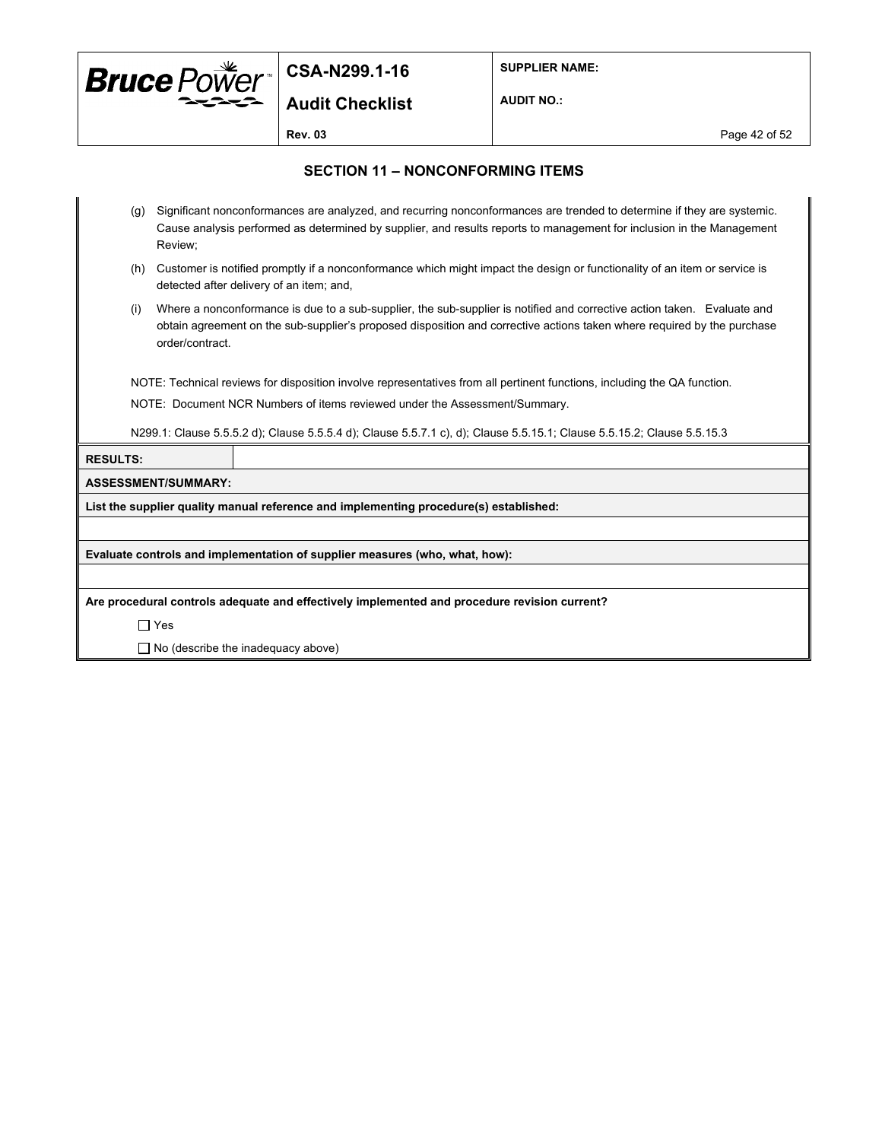

**Audit Checklist**

**SUPPLIER NAME:**

**AUDIT NO.:**

**Rev. 03** Page 42 of 52

#### **SECTION 11 – NONCONFORMING ITEMS**

- (g) Significant nonconformances are analyzed, and recurring nonconformances are trended to determine if they are systemic. Cause analysis performed as determined by supplier, and results reports to management for inclusion in the Management Review;
- (h) Customer is notified promptly if a nonconformance which might impact the design or functionality of an item or service is detected after delivery of an item; and,
- (i) Where a nonconformance is due to a sub-supplier, the sub-supplier is notified and corrective action taken. Evaluate and obtain agreement on the sub-supplier's proposed disposition and corrective actions taken where required by the purchase order/contract.

NOTE: Technical reviews for disposition involve representatives from all pertinent functions, including the QA function.

NOTE: Document NCR Numbers of items reviewed under the Assessment/Summary.

N299.1: Clause 5.5.5.2 d); Clause 5.5.5.4 d); Clause 5.5.7.1 c), d); Clause 5.5.15.1; Clause 5.5.15.2; Clause 5.5.15.3

**RESULTS:**

#### **ASSESSMENT/SUMMARY:**

**List the supplier quality manual reference and implementing procedure(s) established:**

**Evaluate controls and implementation of supplier measures (who, what, how):**

**Are procedural controls adequate and effectively implemented and procedure revision current?**

Yes

 $\Box$  No (describe the inadequacy above)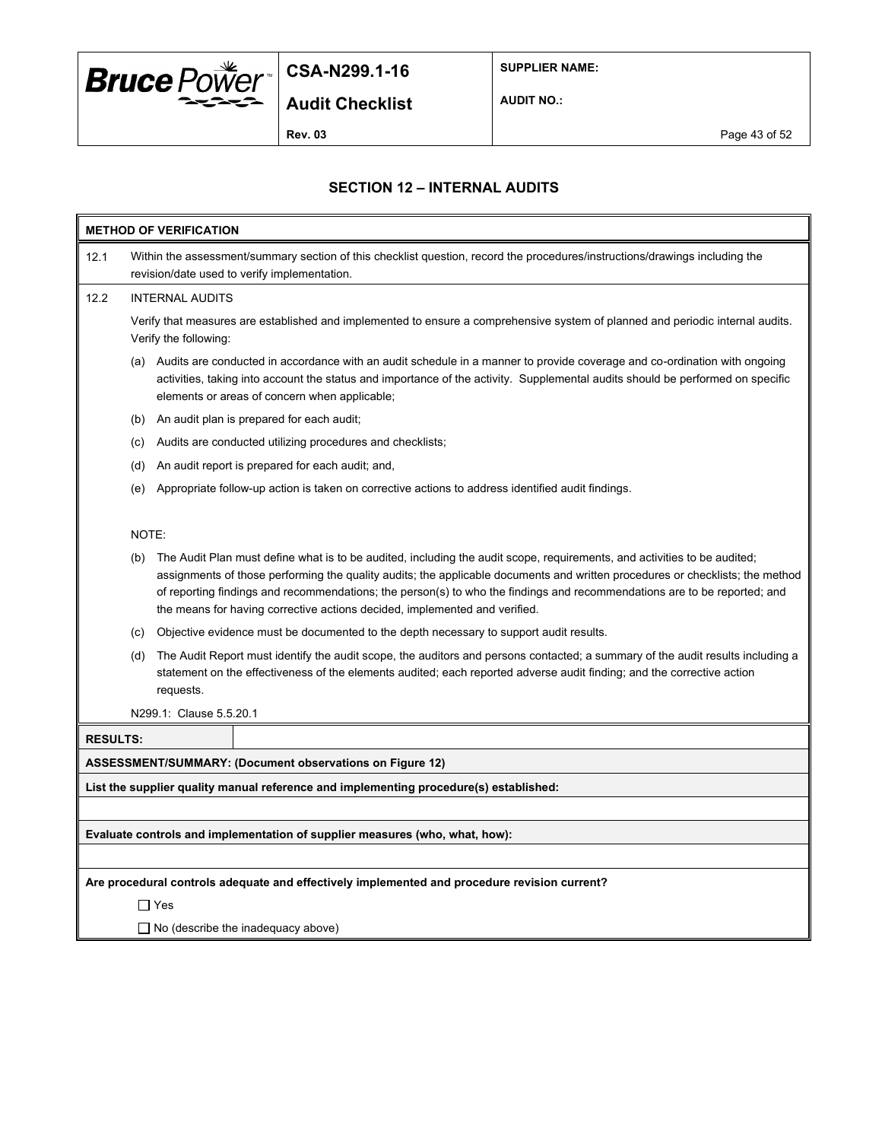

**SUPPLIER NAME:**

**AUDIT NO.:**

**Audit Checklist**

**Rev. 03** Page 43 of 52

### **SECTION 12 – INTERNAL AUDITS**

| <b>METHOD OF VERIFICATION</b>                                               |                                                                                                                                                                             |                                                                                                                                                                                                                                                                                                                                                                                                                                                                     |  |  |
|-----------------------------------------------------------------------------|-----------------------------------------------------------------------------------------------------------------------------------------------------------------------------|---------------------------------------------------------------------------------------------------------------------------------------------------------------------------------------------------------------------------------------------------------------------------------------------------------------------------------------------------------------------------------------------------------------------------------------------------------------------|--|--|
| 12.1                                                                        | Within the assessment/summary section of this checklist question, record the procedures/instructions/drawings including the<br>revision/date used to verify implementation. |                                                                                                                                                                                                                                                                                                                                                                                                                                                                     |  |  |
| 12.2                                                                        |                                                                                                                                                                             | <b>INTERNAL AUDITS</b>                                                                                                                                                                                                                                                                                                                                                                                                                                              |  |  |
|                                                                             |                                                                                                                                                                             | Verify that measures are established and implemented to ensure a comprehensive system of planned and periodic internal audits.<br>Verify the following:                                                                                                                                                                                                                                                                                                             |  |  |
|                                                                             |                                                                                                                                                                             | (a) Audits are conducted in accordance with an audit schedule in a manner to provide coverage and co-ordination with ongoing<br>activities, taking into account the status and importance of the activity. Supplemental audits should be performed on specific<br>elements or areas of concern when applicable;                                                                                                                                                     |  |  |
|                                                                             |                                                                                                                                                                             | (b) An audit plan is prepared for each audit;                                                                                                                                                                                                                                                                                                                                                                                                                       |  |  |
|                                                                             | (c)                                                                                                                                                                         | Audits are conducted utilizing procedures and checklists;                                                                                                                                                                                                                                                                                                                                                                                                           |  |  |
|                                                                             | (d)                                                                                                                                                                         | An audit report is prepared for each audit; and,                                                                                                                                                                                                                                                                                                                                                                                                                    |  |  |
|                                                                             | (e)                                                                                                                                                                         | Appropriate follow-up action is taken on corrective actions to address identified audit findings.                                                                                                                                                                                                                                                                                                                                                                   |  |  |
|                                                                             |                                                                                                                                                                             |                                                                                                                                                                                                                                                                                                                                                                                                                                                                     |  |  |
|                                                                             | NOTE:                                                                                                                                                                       |                                                                                                                                                                                                                                                                                                                                                                                                                                                                     |  |  |
|                                                                             | (b)                                                                                                                                                                         | The Audit Plan must define what is to be audited, including the audit scope, requirements, and activities to be audited;<br>assignments of those performing the quality audits; the applicable documents and written procedures or checklists; the method<br>of reporting findings and recommendations; the person(s) to who the findings and recommendations are to be reported; and<br>the means for having corrective actions decided, implemented and verified. |  |  |
|                                                                             | (c)                                                                                                                                                                         | Objective evidence must be documented to the depth necessary to support audit results.                                                                                                                                                                                                                                                                                                                                                                              |  |  |
|                                                                             | (d)                                                                                                                                                                         | The Audit Report must identify the audit scope, the auditors and persons contacted; a summary of the audit results including a<br>statement on the effectiveness of the elements audited; each reported adverse audit finding; and the corrective action<br>requests.                                                                                                                                                                                               |  |  |
|                                                                             |                                                                                                                                                                             | N299.1: Clause 5.5.20.1                                                                                                                                                                                                                                                                                                                                                                                                                                             |  |  |
| <b>RESULTS:</b>                                                             |                                                                                                                                                                             |                                                                                                                                                                                                                                                                                                                                                                                                                                                                     |  |  |
|                                                                             |                                                                                                                                                                             | ASSESSMENT/SUMMARY: (Document observations on Figure 12)                                                                                                                                                                                                                                                                                                                                                                                                            |  |  |
|                                                                             |                                                                                                                                                                             | List the supplier quality manual reference and implementing procedure(s) established:                                                                                                                                                                                                                                                                                                                                                                               |  |  |
|                                                                             |                                                                                                                                                                             |                                                                                                                                                                                                                                                                                                                                                                                                                                                                     |  |  |
| Evaluate controls and implementation of supplier measures (who, what, how): |                                                                                                                                                                             |                                                                                                                                                                                                                                                                                                                                                                                                                                                                     |  |  |
|                                                                             |                                                                                                                                                                             |                                                                                                                                                                                                                                                                                                                                                                                                                                                                     |  |  |
|                                                                             |                                                                                                                                                                             | Are procedural controls adequate and effectively implemented and procedure revision current?                                                                                                                                                                                                                                                                                                                                                                        |  |  |
|                                                                             | $\Box$ Yes                                                                                                                                                                  |                                                                                                                                                                                                                                                                                                                                                                                                                                                                     |  |  |
|                                                                             | $\Box$ No (describe the inadequacy above)                                                                                                                                   |                                                                                                                                                                                                                                                                                                                                                                                                                                                                     |  |  |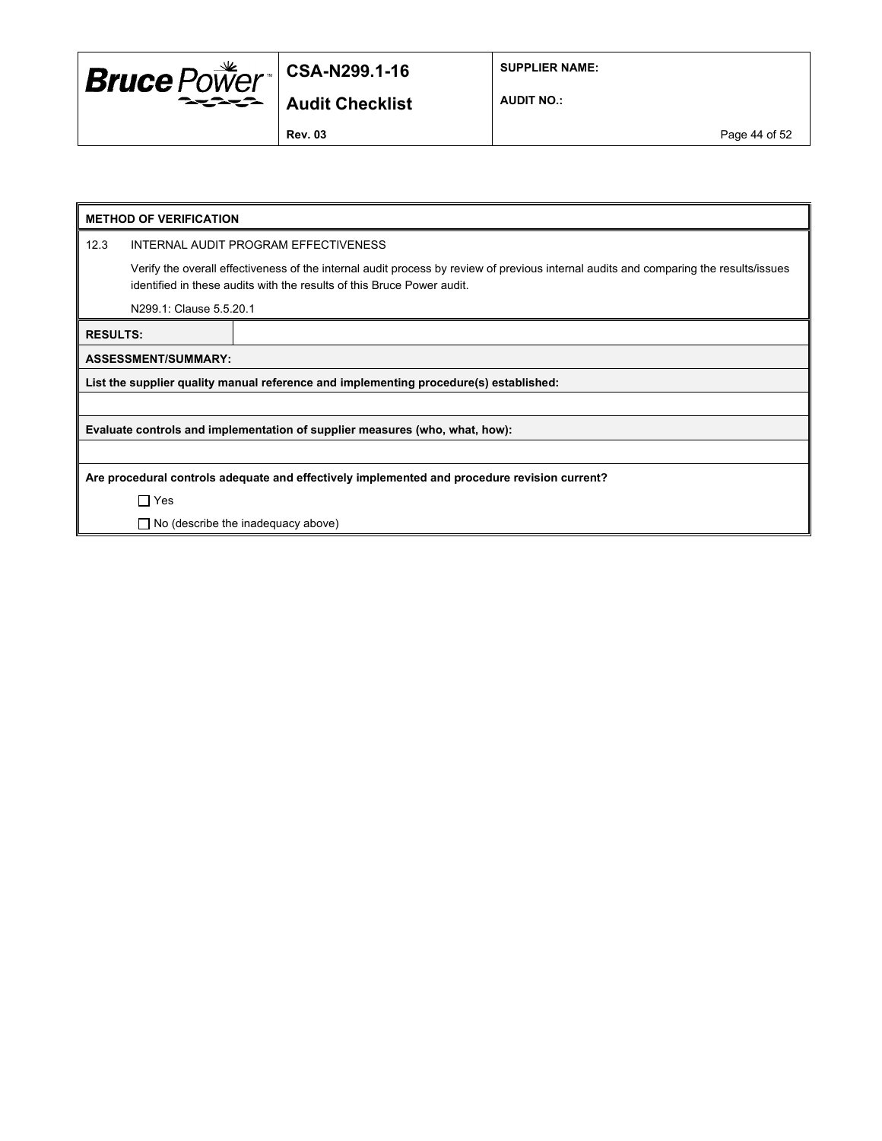

**SUPPLIER NAME:**

**Audit Checklist**

**AUDIT NO.:**

**Rev. 03** Page 44 of 52

| <b>METHOD OF VERIFICATION</b>                                                                |                                           |                                                                                                                                                                                                                 |  |  |
|----------------------------------------------------------------------------------------------|-------------------------------------------|-----------------------------------------------------------------------------------------------------------------------------------------------------------------------------------------------------------------|--|--|
| 12.3                                                                                         |                                           | INTERNAL AUDIT PROGRAM EFFECTIVENESS                                                                                                                                                                            |  |  |
|                                                                                              |                                           | Verify the overall effectiveness of the internal audit process by review of previous internal audits and comparing the results/issues<br>identified in these audits with the results of this Bruce Power audit. |  |  |
|                                                                                              | N299.1: Clause 5.5.20.1                   |                                                                                                                                                                                                                 |  |  |
| <b>RESULTS:</b>                                                                              |                                           |                                                                                                                                                                                                                 |  |  |
|                                                                                              | <b>ASSESSMENT/SUMMARY:</b>                |                                                                                                                                                                                                                 |  |  |
|                                                                                              |                                           | List the supplier quality manual reference and implementing procedure(s) established:                                                                                                                           |  |  |
|                                                                                              |                                           |                                                                                                                                                                                                                 |  |  |
| Evaluate controls and implementation of supplier measures (who, what, how):                  |                                           |                                                                                                                                                                                                                 |  |  |
|                                                                                              |                                           |                                                                                                                                                                                                                 |  |  |
| Are procedural controls adequate and effectively implemented and procedure revision current? |                                           |                                                                                                                                                                                                                 |  |  |
|                                                                                              | $\Box$ Yes                                |                                                                                                                                                                                                                 |  |  |
|                                                                                              | $\Box$ No (describe the inadequacy above) |                                                                                                                                                                                                                 |  |  |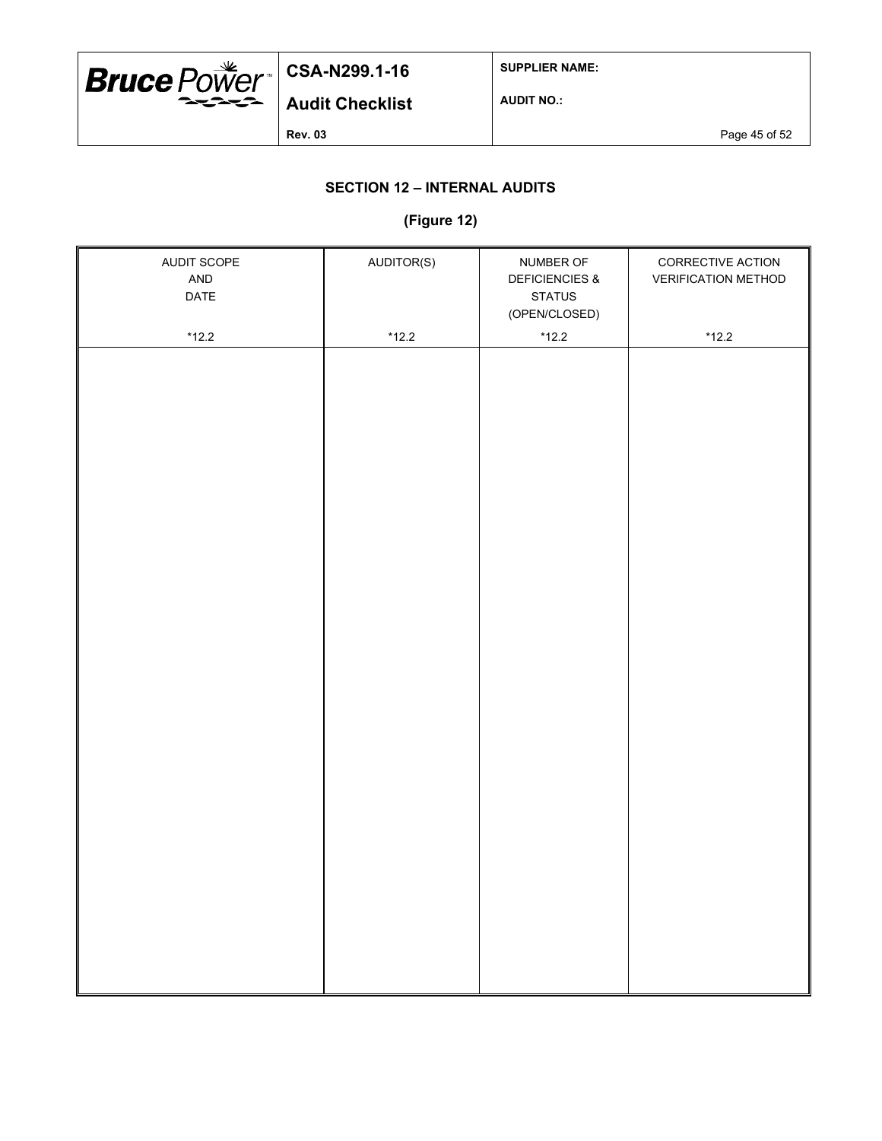

**SUPPLIER NAME:**

**AUDIT NO.:**

**Rev. 03** Page 45 of 52

## **SECTION 12 – INTERNAL AUDITS**

#### **(Figure 12)**

| AUDIT SCOPE<br>AND<br>DATE | AUDITOR(S) | NUMBER OF<br><b>DEFICIENCIES &amp;</b><br><b>STATUS</b><br>(OPEN/CLOSED) | CORRECTIVE ACTION<br><b>VERIFICATION METHOD</b> |
|----------------------------|------------|--------------------------------------------------------------------------|-------------------------------------------------|
|                            |            |                                                                          |                                                 |
| $*12.2$                    | $*12.2$    | $*12.2$                                                                  | $*12.2$                                         |
|                            |            |                                                                          |                                                 |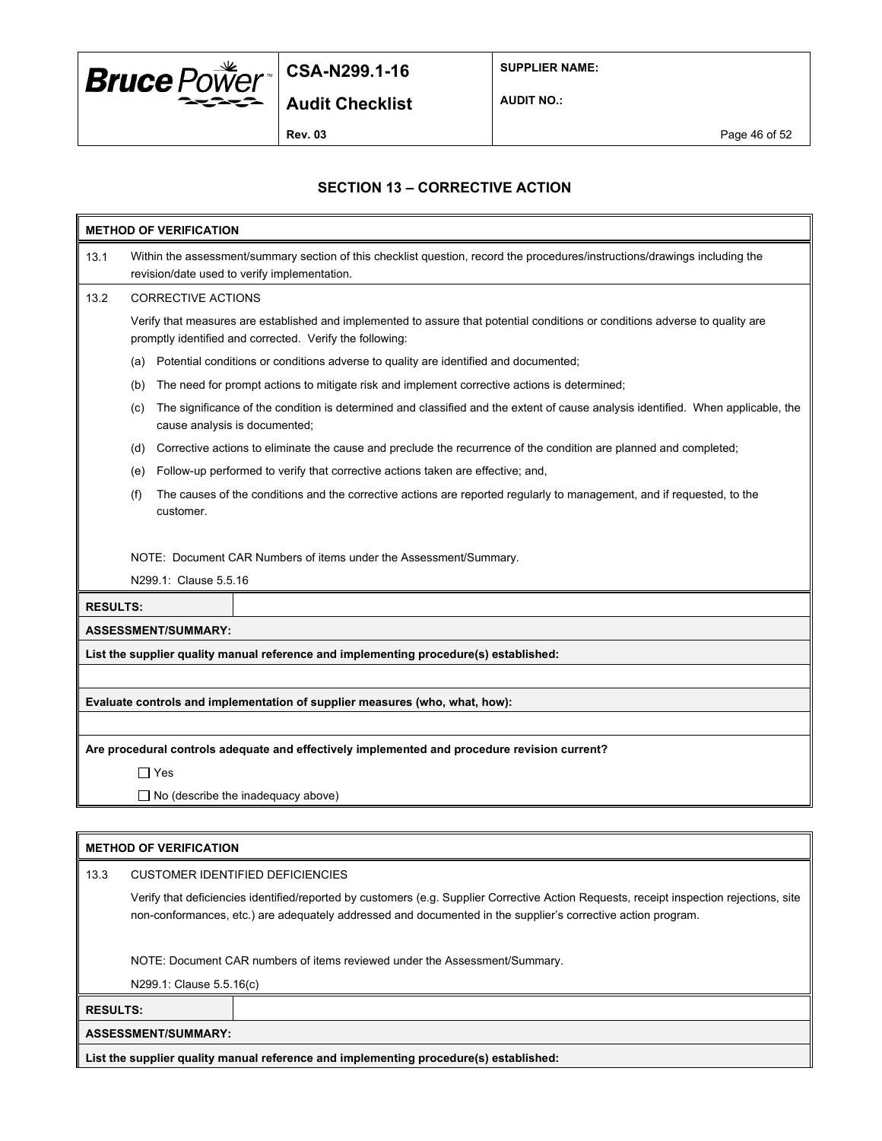

**SUPPLIER NAME:**

**AUDIT NO.:**

**Audit Checklist**

**Rev. 03** Page 46 of 52

### **SECTION 13 – CORRECTIVE ACTION**

| <b>METHOD OF VERIFICATION</b> |                                                                                                                                                                                           |  |  |  |
|-------------------------------|-------------------------------------------------------------------------------------------------------------------------------------------------------------------------------------------|--|--|--|
| 13.1                          | Within the assessment/summary section of this checklist question, record the procedures/instructions/drawings including the<br>revision/date used to verify implementation.               |  |  |  |
| 13.2                          | <b>CORRECTIVE ACTIONS</b>                                                                                                                                                                 |  |  |  |
|                               | Verify that measures are established and implemented to assure that potential conditions or conditions adverse to quality are<br>promptly identified and corrected. Verify the following: |  |  |  |
|                               | Potential conditions or conditions adverse to quality are identified and documented;<br>(a)                                                                                               |  |  |  |
|                               | The need for prompt actions to mitigate risk and implement corrective actions is determined;<br>(b)                                                                                       |  |  |  |
|                               | The significance of the condition is determined and classified and the extent of cause analysis identified. When applicable, the<br>(c)<br>cause analysis is documented;                  |  |  |  |
|                               | Corrective actions to eliminate the cause and preclude the recurrence of the condition are planned and completed;<br>(d)                                                                  |  |  |  |
|                               | Follow-up performed to verify that corrective actions taken are effective; and,<br>(e)                                                                                                    |  |  |  |
|                               | The causes of the conditions and the corrective actions are reported regularly to management, and if requested, to the<br>(f)<br>customer.                                                |  |  |  |
|                               | NOTE: Document CAR Numbers of items under the Assessment/Summary.<br>N299.1: Clause 5.5.16                                                                                                |  |  |  |
|                               | <b>RESULTS:</b>                                                                                                                                                                           |  |  |  |
|                               | ASSESSMENT/SUMMARY:                                                                                                                                                                       |  |  |  |
|                               | List the supplier quality manual reference and implementing procedure(s) established:                                                                                                     |  |  |  |
|                               |                                                                                                                                                                                           |  |  |  |
|                               | Evaluate controls and implementation of supplier measures (who, what, how):                                                                                                               |  |  |  |
|                               |                                                                                                                                                                                           |  |  |  |
|                               | Are procedural controls adequate and effectively implemented and procedure revision current?                                                                                              |  |  |  |
|                               | $\Box$ Yes                                                                                                                                                                                |  |  |  |
|                               | $\Box$ No (describe the inadequacy above)                                                                                                                                                 |  |  |  |
|                               |                                                                                                                                                                                           |  |  |  |

|                                                                            | <b>METHOD OF VERIFICATION</b>                                                         |                                                                                                                                                                                                                                                          |  |  |  |
|----------------------------------------------------------------------------|---------------------------------------------------------------------------------------|----------------------------------------------------------------------------------------------------------------------------------------------------------------------------------------------------------------------------------------------------------|--|--|--|
| 13.3                                                                       | <b>CUSTOMER IDENTIFIED DEFICIENCIES</b>                                               |                                                                                                                                                                                                                                                          |  |  |  |
|                                                                            |                                                                                       | Verify that deficiencies identified/reported by customers (e.g. Supplier Corrective Action Requests, receipt inspection rejections, site<br>non-conformances, etc.) are adequately addressed and documented in the supplier's corrective action program. |  |  |  |
| NOTE: Document CAR numbers of items reviewed under the Assessment/Summary. |                                                                                       |                                                                                                                                                                                                                                                          |  |  |  |
|                                                                            | N299.1: Clause 5.5.16(c)                                                              |                                                                                                                                                                                                                                                          |  |  |  |
|                                                                            | <b>RESULTS:</b>                                                                       |                                                                                                                                                                                                                                                          |  |  |  |
|                                                                            | <b>ASSESSMENT/SUMMARY:</b>                                                            |                                                                                                                                                                                                                                                          |  |  |  |
|                                                                            | List the supplier quality manual reference and implementing procedure(s) established: |                                                                                                                                                                                                                                                          |  |  |  |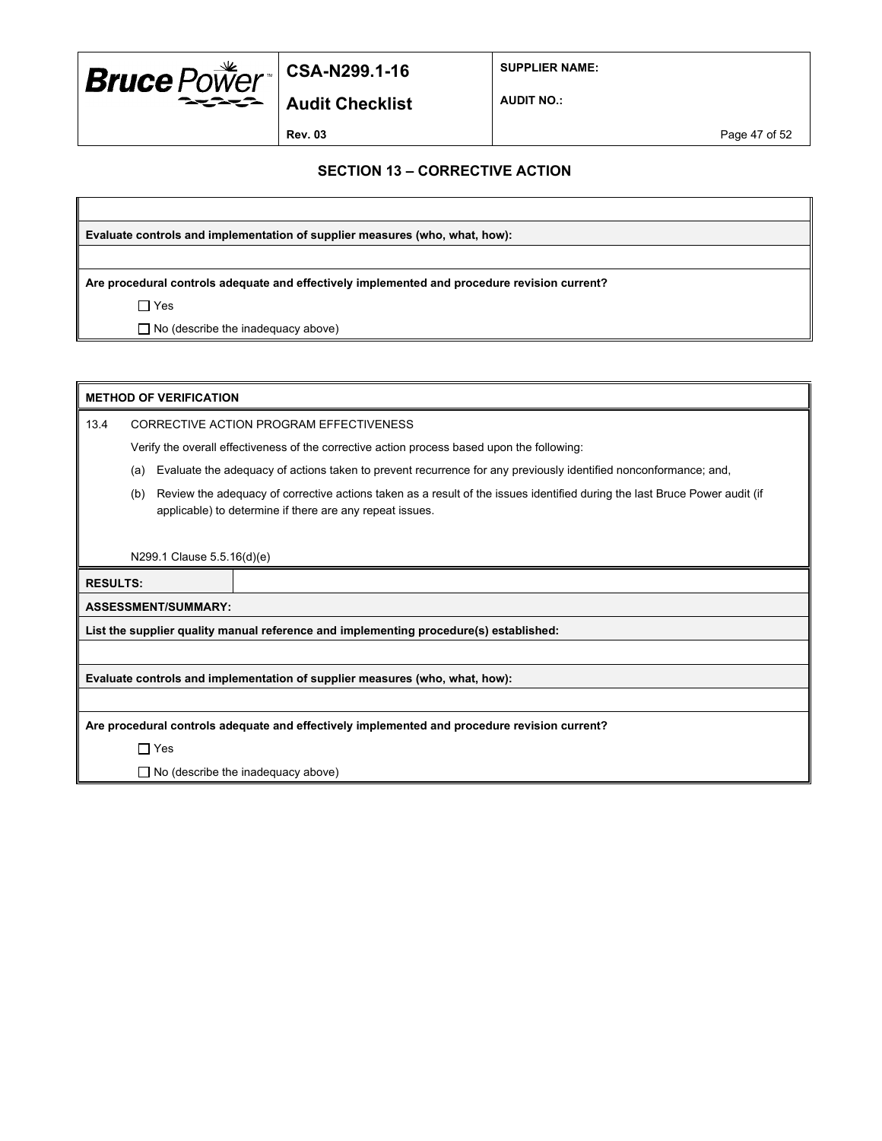

**SUPPLIER NAME:**

**Audit Checklist**

**AUDIT NO.:**

**Rev. 03** Page 47 of 52

#### **SECTION 13 – CORRECTIVE ACTION**

**Evaluate controls and implementation of supplier measures (who, what, how):**

**Are procedural controls adequate and effectively implemented and procedure revision current?**

 $\Box$  Yes

□ No (describe the inadequacy above)

|                 | <b>METHOD OF VERIFICATION</b>                                                                |                                                                                                                                                                                        |  |
|-----------------|----------------------------------------------------------------------------------------------|----------------------------------------------------------------------------------------------------------------------------------------------------------------------------------------|--|
| 13.4            | CORRECTIVE ACTION PROGRAM EFFECTIVENESS                                                      |                                                                                                                                                                                        |  |
|                 |                                                                                              | Verify the overall effectiveness of the corrective action process based upon the following:                                                                                            |  |
|                 | (a)                                                                                          | Evaluate the adequacy of actions taken to prevent recurrence for any previously identified nonconformance; and,                                                                        |  |
|                 | (b)                                                                                          | Review the adequacy of corrective actions taken as a result of the issues identified during the last Bruce Power audit (if<br>applicable) to determine if there are any repeat issues. |  |
|                 |                                                                                              |                                                                                                                                                                                        |  |
|                 | N299.1 Clause 5.5.16(d)(e)                                                                   |                                                                                                                                                                                        |  |
| <b>RESULTS:</b> |                                                                                              |                                                                                                                                                                                        |  |
|                 | <b>ASSESSMENT/SUMMARY:</b>                                                                   |                                                                                                                                                                                        |  |
|                 | List the supplier quality manual reference and implementing procedure(s) established:        |                                                                                                                                                                                        |  |
|                 |                                                                                              |                                                                                                                                                                                        |  |
|                 |                                                                                              | Evaluate controls and implementation of supplier measures (who, what, how):                                                                                                            |  |
|                 |                                                                                              |                                                                                                                                                                                        |  |
|                 | Are procedural controls adequate and effectively implemented and procedure revision current? |                                                                                                                                                                                        |  |
|                 | $\Box$ Yes                                                                                   |                                                                                                                                                                                        |  |
|                 |                                                                                              | $\Box$ No (describe the inadequacy above)                                                                                                                                              |  |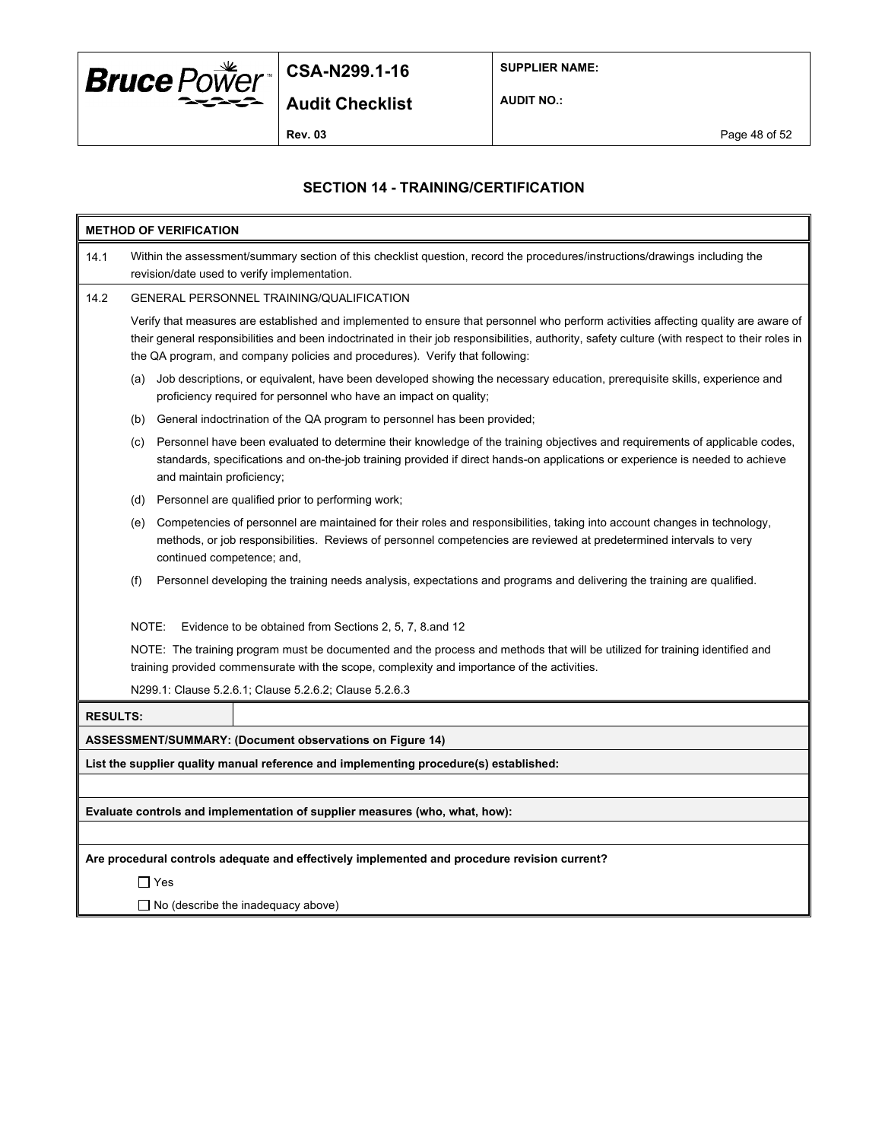

**SUPPLIER NAME:**

**AUDIT NO.:**

**Rev. 03** Page 48 of 52

### **SECTION 14 - TRAINING/CERTIFICATION**

| <b>METHOD OF VERIFICATION</b>                                               |                                                                                                                                                                                                                                                                                                                                                                       |                                                                                                                                                                                                                                                              |  |  |  |
|-----------------------------------------------------------------------------|-----------------------------------------------------------------------------------------------------------------------------------------------------------------------------------------------------------------------------------------------------------------------------------------------------------------------------------------------------------------------|--------------------------------------------------------------------------------------------------------------------------------------------------------------------------------------------------------------------------------------------------------------|--|--|--|
| 14.1                                                                        | Within the assessment/summary section of this checklist question, record the procedures/instructions/drawings including the<br>revision/date used to verify implementation.                                                                                                                                                                                           |                                                                                                                                                                                                                                                              |  |  |  |
| 14.2                                                                        | <b>GENERAL PERSONNEL TRAINING/QUALIFICATION</b>                                                                                                                                                                                                                                                                                                                       |                                                                                                                                                                                                                                                              |  |  |  |
|                                                                             | Verify that measures are established and implemented to ensure that personnel who perform activities affecting quality are aware of<br>their general responsibilities and been indoctrinated in their job responsibilities, authority, safety culture (with respect to their roles in<br>the QA program, and company policies and procedures). Verify that following: |                                                                                                                                                                                                                                                              |  |  |  |
|                                                                             | (a)<br>proficiency required for personnel who have an impact on quality;                                                                                                                                                                                                                                                                                              | Job descriptions, or equivalent, have been developed showing the necessary education, prerequisite skills, experience and                                                                                                                                    |  |  |  |
|                                                                             | General indoctrination of the QA program to personnel has been provided;<br>(b)                                                                                                                                                                                                                                                                                       |                                                                                                                                                                                                                                                              |  |  |  |
|                                                                             | (c)<br>and maintain proficiency;                                                                                                                                                                                                                                                                                                                                      | Personnel have been evaluated to determine their knowledge of the training objectives and requirements of applicable codes,<br>standards, specifications and on-the-job training provided if direct hands-on applications or experience is needed to achieve |  |  |  |
|                                                                             | Personnel are qualified prior to performing work;<br>(d)                                                                                                                                                                                                                                                                                                              |                                                                                                                                                                                                                                                              |  |  |  |
|                                                                             | (e)<br>continued competence; and,                                                                                                                                                                                                                                                                                                                                     | Competencies of personnel are maintained for their roles and responsibilities, taking into account changes in technology,<br>methods, or job responsibilities. Reviews of personnel competencies are reviewed at predetermined intervals to very             |  |  |  |
|                                                                             | (f)                                                                                                                                                                                                                                                                                                                                                                   | Personnel developing the training needs analysis, expectations and programs and delivering the training are qualified.                                                                                                                                       |  |  |  |
|                                                                             | NOTE:<br>Evidence to be obtained from Sections 2, 5, 7, 8 and 12                                                                                                                                                                                                                                                                                                      |                                                                                                                                                                                                                                                              |  |  |  |
|                                                                             | training provided commensurate with the scope, complexity and importance of the activities.                                                                                                                                                                                                                                                                           | NOTE: The training program must be documented and the process and methods that will be utilized for training identified and                                                                                                                                  |  |  |  |
|                                                                             | N299.1: Clause 5.2.6.1; Clause 5.2.6.2; Clause 5.2.6.3                                                                                                                                                                                                                                                                                                                |                                                                                                                                                                                                                                                              |  |  |  |
| <b>RESULTS:</b>                                                             |                                                                                                                                                                                                                                                                                                                                                                       |                                                                                                                                                                                                                                                              |  |  |  |
|                                                                             | ASSESSMENT/SUMMARY: (Document observations on Figure 14)                                                                                                                                                                                                                                                                                                              |                                                                                                                                                                                                                                                              |  |  |  |
|                                                                             | List the supplier quality manual reference and implementing procedure(s) established:                                                                                                                                                                                                                                                                                 |                                                                                                                                                                                                                                                              |  |  |  |
|                                                                             |                                                                                                                                                                                                                                                                                                                                                                       |                                                                                                                                                                                                                                                              |  |  |  |
| Evaluate controls and implementation of supplier measures (who, what, how): |                                                                                                                                                                                                                                                                                                                                                                       |                                                                                                                                                                                                                                                              |  |  |  |
|                                                                             |                                                                                                                                                                                                                                                                                                                                                                       |                                                                                                                                                                                                                                                              |  |  |  |
|                                                                             | Are procedural controls adequate and effectively implemented and procedure revision current?                                                                                                                                                                                                                                                                          |                                                                                                                                                                                                                                                              |  |  |  |
|                                                                             | ∏ Yes                                                                                                                                                                                                                                                                                                                                                                 |                                                                                                                                                                                                                                                              |  |  |  |
|                                                                             | $\Box$ No (describe the inadequacy above)                                                                                                                                                                                                                                                                                                                             |                                                                                                                                                                                                                                                              |  |  |  |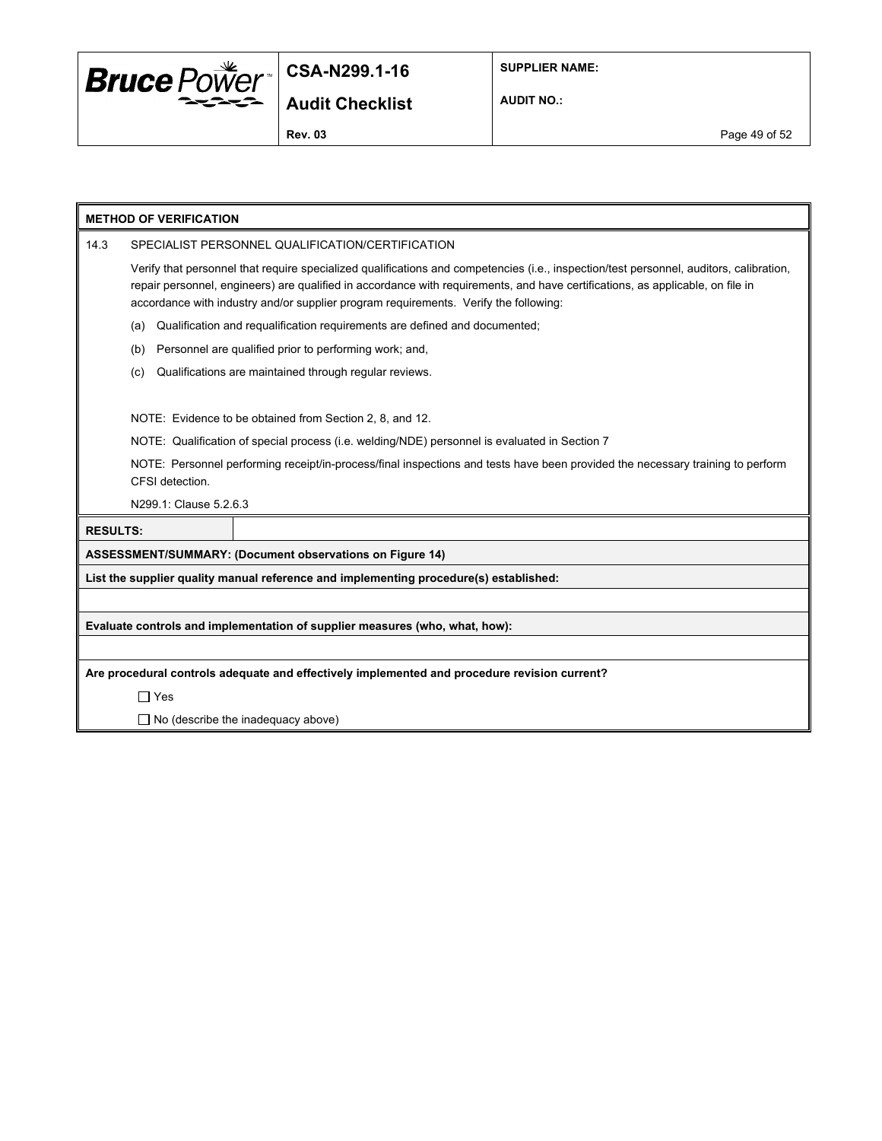

**SUPPLIER NAME:**

**AUDIT NO.:**

**Rev. 03** Page 49 of 52

|                 | <b>METHOD OF VERIFICATION</b>                                                                                                                                                                                                                                                                                                                                     |  |  |
|-----------------|-------------------------------------------------------------------------------------------------------------------------------------------------------------------------------------------------------------------------------------------------------------------------------------------------------------------------------------------------------------------|--|--|
| 14.3            | SPECIALIST PERSONNEL QUALIFICATION/CERTIFICATION                                                                                                                                                                                                                                                                                                                  |  |  |
|                 | Verify that personnel that require specialized qualifications and competencies (i.e., inspection/test personnel, auditors, calibration,<br>repair personnel, engineers) are qualified in accordance with requirements, and have certifications, as applicable, on file in<br>accordance with industry and/or supplier program requirements. Verify the following: |  |  |
|                 | Qualification and requalification requirements are defined and documented;<br>(a)                                                                                                                                                                                                                                                                                 |  |  |
|                 | Personnel are qualified prior to performing work; and,<br>(b)                                                                                                                                                                                                                                                                                                     |  |  |
|                 | Qualifications are maintained through regular reviews.<br>(c)                                                                                                                                                                                                                                                                                                     |  |  |
|                 |                                                                                                                                                                                                                                                                                                                                                                   |  |  |
|                 | NOTE: Evidence to be obtained from Section 2, 8, and 12.                                                                                                                                                                                                                                                                                                          |  |  |
|                 | NOTE: Qualification of special process (i.e. welding/NDE) personnel is evaluated in Section 7                                                                                                                                                                                                                                                                     |  |  |
|                 | NOTE: Personnel performing receipt/in-process/final inspections and tests have been provided the necessary training to perform<br>CFSI detection.                                                                                                                                                                                                                 |  |  |
|                 | N299.1: Clause 5.2.6.3                                                                                                                                                                                                                                                                                                                                            |  |  |
| <b>RESULTS:</b> |                                                                                                                                                                                                                                                                                                                                                                   |  |  |
|                 | ASSESSMENT/SUMMARY: (Document observations on Figure 14)                                                                                                                                                                                                                                                                                                          |  |  |
|                 | List the supplier quality manual reference and implementing procedure(s) established:                                                                                                                                                                                                                                                                             |  |  |
|                 |                                                                                                                                                                                                                                                                                                                                                                   |  |  |
|                 | Evaluate controls and implementation of supplier measures (who, what, how):                                                                                                                                                                                                                                                                                       |  |  |
|                 |                                                                                                                                                                                                                                                                                                                                                                   |  |  |
|                 | Are procedural controls adequate and effectively implemented and procedure revision current?                                                                                                                                                                                                                                                                      |  |  |
|                 | $\Box$ Yes                                                                                                                                                                                                                                                                                                                                                        |  |  |
|                 | $\Box$ No (describe the inadequacy above)                                                                                                                                                                                                                                                                                                                         |  |  |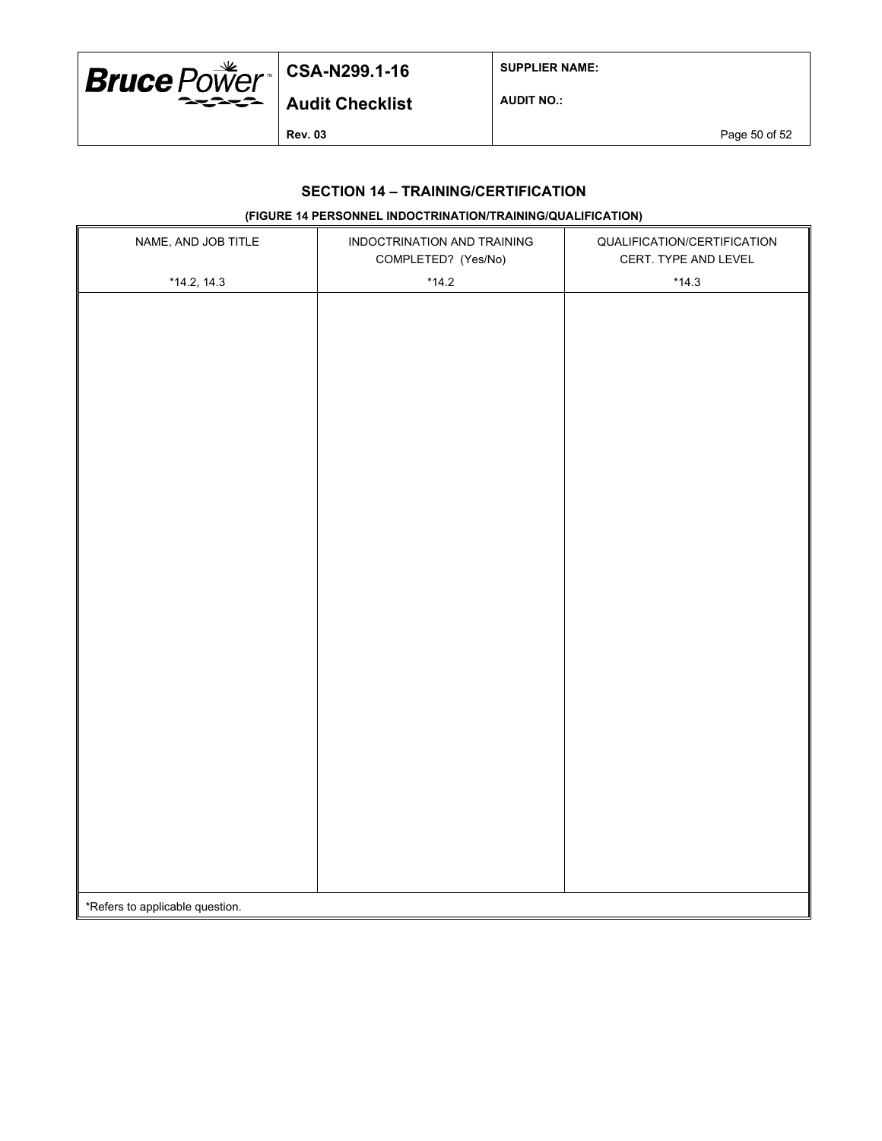

**SUPPLIER NAME:**

**AUDIT NO.:**

**Rev. 03** Page 50 of 52

### **SECTION 14 – TRAINING/CERTIFICATION**

## **(FIGURE 14 PERSONNEL INDOCTRINATION/TRAINING/QUALIFICATION)**

| NAME, AND JOB TITLE             | INDOCTRINATION AND TRAINING<br>COMPLETED? (Yes/No) | QUALIFICATION/CERTIFICATION<br>CERT. TYPE AND LEVEL |
|---------------------------------|----------------------------------------------------|-----------------------------------------------------|
| $*14.2, 14.3$                   | $*14.2$                                            | $*14.3$                                             |
|                                 |                                                    |                                                     |
|                                 |                                                    |                                                     |
|                                 |                                                    |                                                     |
|                                 |                                                    |                                                     |
|                                 |                                                    |                                                     |
|                                 |                                                    |                                                     |
|                                 |                                                    |                                                     |
|                                 |                                                    |                                                     |
|                                 |                                                    |                                                     |
|                                 |                                                    |                                                     |
|                                 |                                                    |                                                     |
|                                 |                                                    |                                                     |
|                                 |                                                    |                                                     |
|                                 |                                                    |                                                     |
|                                 |                                                    |                                                     |
|                                 |                                                    |                                                     |
|                                 |                                                    |                                                     |
|                                 |                                                    |                                                     |
|                                 |                                                    |                                                     |
|                                 |                                                    |                                                     |
|                                 |                                                    |                                                     |
|                                 |                                                    |                                                     |
|                                 |                                                    |                                                     |
|                                 |                                                    |                                                     |
|                                 |                                                    |                                                     |
|                                 |                                                    |                                                     |
|                                 |                                                    |                                                     |
| *Refers to applicable question. |                                                    |                                                     |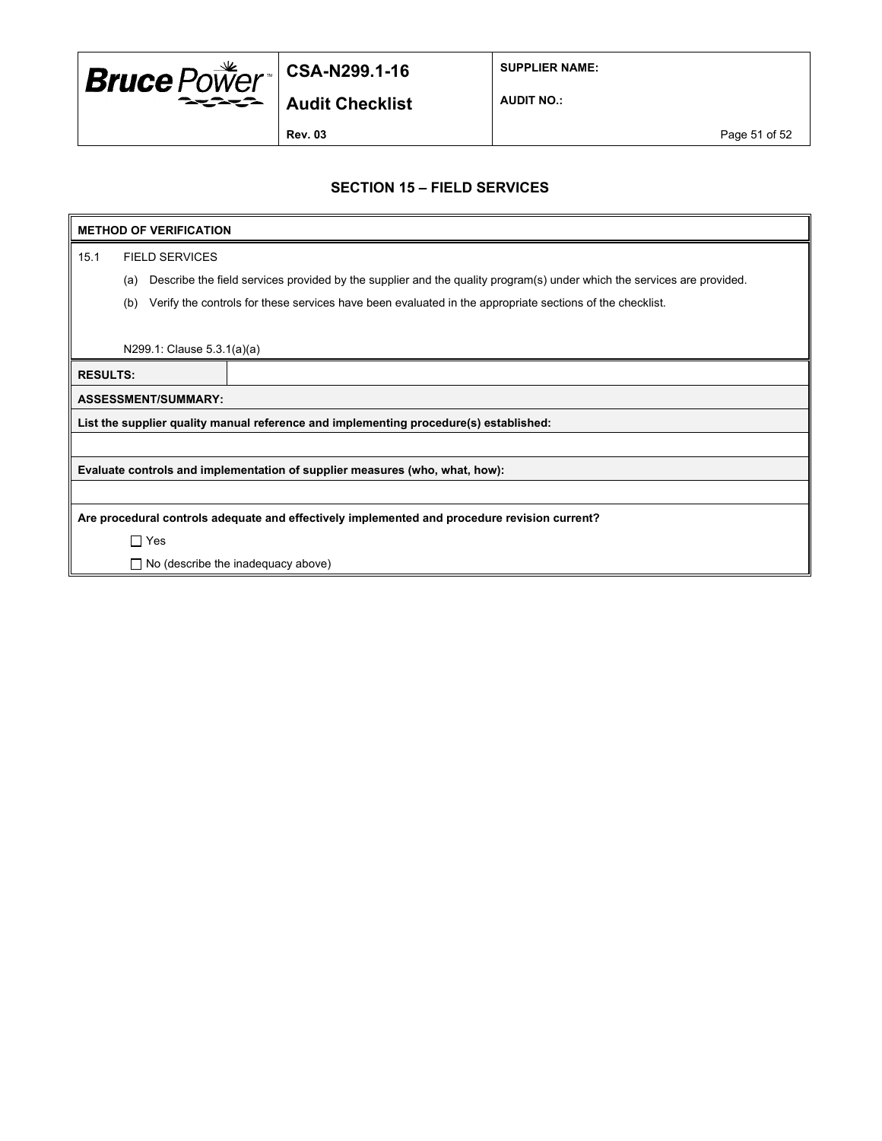

**SUPPLIER NAME:**

**AUDIT NO.:**

**Rev. 03** Page 51 of 52

### **SECTION 15 – FIELD SERVICES**

#### **METHOD OF VERIFICATION**

15.1 FIELD SERVICES

(a) Describe the field services provided by the supplier and the quality program(s) under which the services are provided.

(b) Verify the controls for these services have been evaluated in the appropriate sections of the checklist.

N299.1: Clause 5.3.1(a)(a)

**RESULTS: ASSESSMENT/SUMMARY: List the supplier quality manual reference and implementing procedure(s) established:**

**Evaluate controls and implementation of supplier measures (who, what, how):**

**Are procedural controls adequate and effectively implemented and procedure revision current?**

□ Yes

 $\Box$  No (describe the inadequacy above)